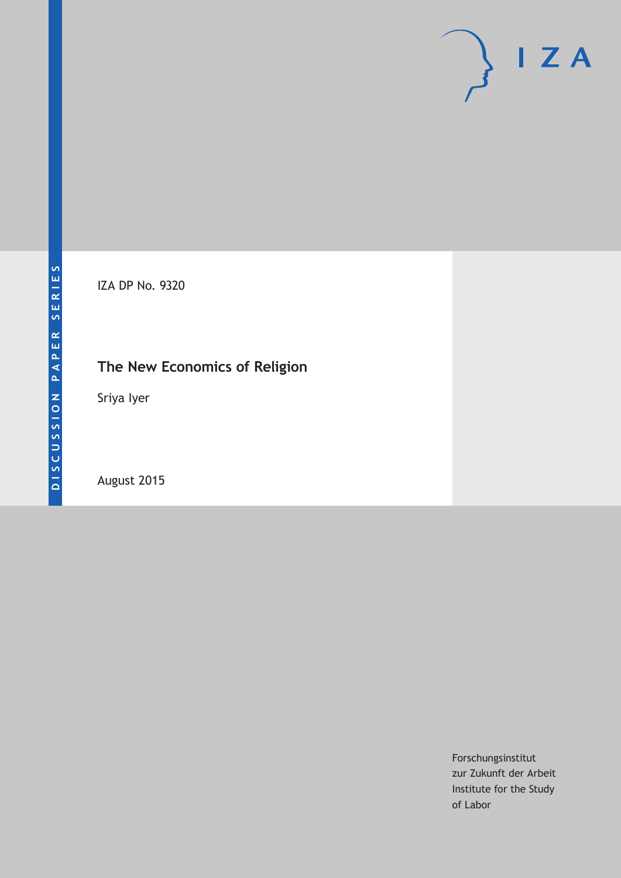# $I Z A$

IZA DP No. 9320

# **The New Economics of Religion**

Sriya Iyer

August 2015

Forschungsinstitut zur Zukunft der Arbeit Institute for the Study of Labor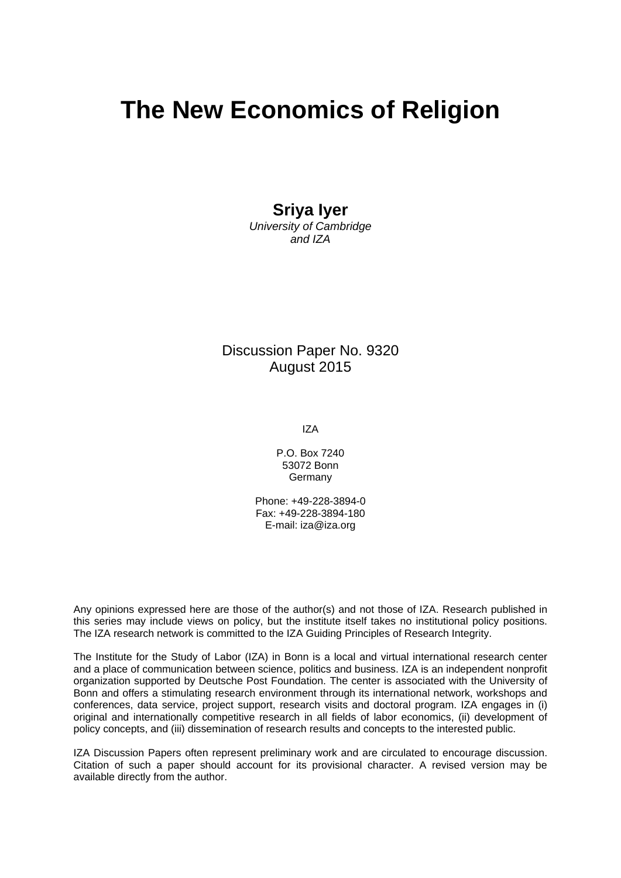# **The New Economics of Religion**

#### **Sriya Iyer**

*University of Cambridge and IZA* 

Discussion Paper No. 9320 August 2015

IZA

P.O. Box 7240 53072 Bonn Germany

Phone: +49-228-3894-0 Fax: +49-228-3894-180 E-mail: iza@iza.org

Any opinions expressed here are those of the author(s) and not those of IZA. Research published in this series may include views on policy, but the institute itself takes no institutional policy positions. The IZA research network is committed to the IZA Guiding Principles of Research Integrity.

The Institute for the Study of Labor (IZA) in Bonn is a local and virtual international research center and a place of communication between science, politics and business. IZA is an independent nonprofit organization supported by Deutsche Post Foundation. The center is associated with the University of Bonn and offers a stimulating research environment through its international network, workshops and conferences, data service, project support, research visits and doctoral program. IZA engages in (i) original and internationally competitive research in all fields of labor economics, (ii) development of policy concepts, and (iii) dissemination of research results and concepts to the interested public.

IZA Discussion Papers often represent preliminary work and are circulated to encourage discussion. Citation of such a paper should account for its provisional character. A revised version may be available directly from the author.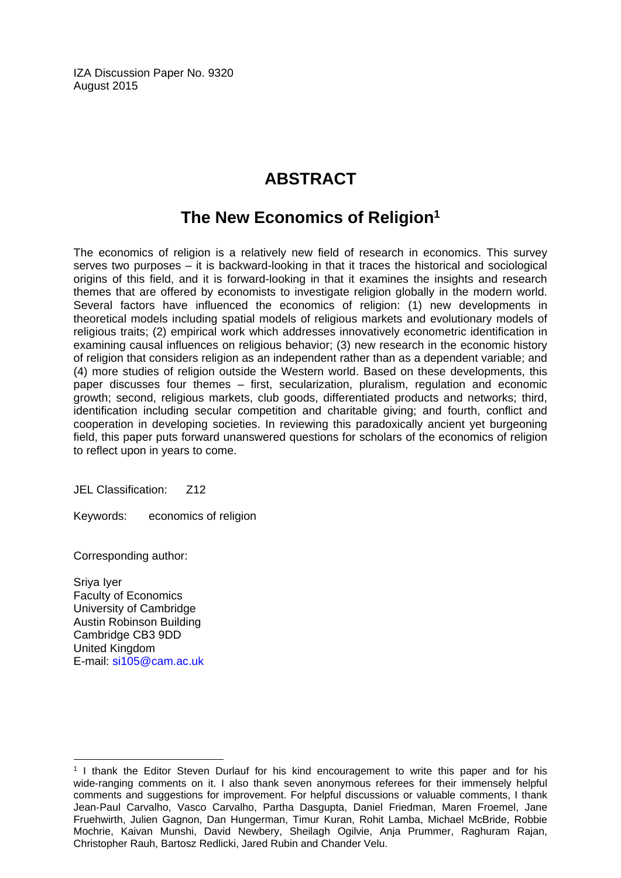IZA Discussion Paper No. 9320 August 2015

## **ABSTRACT**

### **The New Economics of Religion1**

The economics of religion is a relatively new field of research in economics. This survey serves two purposes – it is backward-looking in that it traces the historical and sociological origins of this field, and it is forward-looking in that it examines the insights and research themes that are offered by economists to investigate religion globally in the modern world. Several factors have influenced the economics of religion: (1) new developments in theoretical models including spatial models of religious markets and evolutionary models of religious traits; (2) empirical work which addresses innovatively econometric identification in examining causal influences on religious behavior; (3) new research in the economic history of religion that considers religion as an independent rather than as a dependent variable; and (4) more studies of religion outside the Western world. Based on these developments, this paper discusses four themes – first, secularization, pluralism, regulation and economic growth; second, religious markets, club goods, differentiated products and networks; third, identification including secular competition and charitable giving; and fourth, conflict and cooperation in developing societies. In reviewing this paradoxically ancient yet burgeoning field, this paper puts forward unanswered questions for scholars of the economics of religion to reflect upon in years to come.

JEL Classification: Z12

Keywords: economics of religion

Corresponding author:

Sriya Iyer Faculty of Economics University of Cambridge Austin Robinson Building Cambridge CB3 9DD United Kingdom E-mail: si105@cam.ac.uk

 $\overline{a}$ 

<sup>&</sup>lt;sup>1</sup> I thank the Editor Steven Durlauf for his kind encouragement to write this paper and for his wide-ranging comments on it. I also thank seven anonymous referees for their immensely helpful comments and suggestions for improvement. For helpful discussions or valuable comments, I thank Jean-Paul Carvalho, Vasco Carvalho, Partha Dasgupta, Daniel Friedman, Maren Froemel, Jane Fruehwirth, Julien Gagnon, Dan Hungerman, Timur Kuran, Rohit Lamba, Michael McBride, Robbie Mochrie, Kaivan Munshi, David Newbery, Sheilagh Ogilvie, Anja Prummer, Raghuram Rajan, Christopher Rauh, Bartosz Redlicki, Jared Rubin and Chander Velu.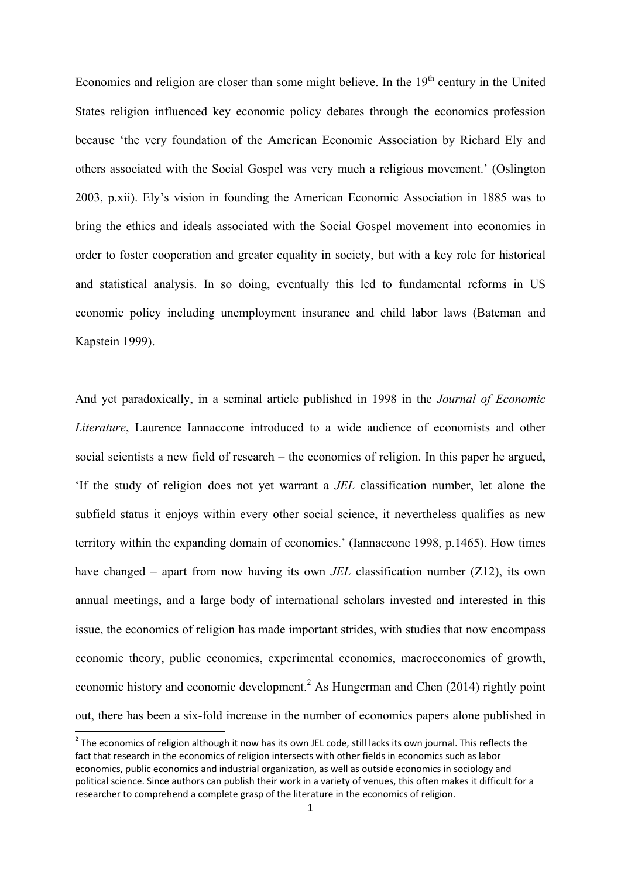Economics and religion are closer than some might believe. In the  $19<sup>th</sup>$  century in the United States religion influenced key economic policy debates through the economics profession because 'the very foundation of the American Economic Association by Richard Ely and others associated with the Social Gospel was very much a religious movement.' (Oslington 2003, p.xii). Ely's vision in founding the American Economic Association in 1885 was to bring the ethics and ideals associated with the Social Gospel movement into economics in order to foster cooperation and greater equality in society, but with a key role for historical and statistical analysis. In so doing, eventually this led to fundamental reforms in US economic policy including unemployment insurance and child labor laws (Bateman and Kapstein 1999).

And yet paradoxically, in a seminal article published in 1998 in the *Journal of Economic Literature*, Laurence Iannaccone introduced to a wide audience of economists and other social scientists a new field of research – the economics of religion. In this paper he argued, 'If the study of religion does not yet warrant a *JEL* classification number, let alone the subfield status it enjoys within every other social science, it nevertheless qualifies as new territory within the expanding domain of economics.' (Iannaccone 1998, p.1465). How times have changed – apart from now having its own *JEL* classification number (Z12), its own annual meetings, and a large body of international scholars invested and interested in this issue, the economics of religion has made important strides, with studies that now encompass economic theory, public economics, experimental economics, macroeconomics of growth, economic history and economic development.<sup>2</sup> As Hungerman and Chen (2014) rightly point out, there has been a six-fold increase in the number of economics papers alone published in

 $^2$  The economics of religion although it now has its own JEL code, still lacks its own journal. This reflects the fact that research in the economics of religion intersects with other fields in economics such as labor economics, public economics and industrial organization, as well as outside economics in sociology and political science. Since authors can publish their work in a variety of venues, this often makes it difficult for a researcher to comprehend a complete grasp of the literature in the economics of religion.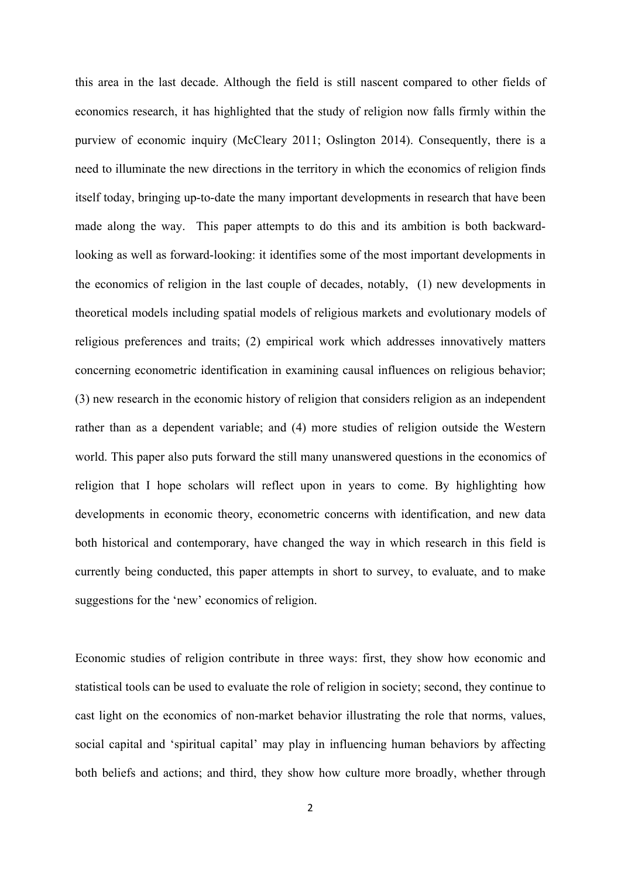this area in the last decade. Although the field is still nascent compared to other fields of economics research, it has highlighted that the study of religion now falls firmly within the purview of economic inquiry (McCleary 2011; Oslington 2014). Consequently, there is a need to illuminate the new directions in the territory in which the economics of religion finds itself today, bringing up-to-date the many important developments in research that have been made along the way. This paper attempts to do this and its ambition is both backwardlooking as well as forward-looking: it identifies some of the most important developments in the economics of religion in the last couple of decades, notably, (1) new developments in theoretical models including spatial models of religious markets and evolutionary models of religious preferences and traits; (2) empirical work which addresses innovatively matters concerning econometric identification in examining causal influences on religious behavior; (3) new research in the economic history of religion that considers religion as an independent rather than as a dependent variable; and (4) more studies of religion outside the Western world. This paper also puts forward the still many unanswered questions in the economics of religion that I hope scholars will reflect upon in years to come. By highlighting how developments in economic theory, econometric concerns with identification, and new data both historical and contemporary, have changed the way in which research in this field is currently being conducted, this paper attempts in short to survey, to evaluate, and to make suggestions for the 'new' economics of religion.

Economic studies of religion contribute in three ways: first, they show how economic and statistical tools can be used to evaluate the role of religion in society; second, they continue to cast light on the economics of non-market behavior illustrating the role that norms, values, social capital and 'spiritual capital' may play in influencing human behaviors by affecting both beliefs and actions; and third, they show how culture more broadly, whether through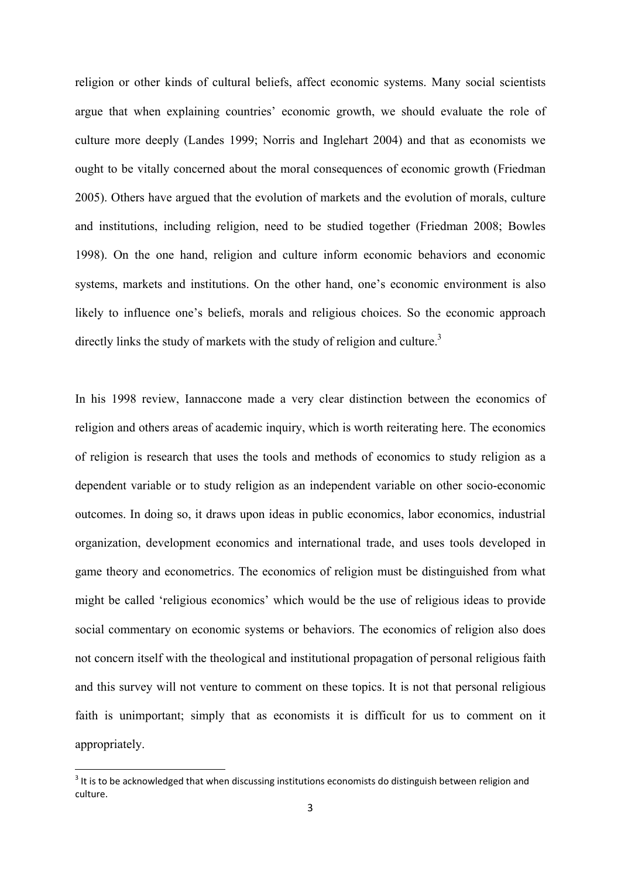religion or other kinds of cultural beliefs, affect economic systems. Many social scientists argue that when explaining countries' economic growth, we should evaluate the role of culture more deeply (Landes 1999; Norris and Inglehart 2004) and that as economists we ought to be vitally concerned about the moral consequences of economic growth (Friedman 2005). Others have argued that the evolution of markets and the evolution of morals, culture and institutions, including religion, need to be studied together (Friedman 2008; Bowles 1998). On the one hand, religion and culture inform economic behaviors and economic systems, markets and institutions. On the other hand, one's economic environment is also likely to influence one's beliefs, morals and religious choices. So the economic approach directly links the study of markets with the study of religion and culture.<sup>3</sup>

In his 1998 review, Iannaccone made a very clear distinction between the economics of religion and others areas of academic inquiry, which is worth reiterating here. The economics of religion is research that uses the tools and methods of economics to study religion as a dependent variable or to study religion as an independent variable on other socio-economic outcomes. In doing so, it draws upon ideas in public economics, labor economics, industrial organization, development economics and international trade, and uses tools developed in game theory and econometrics. The economics of religion must be distinguished from what might be called 'religious economics' which would be the use of religious ideas to provide social commentary on economic systems or behaviors. The economics of religion also does not concern itself with the theological and institutional propagation of personal religious faith and this survey will not venture to comment on these topics. It is not that personal religious faith is unimportant; simply that as economists it is difficult for us to comment on it appropriately.

 $3$  It is to be acknowledged that when discussing institutions economists do distinguish between religion and culture.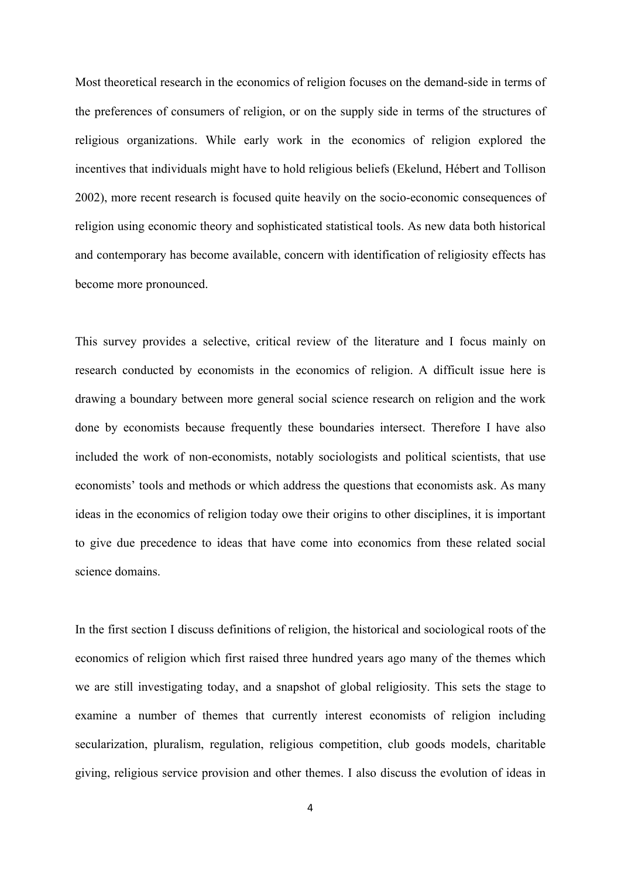Most theoretical research in the economics of religion focuses on the demand-side in terms of the preferences of consumers of religion, or on the supply side in terms of the structures of religious organizations. While early work in the economics of religion explored the incentives that individuals might have to hold religious beliefs (Ekelund, Hébert and Tollison 2002), more recent research is focused quite heavily on the socio-economic consequences of religion using economic theory and sophisticated statistical tools. As new data both historical and contemporary has become available, concern with identification of religiosity effects has become more pronounced.

This survey provides a selective, critical review of the literature and I focus mainly on research conducted by economists in the economics of religion. A difficult issue here is drawing a boundary between more general social science research on religion and the work done by economists because frequently these boundaries intersect. Therefore I have also included the work of non-economists, notably sociologists and political scientists, that use economists' tools and methods or which address the questions that economists ask. As many ideas in the economics of religion today owe their origins to other disciplines, it is important to give due precedence to ideas that have come into economics from these related social science domains.

In the first section I discuss definitions of religion, the historical and sociological roots of the economics of religion which first raised three hundred years ago many of the themes which we are still investigating today, and a snapshot of global religiosity. This sets the stage to examine a number of themes that currently interest economists of religion including secularization, pluralism, regulation, religious competition, club goods models, charitable giving, religious service provision and other themes. I also discuss the evolution of ideas in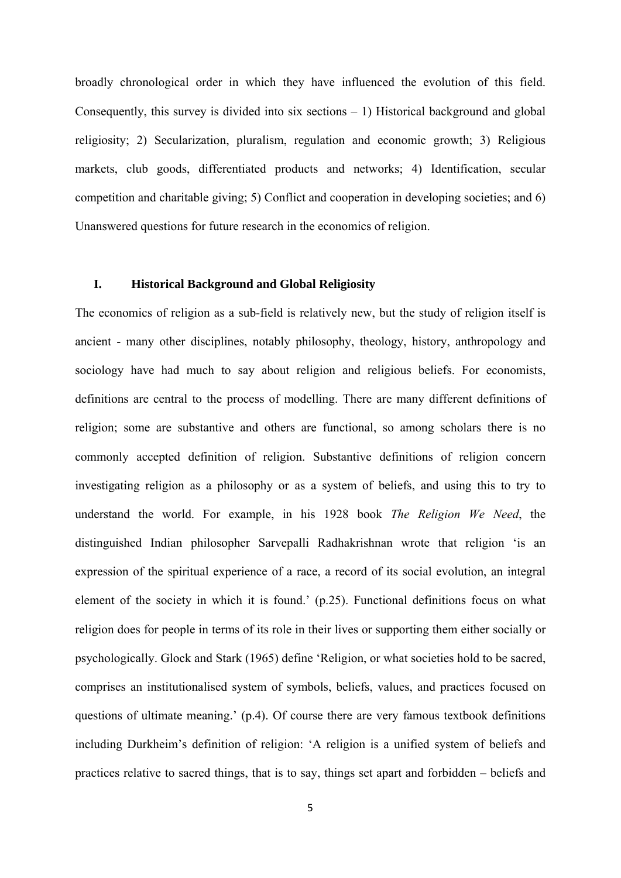broadly chronological order in which they have influenced the evolution of this field. Consequently, this survey is divided into six sections  $-1$ ) Historical background and global religiosity; 2) Secularization, pluralism, regulation and economic growth; 3) Religious markets, club goods, differentiated products and networks; 4) Identification, secular competition and charitable giving; 5) Conflict and cooperation in developing societies; and 6) Unanswered questions for future research in the economics of religion.

#### **I. Historical Background and Global Religiosity**

The economics of religion as a sub-field is relatively new, but the study of religion itself is ancient - many other disciplines, notably philosophy, theology, history, anthropology and sociology have had much to say about religion and religious beliefs. For economists, definitions are central to the process of modelling. There are many different definitions of religion; some are substantive and others are functional, so among scholars there is no commonly accepted definition of religion. Substantive definitions of religion concern investigating religion as a philosophy or as a system of beliefs, and using this to try to understand the world. For example, in his 1928 book *The Religion We Need*, the distinguished Indian philosopher Sarvepalli Radhakrishnan wrote that religion 'is an expression of the spiritual experience of a race, a record of its social evolution, an integral element of the society in which it is found.' (p.25). Functional definitions focus on what religion does for people in terms of its role in their lives or supporting them either socially or psychologically. Glock and Stark (1965) define 'Religion, or what societies hold to be sacred, comprises an institutionalised system of symbols, beliefs, values, and practices focused on questions of ultimate meaning.' (p.4). Of course there are very famous textbook definitions including Durkheim's definition of religion: 'A religion is a unified system of beliefs and practices relative to sacred things, that is to say, things set apart and forbidden – beliefs and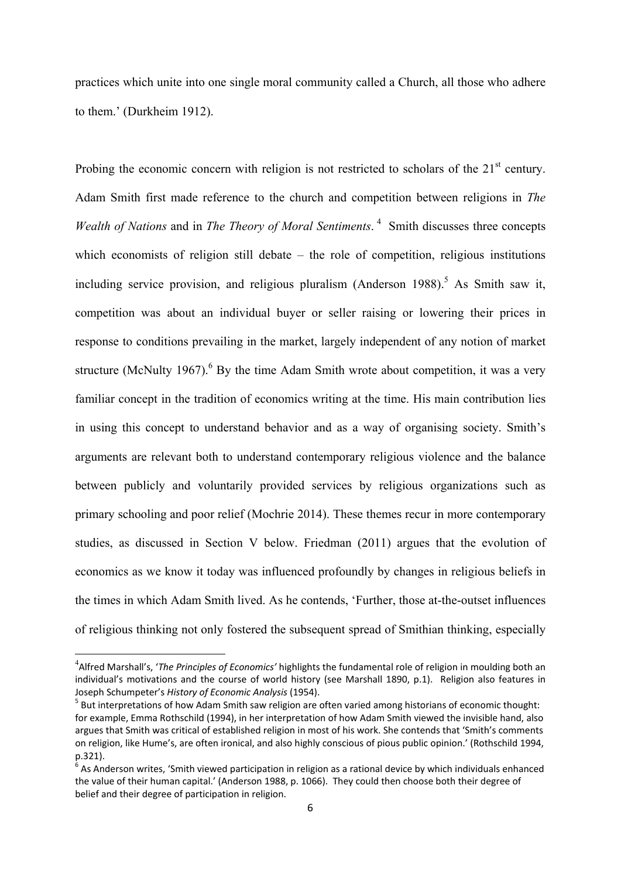practices which unite into one single moral community called a Church, all those who adhere to them.' (Durkheim 1912).

Probing the economic concern with religion is not restricted to scholars of the  $21<sup>st</sup>$  century. Adam Smith first made reference to the church and competition between religions in *The Wealth of Nations* and in *The Theory of Moral Sentiments*.<sup>4</sup> Smith discusses three concepts which economists of religion still debate – the role of competition, religious institutions including service provision, and religious pluralism (Anderson  $1988$ ).<sup>5</sup> As Smith saw it, competition was about an individual buyer or seller raising or lowering their prices in response to conditions prevailing in the market, largely independent of any notion of market structure (McNulty 1967). <sup>6</sup> By the time Adam Smith wrote about competition, it was a very familiar concept in the tradition of economics writing at the time. His main contribution lies in using this concept to understand behavior and as a way of organising society. Smith's arguments are relevant both to understand contemporary religious violence and the balance between publicly and voluntarily provided services by religious organizations such as primary schooling and poor relief (Mochrie 2014). These themes recur in more contemporary studies, as discussed in Section V below. Friedman (2011) argues that the evolution of economics as we know it today was influenced profoundly by changes in religious beliefs in the times in which Adam Smith lived. As he contends, 'Further, those at-the-outset influences of religious thinking not only fostered the subsequent spread of Smithian thinking, especially

<sup>4</sup> Alfred Marshall's, '*The Principles of Economics'* highlights the fundamental role of religion in moulding both an individual's motivations and the course of world history (see Marshall 1890, p.1). Religion also features in Joseph Schumpeter's *History of Economic Analysis* (1954).<br><sup>5</sup> But interpretations of how Adam Smith saw religion are often varied among historians of economic thought:

for example, Emma Rothschild (1994), in her interpretation of how Adam Smith viewed the invisible hand, also argues that Smith was critical of established religion in most of his work. She contends that 'Smith's comments on religion, like Hume's, are often ironical, and also highly conscious of pious public opinion.' (Rothschild 1994, p.321).

 $6$  As Anderson writes, 'Smith viewed participation in religion as a rational device by which individuals enhanced the value of their human capital.' (Anderson 1988, p. 1066). They could then choose both their degree of belief and their degree of participation in religion.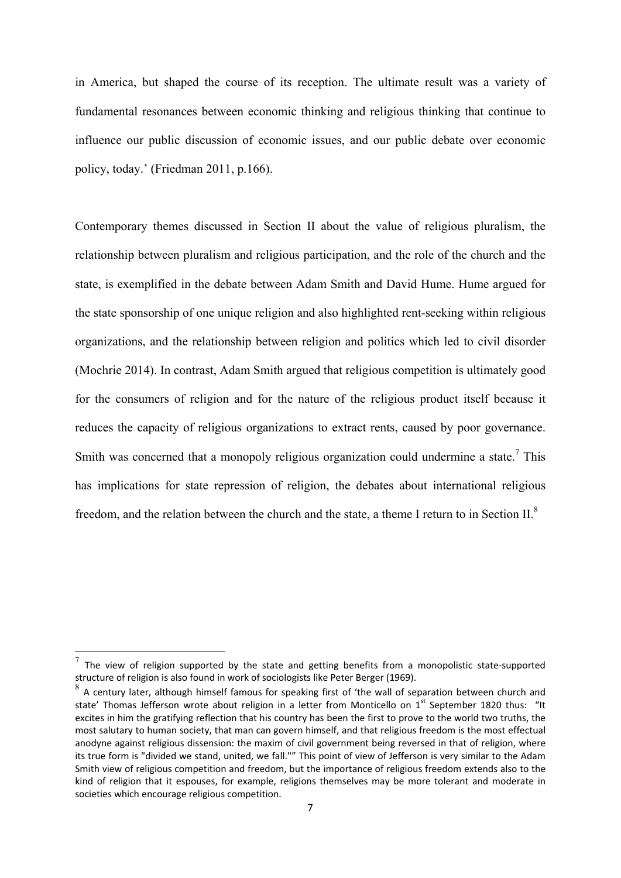in America, but shaped the course of its reception. The ultimate result was a variety of fundamental resonances between economic thinking and religious thinking that continue to influence our public discussion of economic issues, and our public debate over economic policy, today.' (Friedman 2011, p.166).

Contemporary themes discussed in Section II about the value of religious pluralism, the relationship between pluralism and religious participation, and the role of the church and the state, is exemplified in the debate between Adam Smith and David Hume. Hume argued for the state sponsorship of one unique religion and also highlighted rent-seeking within religious organizations, and the relationship between religion and politics which led to civil disorder (Mochrie 2014). In contrast, Adam Smith argued that religious competition is ultimately good for the consumers of religion and for the nature of the religious product itself because it reduces the capacity of religious organizations to extract rents, caused by poor governance. Smith was concerned that a monopoly religious organization could undermine a state.<sup>7</sup> This has implications for state repression of religion, the debates about international religious freedom, and the relation between the church and the state, a theme I return to in Section II. $^8$ 

The view of religion supported by the state and getting benefits from a monopolistic state-supported structure of religion is also found in work of sociologists like Peter Berger (1969).

 $8<sup>8</sup>$  A century later, although himself famous for speaking first of 'the wall of separation between church and state' Thomas Jefferson wrote about religion in a letter from Monticello on 1<sup>st</sup> September 1820 thus: "It excites in him the gratifying reflection that his country has been the first to prove to the world two truths, the most salutary to human society, that man can govern himself, and that religious freedom is the most effectual anodyne against religious dissension: the maxim of civil government being reversed in that of religion, where its true form is "divided we stand, united, we fall."" This point of view of Jefferson is very similar to the Adam Smith view of religious competition and freedom, but the importance of religious freedom extends also to the kind of religion that it espouses, for example, religions themselves may be more tolerant and moderate in societies which encourage religious competition.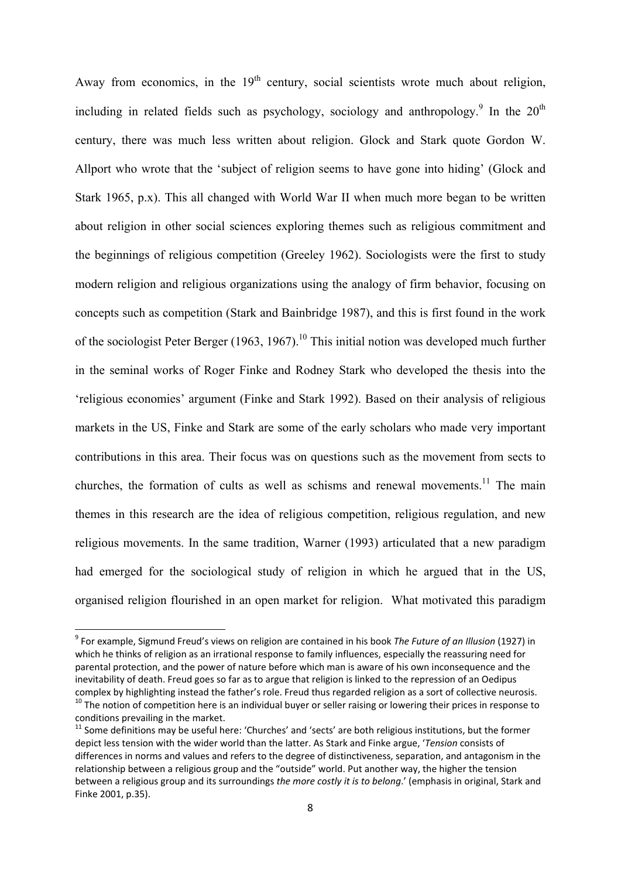Away from economics, in the  $19<sup>th</sup>$  century, social scientists wrote much about religion, including in related fields such as psychology, sociology and anthropology.<sup>9</sup> In the  $20<sup>th</sup>$ century, there was much less written about religion. Glock and Stark quote Gordon W. Allport who wrote that the 'subject of religion seems to have gone into hiding' (Glock and Stark 1965, p.x). This all changed with World War II when much more began to be written about religion in other social sciences exploring themes such as religious commitment and the beginnings of religious competition (Greeley 1962). Sociologists were the first to study modern religion and religious organizations using the analogy of firm behavior, focusing on concepts such as competition (Stark and Bainbridge 1987), and this is first found in the work of the sociologist Peter Berger (1963, 1967).<sup>10</sup> This initial notion was developed much further in the seminal works of Roger Finke and Rodney Stark who developed the thesis into the 'religious economies' argument (Finke and Stark 1992). Based on their analysis of religious markets in the US, Finke and Stark are some of the early scholars who made very important contributions in this area. Their focus was on questions such as the movement from sects to churches, the formation of cults as well as schisms and renewal movements.<sup>11</sup> The main themes in this research are the idea of religious competition, religious regulation, and new religious movements. In the same tradition, Warner (1993) articulated that a new paradigm had emerged for the sociological study of religion in which he argued that in the US, organised religion flourished in an open market for religion. What motivated this paradigm

<sup>9</sup> For example, Sigmund Freud's views on religion are contained in his book *The Future of an Illusion* (1927) in which he thinks of religion as an irrational response to family influences, especially the reassuring need for parental protection, and the power of nature before which man is aware of his own inconsequence and the inevitability of death. Freud goes so far as to argue that religion is linked to the repression of an Oedipus complex by highlighting instead the father's role. Freud thus regarded religion as a sort of collective neurosis.<br><sup>10</sup> The notion of competition here is an individual buyer or seller raising or lowering their prices in res

 $11$  Some definitions may be useful here: 'Churches' and 'sects' are both religious institutions, but the former depict less tension with the wider world than the latter. As Stark and Finke argue, '*Tension* consists of differences in norms and values and refers to the degree of distinctiveness, separation, and antagonism in the relationship between a religious group and the "outside" world. Put another way, the higher the tension between a religious group and its surroundings *the more costly it is to belong*.' (emphasis in original, Stark and Finke 2001, p.35).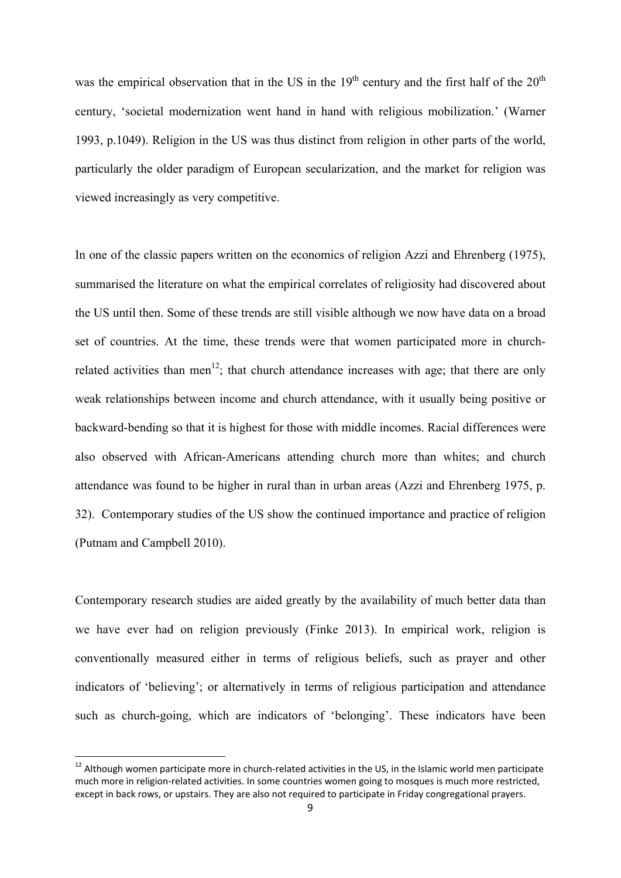was the empirical observation that in the US in the  $19<sup>th</sup>$  century and the first half of the  $20<sup>th</sup>$ century, 'societal modernization went hand in hand with religious mobilization.' (Warner 1993, p.1049). Religion in the US was thus distinct from religion in other parts of the world, particularly the older paradigm of European secularization, and the market for religion was viewed increasingly as very competitive.

In one of the classic papers written on the economics of religion Azzi and Ehrenberg (1975), summarised the literature on what the empirical correlates of religiosity had discovered about the US until then. Some of these trends are still visible although we now have data on a broad set of countries. At the time, these trends were that women participated more in churchrelated activities than men<sup>12</sup>; that church attendance increases with age; that there are only weak relationships between income and church attendance, with it usually being positive or backward-bending so that it is highest for those with middle incomes. Racial differences were also observed with African-Americans attending church more than whites; and church attendance was found to be higher in rural than in urban areas (Azzi and Ehrenberg 1975, p. 32). Contemporary studies of the US show the continued importance and practice of religion (Putnam and Campbell 2010).

Contemporary research studies are aided greatly by the availability of much better data than we have ever had on religion previously (Finke 2013). In empirical work, religion is conventionally measured either in terms of religious beliefs, such as prayer and other indicators of 'believing'; or alternatively in terms of religious participation and attendance such as church-going, which are indicators of 'belonging'. These indicators have been

<sup>&</sup>lt;sup>12</sup> Although women participate more in church-related activities in the US, in the Islamic world men participate much more in religion‐related activities. In some countries women going to mosques is much more restricted, except in back rows, or upstairs. They are also not required to participate in Friday congregational prayers.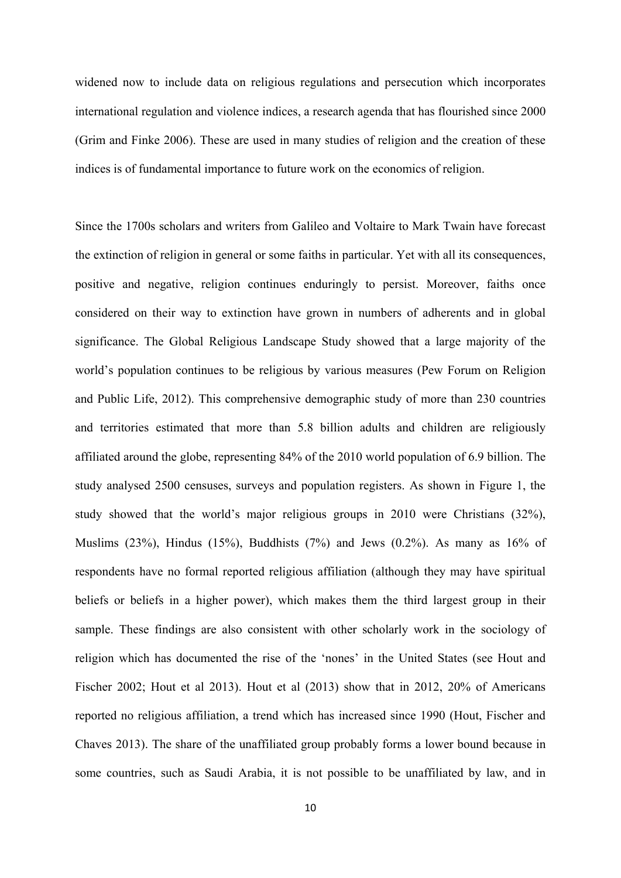widened now to include data on religious regulations and persecution which incorporates international regulation and violence indices, a research agenda that has flourished since 2000 (Grim and Finke 2006). These are used in many studies of religion and the creation of these indices is of fundamental importance to future work on the economics of religion.

Since the 1700s scholars and writers from Galileo and Voltaire to Mark Twain have forecast the extinction of religion in general or some faiths in particular. Yet with all its consequences, positive and negative, religion continues enduringly to persist. Moreover, faiths once considered on their way to extinction have grown in numbers of adherents and in global significance. The Global Religious Landscape Study showed that a large majority of the world's population continues to be religious by various measures (Pew Forum on Religion and Public Life, 2012). This comprehensive demographic study of more than 230 countries and territories estimated that more than 5.8 billion adults and children are religiously affiliated around the globe, representing 84% of the 2010 world population of 6.9 billion. The study analysed 2500 censuses, surveys and population registers. As shown in Figure 1, the study showed that the world's major religious groups in 2010 were Christians (32%), Muslims (23%), Hindus (15%), Buddhists (7%) and Jews (0.2%). As many as  $16\%$  of respondents have no formal reported religious affiliation (although they may have spiritual beliefs or beliefs in a higher power), which makes them the third largest group in their sample. These findings are also consistent with other scholarly work in the sociology of religion which has documented the rise of the 'nones' in the United States (see Hout and Fischer 2002; Hout et al 2013). Hout et al (2013) show that in 2012, 20% of Americans reported no religious affiliation, a trend which has increased since 1990 (Hout, Fischer and Chaves 2013). The share of the unaffiliated group probably forms a lower bound because in some countries, such as Saudi Arabia, it is not possible to be unaffiliated by law, and in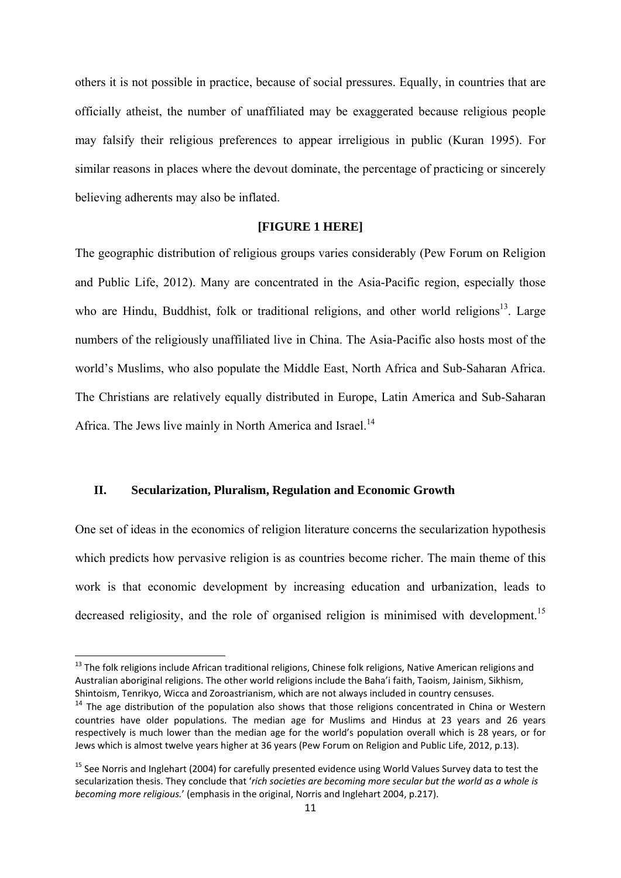others it is not possible in practice, because of social pressures. Equally, in countries that are officially atheist, the number of unaffiliated may be exaggerated because religious people may falsify their religious preferences to appear irreligious in public (Kuran 1995). For similar reasons in places where the devout dominate, the percentage of practicing or sincerely believing adherents may also be inflated.

#### **[FIGURE 1 HERE]**

The geographic distribution of religious groups varies considerably (Pew Forum on Religion and Public Life, 2012). Many are concentrated in the Asia-Pacific region, especially those who are Hindu, Buddhist, folk or traditional religions, and other world religions<sup>13</sup>. Large numbers of the religiously unaffiliated live in China. The Asia-Pacific also hosts most of the world's Muslims, who also populate the Middle East, North Africa and Sub-Saharan Africa. The Christians are relatively equally distributed in Europe, Latin America and Sub-Saharan Africa. The Jews live mainly in North America and Israel.<sup>14</sup>

#### **II. Secularization, Pluralism, Regulation and Economic Growth**

One set of ideas in the economics of religion literature concerns the secularization hypothesis which predicts how pervasive religion is as countries become richer. The main theme of this work is that economic development by increasing education and urbanization, leads to decreased religiosity, and the role of organised religion is minimised with development.<sup>15</sup>

<sup>&</sup>lt;sup>13</sup> The folk religions include African traditional religions, Chinese folk religions, Native American religions and Australian aboriginal religions. The other world religions include the Baha'i faith, Taoism, Jainism, Sikhism, Shintoism, Tenrikyo, Wicca and Zoroastrianism, which are not always included in country censuses.

 $14$  The age distribution of the population also shows that those religions concentrated in China or Western countries have older populations. The median age for Muslims and Hindus at 23 years and 26 years respectively is much lower than the median age for the world's population overall which is 28 years, or for Jews which is almost twelve years higher at 36 years (Pew Forum on Religion and Public Life, 2012, p.13).

<sup>&</sup>lt;sup>15</sup> See Norris and Inglehart (2004) for carefully presented evidence using World Values Survey data to test the secularization thesis. They conclude that '*rich societies are becoming more secular but the world as a whole is becoming more religious.*' (emphasis in the original, Norris and Inglehart 2004, p.217).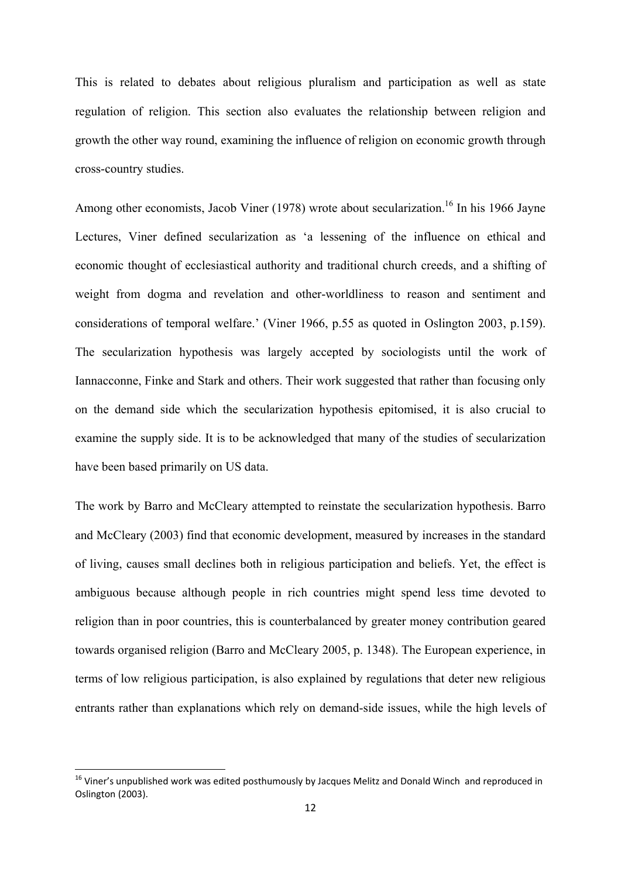This is related to debates about religious pluralism and participation as well as state regulation of religion. This section also evaluates the relationship between religion and growth the other way round, examining the influence of religion on economic growth through cross-country studies.

Among other economists, Jacob Viner (1978) wrote about secularization.<sup>16</sup> In his 1966 Jayne Lectures, Viner defined secularization as 'a lessening of the influence on ethical and economic thought of ecclesiastical authority and traditional church creeds, and a shifting of weight from dogma and revelation and other-worldliness to reason and sentiment and considerations of temporal welfare.' (Viner 1966, p.55 as quoted in Oslington 2003, p.159). The secularization hypothesis was largely accepted by sociologists until the work of Iannacconne, Finke and Stark and others. Their work suggested that rather than focusing only on the demand side which the secularization hypothesis epitomised, it is also crucial to examine the supply side. It is to be acknowledged that many of the studies of secularization have been based primarily on US data.

The work by Barro and McCleary attempted to reinstate the secularization hypothesis. Barro and McCleary (2003) find that economic development, measured by increases in the standard of living, causes small declines both in religious participation and beliefs. Yet, the effect is ambiguous because although people in rich countries might spend less time devoted to religion than in poor countries, this is counterbalanced by greater money contribution geared towards organised religion (Barro and McCleary 2005, p. 1348). The European experience, in terms of low religious participation, is also explained by regulations that deter new religious entrants rather than explanations which rely on demand-side issues, while the high levels of

<sup>&</sup>lt;sup>16</sup> Viner's unpublished work was edited posthumously by Jacques Melitz and Donald Winch and reproduced in Oslington (2003).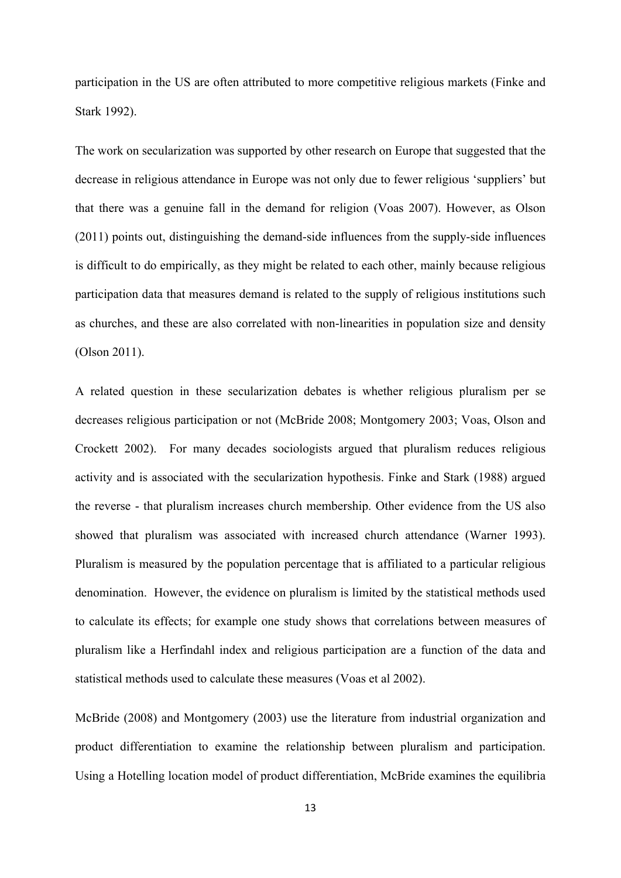participation in the US are often attributed to more competitive religious markets (Finke and Stark 1992).

The work on secularization was supported by other research on Europe that suggested that the decrease in religious attendance in Europe was not only due to fewer religious 'suppliers' but that there was a genuine fall in the demand for religion (Voas 2007). However, as Olson (2011) points out, distinguishing the demand-side influences from the supply-side influences is difficult to do empirically, as they might be related to each other, mainly because religious participation data that measures demand is related to the supply of religious institutions such as churches, and these are also correlated with non-linearities in population size and density (Olson 2011).

A related question in these secularization debates is whether religious pluralism per se decreases religious participation or not (McBride 2008; Montgomery 2003; Voas, Olson and Crockett 2002). For many decades sociologists argued that pluralism reduces religious activity and is associated with the secularization hypothesis. Finke and Stark (1988) argued the reverse - that pluralism increases church membership. Other evidence from the US also showed that pluralism was associated with increased church attendance (Warner 1993). Pluralism is measured by the population percentage that is affiliated to a particular religious denomination. However, the evidence on pluralism is limited by the statistical methods used to calculate its effects; for example one study shows that correlations between measures of pluralism like a Herfindahl index and religious participation are a function of the data and statistical methods used to calculate these measures (Voas et al 2002).

McBride (2008) and Montgomery (2003) use the literature from industrial organization and product differentiation to examine the relationship between pluralism and participation. Using a Hotelling location model of product differentiation, McBride examines the equilibria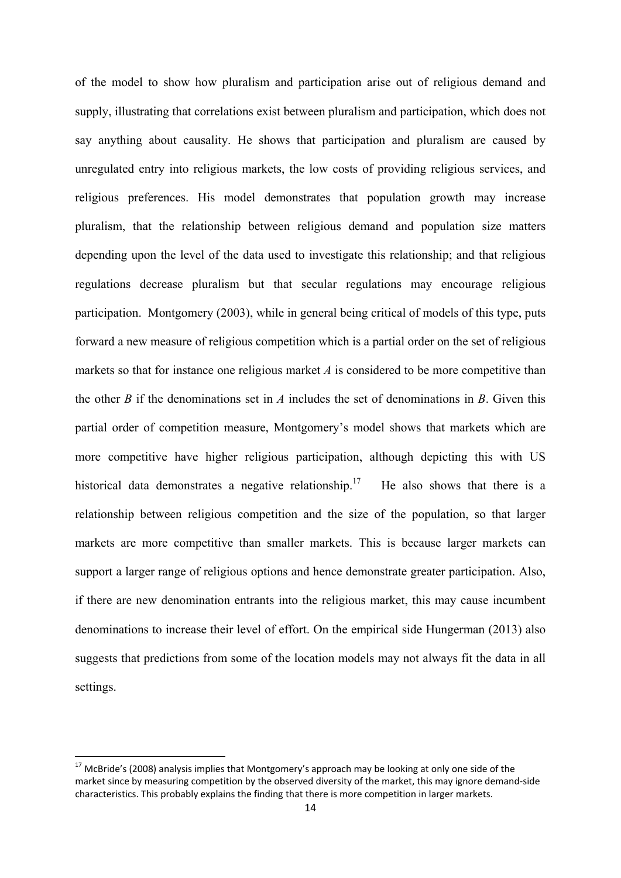of the model to show how pluralism and participation arise out of religious demand and supply, illustrating that correlations exist between pluralism and participation, which does not say anything about causality. He shows that participation and pluralism are caused by unregulated entry into religious markets, the low costs of providing religious services, and religious preferences. His model demonstrates that population growth may increase pluralism, that the relationship between religious demand and population size matters depending upon the level of the data used to investigate this relationship; and that religious regulations decrease pluralism but that secular regulations may encourage religious participation. Montgomery (2003), while in general being critical of models of this type, puts forward a new measure of religious competition which is a partial order on the set of religious markets so that for instance one religious market *A* is considered to be more competitive than the other *B* if the denominations set in *A* includes the set of denominations in *B*. Given this partial order of competition measure, Montgomery's model shows that markets which are more competitive have higher religious participation, although depicting this with US historical data demonstrates a negative relationship.<sup>17</sup> He also shows that there is a relationship between religious competition and the size of the population, so that larger markets are more competitive than smaller markets. This is because larger markets can support a larger range of religious options and hence demonstrate greater participation. Also, if there are new denomination entrants into the religious market, this may cause incumbent denominations to increase their level of effort. On the empirical side Hungerman (2013) also suggests that predictions from some of the location models may not always fit the data in all settings.

 $^{17}$  McBride's (2008) analysis implies that Montgomery's approach may be looking at only one side of the market since by measuring competition by the observed diversity of the market, this may ignore demand‐side characteristics. This probably explains the finding that there is more competition in larger markets.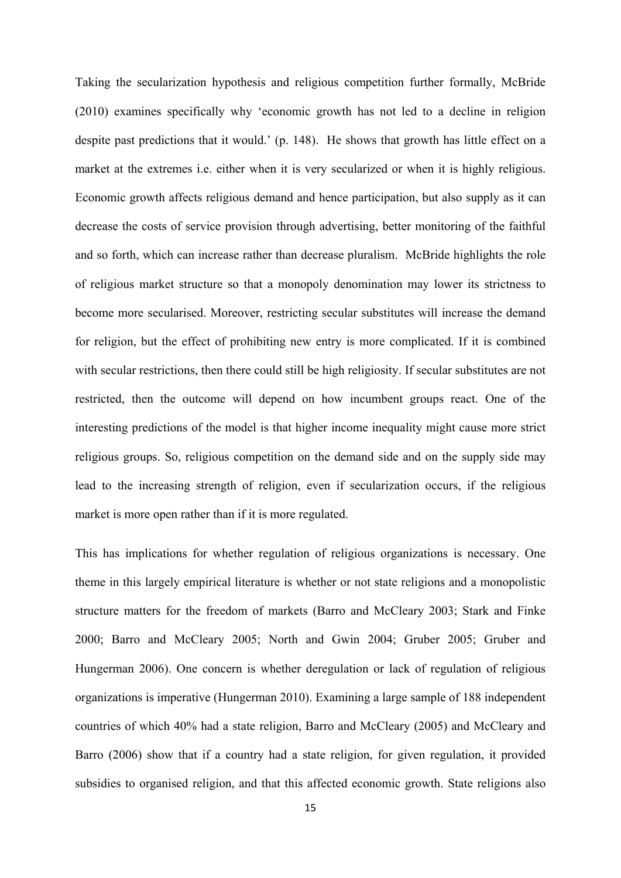Taking the secularization hypothesis and religious competition further formally, McBride (2010) examines specifically why 'economic growth has not led to a decline in religion despite past predictions that it would.' (p. 148). He shows that growth has little effect on a market at the extremes i.e. either when it is very secularized or when it is highly religious. Economic growth affects religious demand and hence participation, but also supply as it can decrease the costs of service provision through advertising, better monitoring of the faithful and so forth, which can increase rather than decrease pluralism. McBride highlights the role of religious market structure so that a monopoly denomination may lower its strictness to become more secularised. Moreover, restricting secular substitutes will increase the demand for religion, but the effect of prohibiting new entry is more complicated. If it is combined with secular restrictions, then there could still be high religiosity. If secular substitutes are not restricted, then the outcome will depend on how incumbent groups react. One of the interesting predictions of the model is that higher income inequality might cause more strict religious groups. So, religious competition on the demand side and on the supply side may lead to the increasing strength of religion, even if secularization occurs, if the religious market is more open rather than if it is more regulated.

This has implications for whether regulation of religious organizations is necessary. One theme in this largely empirical literature is whether or not state religions and a monopolistic structure matters for the freedom of markets (Barro and McCleary 2003; Stark and Finke 2000; Barro and McCleary 2005; North and Gwin 2004; Gruber 2005; Gruber and Hungerman 2006). One concern is whether deregulation or lack of regulation of religious organizations is imperative (Hungerman 2010). Examining a large sample of 188 independent countries of which 40% had a state religion, Barro and McCleary (2005) and McCleary and Barro (2006) show that if a country had a state religion, for given regulation, it provided subsidies to organised religion, and that this affected economic growth. State religions also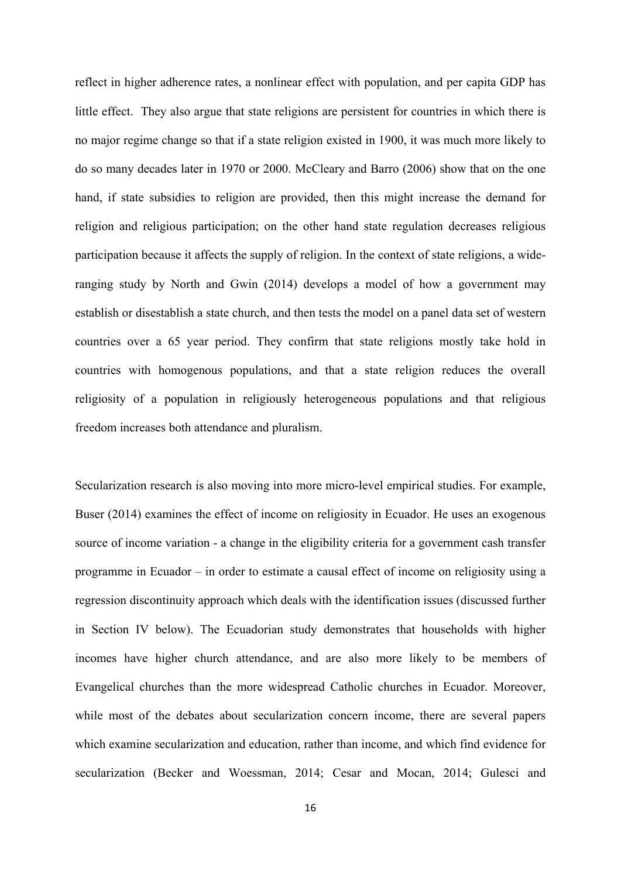reflect in higher adherence rates, a nonlinear effect with population, and per capita GDP has little effect. They also argue that state religions are persistent for countries in which there is no major regime change so that if a state religion existed in 1900, it was much more likely to do so many decades later in 1970 or 2000. McCleary and Barro (2006) show that on the one hand, if state subsidies to religion are provided, then this might increase the demand for religion and religious participation; on the other hand state regulation decreases religious participation because it affects the supply of religion. In the context of state religions, a wideranging study by North and Gwin (2014) develops a model of how a government may establish or disestablish a state church, and then tests the model on a panel data set of western countries over a 65 year period. They confirm that state religions mostly take hold in countries with homogenous populations, and that a state religion reduces the overall religiosity of a population in religiously heterogeneous populations and that religious freedom increases both attendance and pluralism.

Secularization research is also moving into more micro-level empirical studies. For example, Buser (2014) examines the effect of income on religiosity in Ecuador. He uses an exogenous source of income variation - a change in the eligibility criteria for a government cash transfer programme in Ecuador – in order to estimate a causal effect of income on religiosity using a regression discontinuity approach which deals with the identification issues (discussed further in Section IV below). The Ecuadorian study demonstrates that households with higher incomes have higher church attendance, and are also more likely to be members of Evangelical churches than the more widespread Catholic churches in Ecuador. Moreover, while most of the debates about secularization concern income, there are several papers which examine secularization and education, rather than income, and which find evidence for secularization (Becker and Woessman, 2014; Cesar and Mocan, 2014; Gulesci and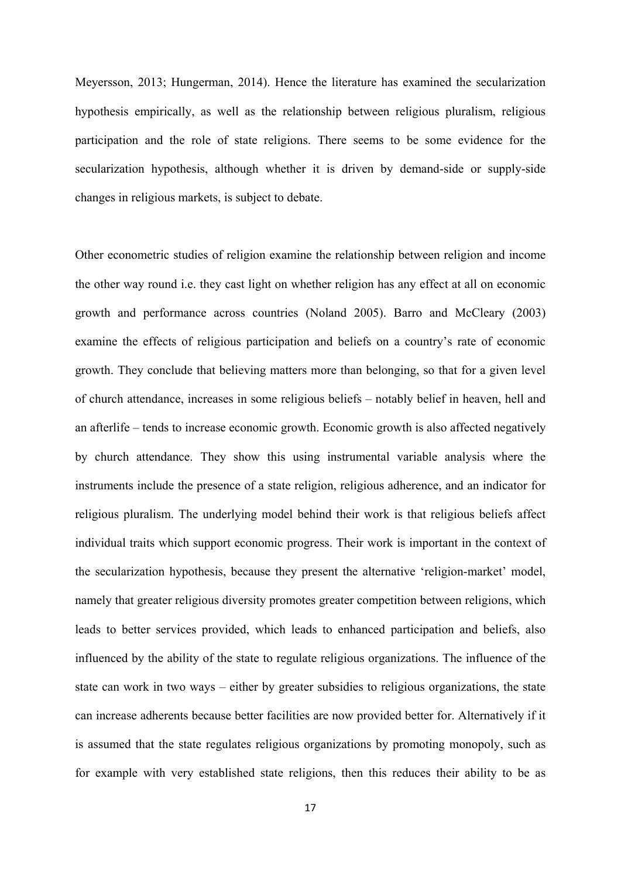Meyersson, 2013; Hungerman, 2014). Hence the literature has examined the secularization hypothesis empirically, as well as the relationship between religious pluralism, religious participation and the role of state religions. There seems to be some evidence for the secularization hypothesis, although whether it is driven by demand-side or supply-side changes in religious markets, is subject to debate.

Other econometric studies of religion examine the relationship between religion and income the other way round i.e. they cast light on whether religion has any effect at all on economic growth and performance across countries (Noland 2005). Barro and McCleary (2003) examine the effects of religious participation and beliefs on a country's rate of economic growth. They conclude that believing matters more than belonging, so that for a given level of church attendance, increases in some religious beliefs – notably belief in heaven, hell and an afterlife – tends to increase economic growth. Economic growth is also affected negatively by church attendance. They show this using instrumental variable analysis where the instruments include the presence of a state religion, religious adherence, and an indicator for religious pluralism. The underlying model behind their work is that religious beliefs affect individual traits which support economic progress. Their work is important in the context of the secularization hypothesis, because they present the alternative 'religion-market' model, namely that greater religious diversity promotes greater competition between religions, which leads to better services provided, which leads to enhanced participation and beliefs, also influenced by the ability of the state to regulate religious organizations. The influence of the state can work in two ways – either by greater subsidies to religious organizations, the state can increase adherents because better facilities are now provided better for. Alternatively if it is assumed that the state regulates religious organizations by promoting monopoly, such as for example with very established state religions, then this reduces their ability to be as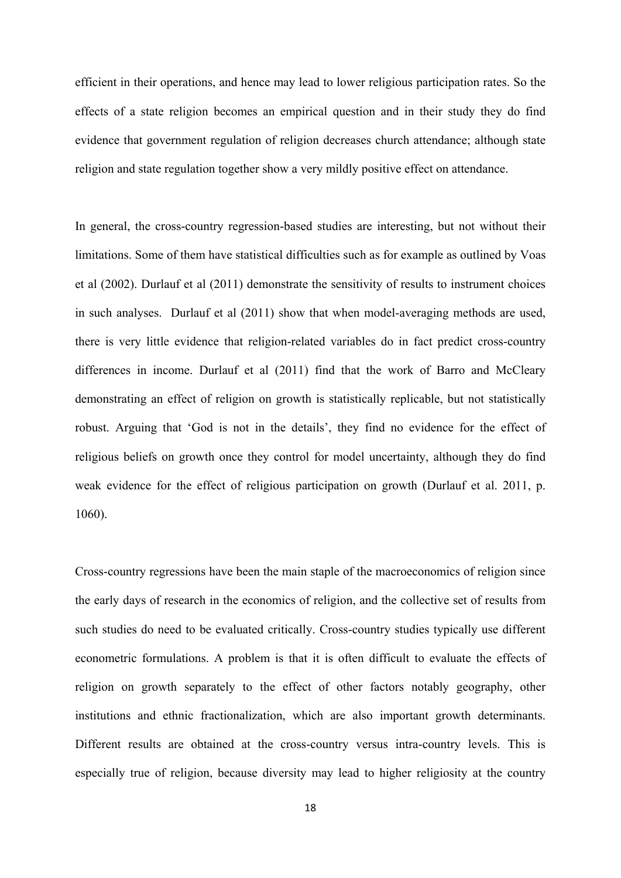efficient in their operations, and hence may lead to lower religious participation rates. So the effects of a state religion becomes an empirical question and in their study they do find evidence that government regulation of religion decreases church attendance; although state religion and state regulation together show a very mildly positive effect on attendance.

In general, the cross-country regression-based studies are interesting, but not without their limitations. Some of them have statistical difficulties such as for example as outlined by Voas et al (2002). Durlauf et al (2011) demonstrate the sensitivity of results to instrument choices in such analyses. Durlauf et al (2011) show that when model-averaging methods are used, there is very little evidence that religion-related variables do in fact predict cross-country differences in income. Durlauf et al (2011) find that the work of Barro and McCleary demonstrating an effect of religion on growth is statistically replicable, but not statistically robust. Arguing that 'God is not in the details', they find no evidence for the effect of religious beliefs on growth once they control for model uncertainty, although they do find weak evidence for the effect of religious participation on growth (Durlauf et al. 2011, p. 1060).

Cross-country regressions have been the main staple of the macroeconomics of religion since the early days of research in the economics of religion, and the collective set of results from such studies do need to be evaluated critically. Cross-country studies typically use different econometric formulations. A problem is that it is often difficult to evaluate the effects of religion on growth separately to the effect of other factors notably geography, other institutions and ethnic fractionalization, which are also important growth determinants. Different results are obtained at the cross-country versus intra-country levels. This is especially true of religion, because diversity may lead to higher religiosity at the country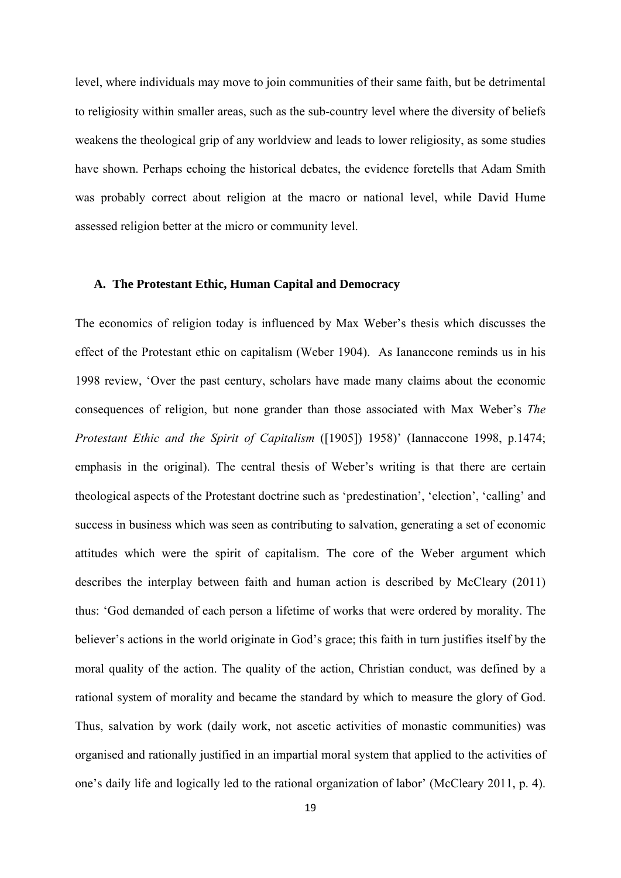level, where individuals may move to join communities of their same faith, but be detrimental to religiosity within smaller areas, such as the sub-country level where the diversity of beliefs weakens the theological grip of any worldview and leads to lower religiosity, as some studies have shown. Perhaps echoing the historical debates, the evidence foretells that Adam Smith was probably correct about religion at the macro or national level, while David Hume assessed religion better at the micro or community level.

#### **A. The Protestant Ethic, Human Capital and Democracy**

The economics of religion today is influenced by Max Weber's thesis which discusses the effect of the Protestant ethic on capitalism (Weber 1904). As Iananccone reminds us in his 1998 review, 'Over the past century, scholars have made many claims about the economic consequences of religion, but none grander than those associated with Max Weber's *The Protestant Ethic and the Spirit of Capitalism* ([1905]) 1958)' (Iannaccone 1998, p.1474; emphasis in the original). The central thesis of Weber's writing is that there are certain theological aspects of the Protestant doctrine such as 'predestination', 'election', 'calling' and success in business which was seen as contributing to salvation, generating a set of economic attitudes which were the spirit of capitalism. The core of the Weber argument which describes the interplay between faith and human action is described by McCleary (2011) thus: 'God demanded of each person a lifetime of works that were ordered by morality. The believer's actions in the world originate in God's grace; this faith in turn justifies itself by the moral quality of the action. The quality of the action, Christian conduct, was defined by a rational system of morality and became the standard by which to measure the glory of God. Thus, salvation by work (daily work, not ascetic activities of monastic communities) was organised and rationally justified in an impartial moral system that applied to the activities of one's daily life and logically led to the rational organization of labor' (McCleary 2011, p. 4).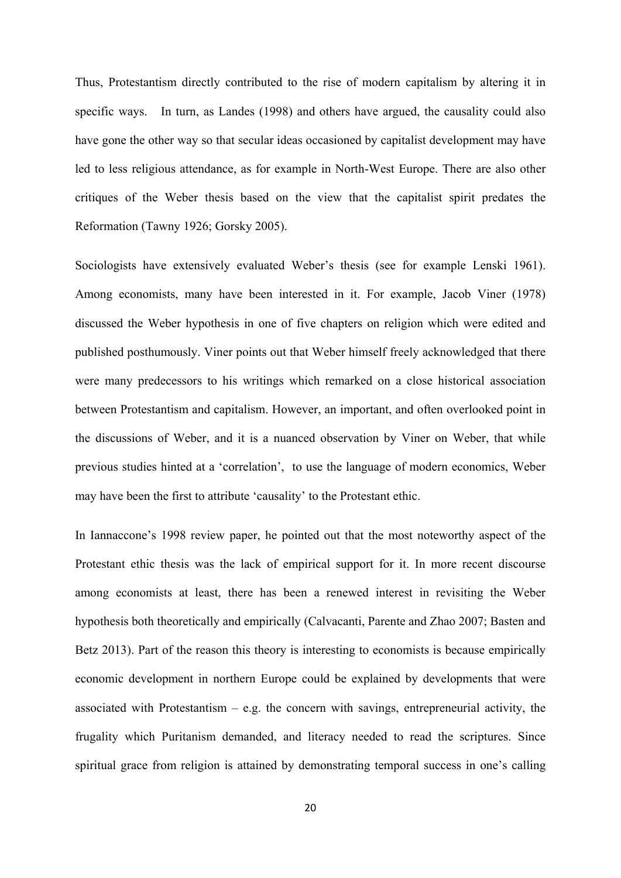Thus, Protestantism directly contributed to the rise of modern capitalism by altering it in specific ways. In turn, as Landes (1998) and others have argued, the causality could also have gone the other way so that secular ideas occasioned by capitalist development may have led to less religious attendance, as for example in North-West Europe. There are also other critiques of the Weber thesis based on the view that the capitalist spirit predates the Reformation (Tawny 1926; Gorsky 2005).

Sociologists have extensively evaluated Weber's thesis (see for example Lenski 1961). Among economists, many have been interested in it. For example, Jacob Viner (1978) discussed the Weber hypothesis in one of five chapters on religion which were edited and published posthumously. Viner points out that Weber himself freely acknowledged that there were many predecessors to his writings which remarked on a close historical association between Protestantism and capitalism. However, an important, and often overlooked point in the discussions of Weber, and it is a nuanced observation by Viner on Weber, that while previous studies hinted at a 'correlation', to use the language of modern economics, Weber may have been the first to attribute 'causality' to the Protestant ethic.

In Iannaccone's 1998 review paper, he pointed out that the most noteworthy aspect of the Protestant ethic thesis was the lack of empirical support for it. In more recent discourse among economists at least, there has been a renewed interest in revisiting the Weber hypothesis both theoretically and empirically (Calvacanti, Parente and Zhao 2007; Basten and Betz 2013). Part of the reason this theory is interesting to economists is because empirically economic development in northern Europe could be explained by developments that were associated with Protestantism – e.g. the concern with savings, entrepreneurial activity, the frugality which Puritanism demanded, and literacy needed to read the scriptures. Since spiritual grace from religion is attained by demonstrating temporal success in one's calling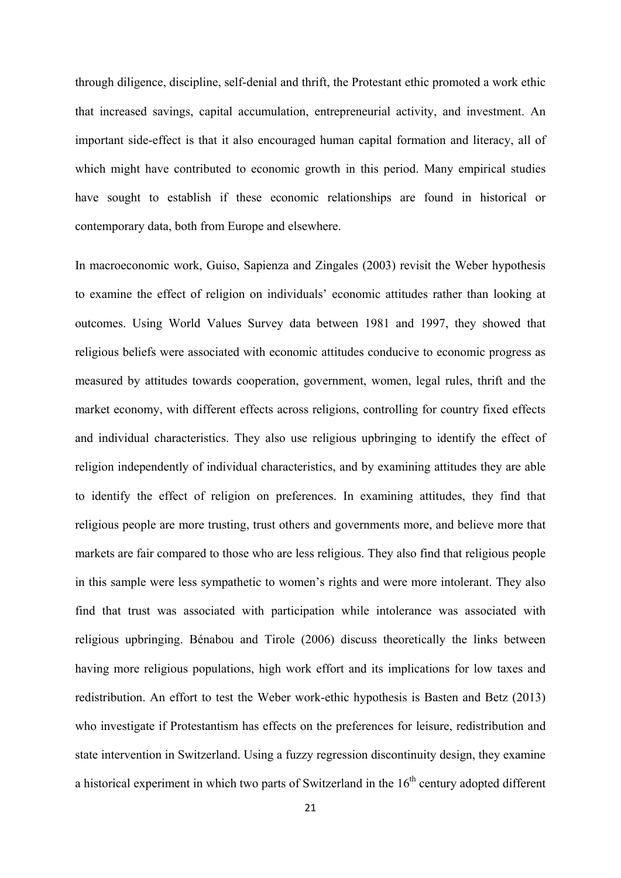through diligence, discipline, self-denial and thrift, the Protestant ethic promoted a work ethic that increased savings, capital accumulation, entrepreneurial activity, and investment. An important side-effect is that it also encouraged human capital formation and literacy, all of which might have contributed to economic growth in this period. Many empirical studies have sought to establish if these economic relationships are found in historical or contemporary data, both from Europe and elsewhere.

In macroeconomic work, Guiso, Sapienza and Zingales (2003) revisit the Weber hypothesis to examine the effect of religion on individuals' economic attitudes rather than looking at outcomes. Using World Values Survey data between 1981 and 1997, they showed that religious beliefs were associated with economic attitudes conducive to economic progress as measured by attitudes towards cooperation, government, women, legal rules, thrift and the market economy, with different effects across religions, controlling for country fixed effects and individual characteristics. They also use religious upbringing to identify the effect of religion independently of individual characteristics, and by examining attitudes they are able to identify the effect of religion on preferences. In examining attitudes, they find that religious people are more trusting, trust others and governments more, and believe more that markets are fair compared to those who are less religious. They also find that religious people in this sample were less sympathetic to women's rights and were more intolerant. They also find that trust was associated with participation while intolerance was associated with religious upbringing. Bénabou and Tirole (2006) discuss theoretically the links between having more religious populations, high work effort and its implications for low taxes and redistribution. An effort to test the Weber work-ethic hypothesis is Basten and Betz (2013) who investigate if Protestantism has effects on the preferences for leisure, redistribution and state intervention in Switzerland. Using a fuzzy regression discontinuity design, they examine a historical experiment in which two parts of Switzerland in the  $16<sup>th</sup>$  century adopted different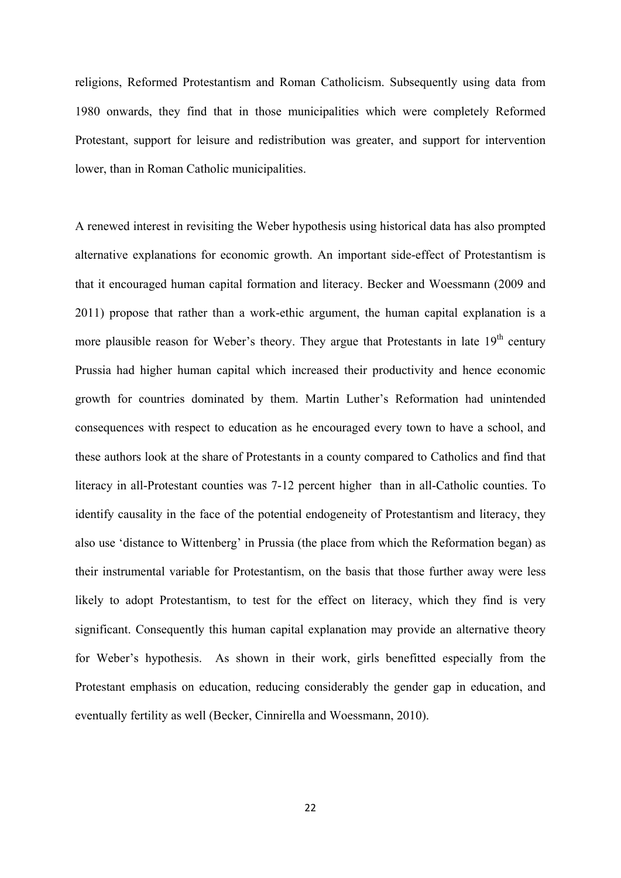religions, Reformed Protestantism and Roman Catholicism. Subsequently using data from 1980 onwards, they find that in those municipalities which were completely Reformed Protestant, support for leisure and redistribution was greater, and support for intervention lower, than in Roman Catholic municipalities.

A renewed interest in revisiting the Weber hypothesis using historical data has also prompted alternative explanations for economic growth. An important side-effect of Protestantism is that it encouraged human capital formation and literacy. Becker and Woessmann (2009 and 2011) propose that rather than a work-ethic argument, the human capital explanation is a more plausible reason for Weber's theory. They argue that Protestants in late  $19<sup>th</sup>$  century Prussia had higher human capital which increased their productivity and hence economic growth for countries dominated by them. Martin Luther's Reformation had unintended consequences with respect to education as he encouraged every town to have a school, and these authors look at the share of Protestants in a county compared to Catholics and find that literacy in all-Protestant counties was 7-12 percent higher than in all-Catholic counties. To identify causality in the face of the potential endogeneity of Protestantism and literacy, they also use 'distance to Wittenberg' in Prussia (the place from which the Reformation began) as their instrumental variable for Protestantism, on the basis that those further away were less likely to adopt Protestantism, to test for the effect on literacy, which they find is very significant. Consequently this human capital explanation may provide an alternative theory for Weber's hypothesis. As shown in their work, girls benefitted especially from the Protestant emphasis on education, reducing considerably the gender gap in education, and eventually fertility as well (Becker, Cinnirella and Woessmann, 2010).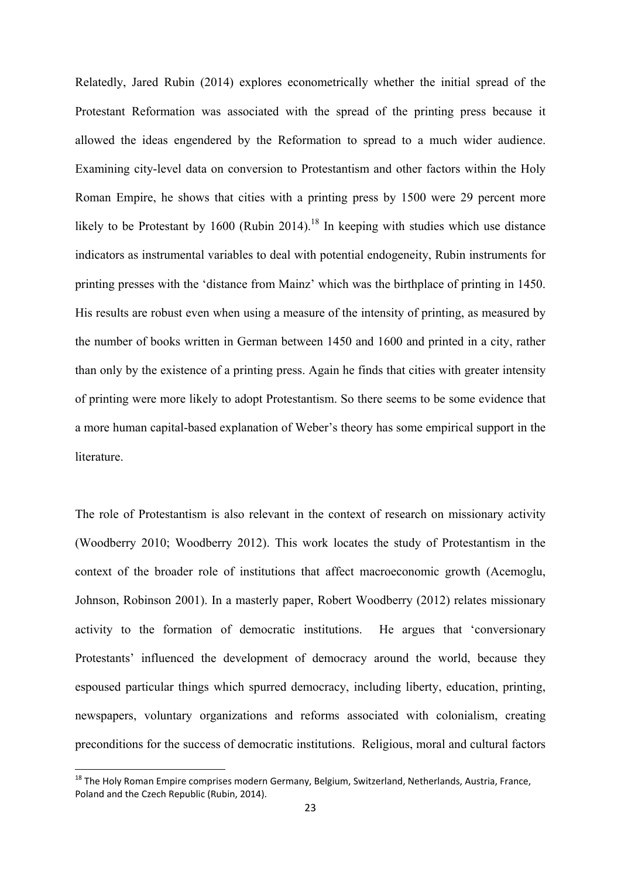Relatedly, Jared Rubin (2014) explores econometrically whether the initial spread of the Protestant Reformation was associated with the spread of the printing press because it allowed the ideas engendered by the Reformation to spread to a much wider audience. Examining city-level data on conversion to Protestantism and other factors within the Holy Roman Empire, he shows that cities with a printing press by 1500 were 29 percent more likely to be Protestant by 1600 (Rubin 2014).<sup>18</sup> In keeping with studies which use distance indicators as instrumental variables to deal with potential endogeneity, Rubin instruments for printing presses with the 'distance from Mainz' which was the birthplace of printing in 1450. His results are robust even when using a measure of the intensity of printing, as measured by the number of books written in German between 1450 and 1600 and printed in a city, rather than only by the existence of a printing press. Again he finds that cities with greater intensity of printing were more likely to adopt Protestantism. So there seems to be some evidence that a more human capital-based explanation of Weber's theory has some empirical support in the literature.

The role of Protestantism is also relevant in the context of research on missionary activity (Woodberry 2010; Woodberry 2012). This work locates the study of Protestantism in the context of the broader role of institutions that affect macroeconomic growth (Acemoglu, Johnson, Robinson 2001). In a masterly paper, Robert Woodberry (2012) relates missionary activity to the formation of democratic institutions. He argues that 'conversionary Protestants' influenced the development of democracy around the world, because they espoused particular things which spurred democracy, including liberty, education, printing, newspapers, voluntary organizations and reforms associated with colonialism, creating preconditions for the success of democratic institutions. Religious, moral and cultural factors

 $^{18}$  The Holy Roman Empire comprises modern Germany, Belgium, Switzerland, Netherlands, Austria, France, Poland and the Czech Republic (Rubin, 2014).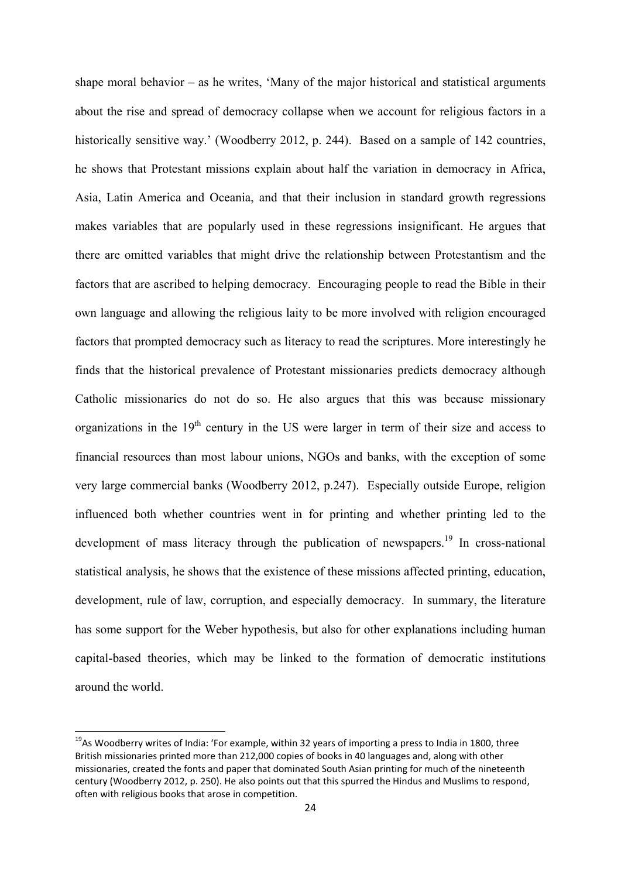shape moral behavior – as he writes, 'Many of the major historical and statistical arguments about the rise and spread of democracy collapse when we account for religious factors in a historically sensitive way.' (Woodberry 2012, p. 244). Based on a sample of 142 countries, he shows that Protestant missions explain about half the variation in democracy in Africa, Asia, Latin America and Oceania, and that their inclusion in standard growth regressions makes variables that are popularly used in these regressions insignificant. He argues that there are omitted variables that might drive the relationship between Protestantism and the factors that are ascribed to helping democracy. Encouraging people to read the Bible in their own language and allowing the religious laity to be more involved with religion encouraged factors that prompted democracy such as literacy to read the scriptures. More interestingly he finds that the historical prevalence of Protestant missionaries predicts democracy although Catholic missionaries do not do so. He also argues that this was because missionary organizations in the  $19<sup>th</sup>$  century in the US were larger in term of their size and access to financial resources than most labour unions, NGOs and banks, with the exception of some very large commercial banks (Woodberry 2012, p.247). Especially outside Europe, religion influenced both whether countries went in for printing and whether printing led to the development of mass literacy through the publication of newspapers.<sup>19</sup> In cross-national statistical analysis, he shows that the existence of these missions affected printing, education, development, rule of law, corruption, and especially democracy. In summary, the literature has some support for the Weber hypothesis, but also for other explanations including human capital-based theories, which may be linked to the formation of democratic institutions around the world.

<sup>&</sup>lt;sup>19</sup>As Woodberry writes of India: 'For example, within 32 years of importing a press to India in 1800, three British missionaries printed more than 212,000 copies of books in 40 languages and, along with other missionaries, created the fonts and paper that dominated South Asian printing for much of the nineteenth century (Woodberry 2012, p. 250). He also points out that this spurred the Hindus and Muslims to respond, often with religious books that arose in competition.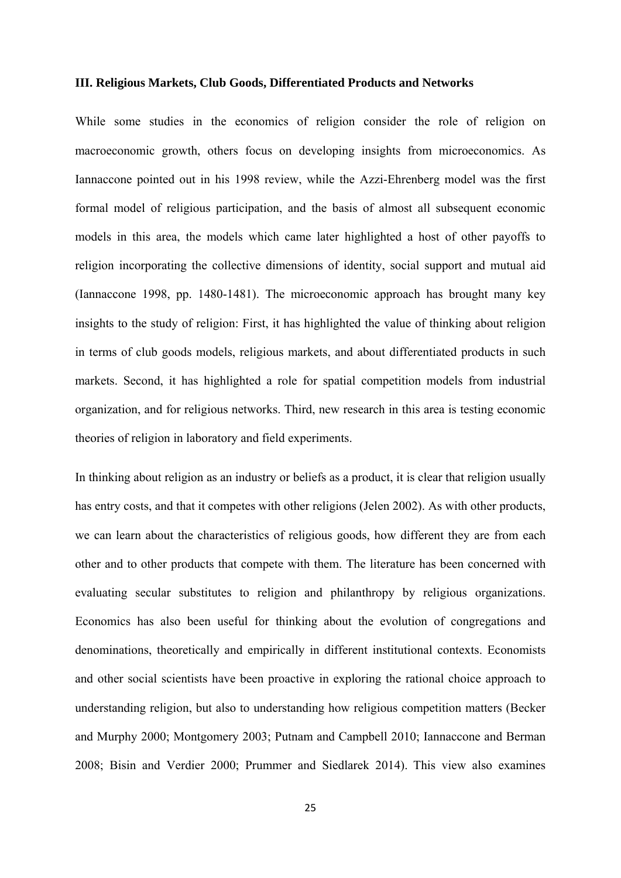#### **III. Religious Markets, Club Goods, Differentiated Products and Networks**

While some studies in the economics of religion consider the role of religion on macroeconomic growth, others focus on developing insights from microeconomics. As Iannaccone pointed out in his 1998 review, while the Azzi-Ehrenberg model was the first formal model of religious participation, and the basis of almost all subsequent economic models in this area, the models which came later highlighted a host of other payoffs to religion incorporating the collective dimensions of identity, social support and mutual aid (Iannaccone 1998, pp. 1480-1481). The microeconomic approach has brought many key insights to the study of religion: First, it has highlighted the value of thinking about religion in terms of club goods models, religious markets, and about differentiated products in such markets. Second, it has highlighted a role for spatial competition models from industrial organization, and for religious networks. Third, new research in this area is testing economic theories of religion in laboratory and field experiments.

In thinking about religion as an industry or beliefs as a product, it is clear that religion usually has entry costs, and that it competes with other religions (Jelen 2002). As with other products, we can learn about the characteristics of religious goods, how different they are from each other and to other products that compete with them. The literature has been concerned with evaluating secular substitutes to religion and philanthropy by religious organizations. Economics has also been useful for thinking about the evolution of congregations and denominations, theoretically and empirically in different institutional contexts. Economists and other social scientists have been proactive in exploring the rational choice approach to understanding religion, but also to understanding how religious competition matters (Becker and Murphy 2000; Montgomery 2003; Putnam and Campbell 2010; Iannaccone and Berman 2008; Bisin and Verdier 2000; Prummer and Siedlarek 2014). This view also examines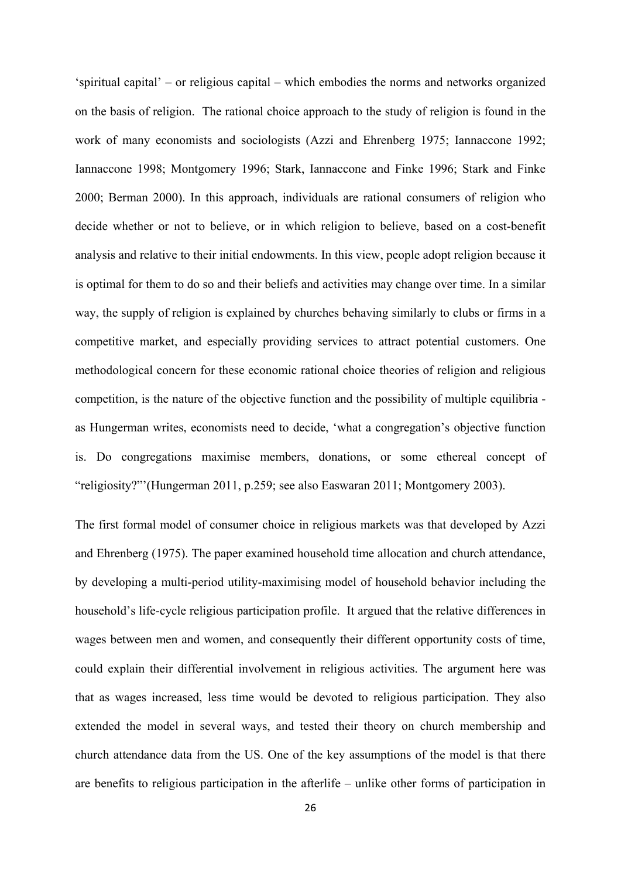'spiritual capital' – or religious capital – which embodies the norms and networks organized on the basis of religion. The rational choice approach to the study of religion is found in the work of many economists and sociologists (Azzi and Ehrenberg 1975; Iannaccone 1992; Iannaccone 1998; Montgomery 1996; Stark, Iannaccone and Finke 1996; Stark and Finke 2000; Berman 2000). In this approach, individuals are rational consumers of religion who decide whether or not to believe, or in which religion to believe, based on a cost-benefit analysis and relative to their initial endowments. In this view, people adopt religion because it is optimal for them to do so and their beliefs and activities may change over time. In a similar way, the supply of religion is explained by churches behaving similarly to clubs or firms in a competitive market, and especially providing services to attract potential customers. One methodological concern for these economic rational choice theories of religion and religious competition, is the nature of the objective function and the possibility of multiple equilibria as Hungerman writes, economists need to decide, 'what a congregation's objective function is. Do congregations maximise members, donations, or some ethereal concept of "religiosity?"'(Hungerman 2011, p.259; see also Easwaran 2011; Montgomery 2003).

The first formal model of consumer choice in religious markets was that developed by Azzi and Ehrenberg (1975). The paper examined household time allocation and church attendance, by developing a multi-period utility-maximising model of household behavior including the household's life-cycle religious participation profile. It argued that the relative differences in wages between men and women, and consequently their different opportunity costs of time, could explain their differential involvement in religious activities. The argument here was that as wages increased, less time would be devoted to religious participation. They also extended the model in several ways, and tested their theory on church membership and church attendance data from the US. One of the key assumptions of the model is that there are benefits to religious participation in the afterlife – unlike other forms of participation in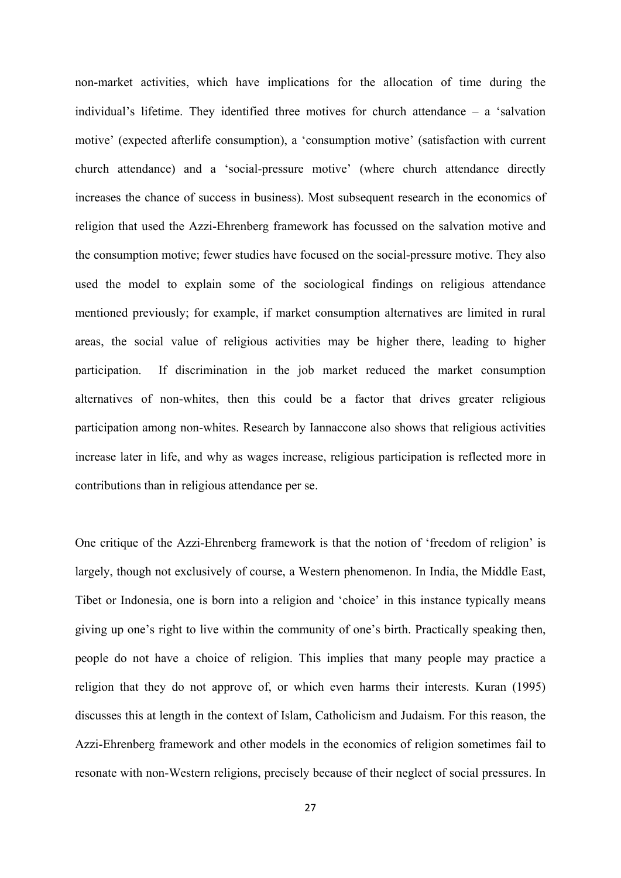non-market activities, which have implications for the allocation of time during the individual's lifetime. They identified three motives for church attendance – a 'salvation motive' (expected afterlife consumption), a 'consumption motive' (satisfaction with current church attendance) and a 'social-pressure motive' (where church attendance directly increases the chance of success in business). Most subsequent research in the economics of religion that used the Azzi-Ehrenberg framework has focussed on the salvation motive and the consumption motive; fewer studies have focused on the social-pressure motive. They also used the model to explain some of the sociological findings on religious attendance mentioned previously; for example, if market consumption alternatives are limited in rural areas, the social value of religious activities may be higher there, leading to higher participation. If discrimination in the job market reduced the market consumption alternatives of non-whites, then this could be a factor that drives greater religious participation among non-whites. Research by Iannaccone also shows that religious activities increase later in life, and why as wages increase, religious participation is reflected more in contributions than in religious attendance per se.

One critique of the Azzi-Ehrenberg framework is that the notion of 'freedom of religion' is largely, though not exclusively of course, a Western phenomenon. In India, the Middle East, Tibet or Indonesia, one is born into a religion and 'choice' in this instance typically means giving up one's right to live within the community of one's birth. Practically speaking then, people do not have a choice of religion. This implies that many people may practice a religion that they do not approve of, or which even harms their interests. Kuran (1995) discusses this at length in the context of Islam, Catholicism and Judaism. For this reason, the Azzi-Ehrenberg framework and other models in the economics of religion sometimes fail to resonate with non-Western religions, precisely because of their neglect of social pressures. In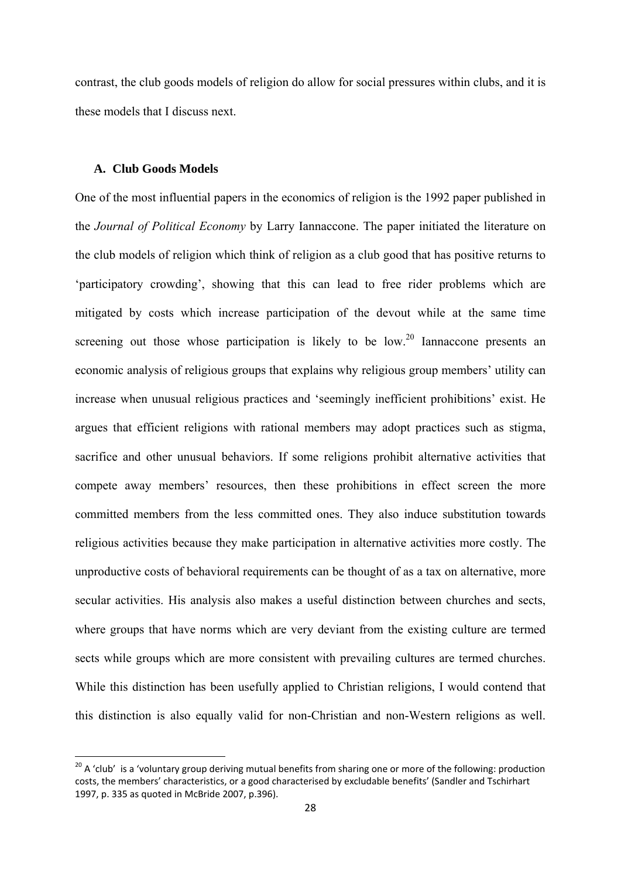contrast, the club goods models of religion do allow for social pressures within clubs, and it is these models that I discuss next.

#### **A. Club Goods Models**

One of the most influential papers in the economics of religion is the 1992 paper published in the *Journal of Political Economy* by Larry Iannaccone. The paper initiated the literature on the club models of religion which think of religion as a club good that has positive returns to 'participatory crowding', showing that this can lead to free rider problems which are mitigated by costs which increase participation of the devout while at the same time screening out those whose participation is likely to be low.<sup>20</sup> Iannaccone presents an economic analysis of religious groups that explains why religious group members' utility can increase when unusual religious practices and 'seemingly inefficient prohibitions' exist. He argues that efficient religions with rational members may adopt practices such as stigma, sacrifice and other unusual behaviors. If some religions prohibit alternative activities that compete away members' resources, then these prohibitions in effect screen the more committed members from the less committed ones. They also induce substitution towards religious activities because they make participation in alternative activities more costly. The unproductive costs of behavioral requirements can be thought of as a tax on alternative, more secular activities. His analysis also makes a useful distinction between churches and sects, where groups that have norms which are very deviant from the existing culture are termed sects while groups which are more consistent with prevailing cultures are termed churches. While this distinction has been usefully applied to Christian religions, I would contend that this distinction is also equally valid for non-Christian and non-Western religions as well.

<sup>&</sup>lt;sup>20</sup> A 'club' is a 'voluntary group deriving mutual benefits from sharing one or more of the following: production costs, the members' characteristics, or a good characterised by excludable benefits' (Sandler and Tschirhart 1997, p. 335 as quoted in McBride 2007, p.396).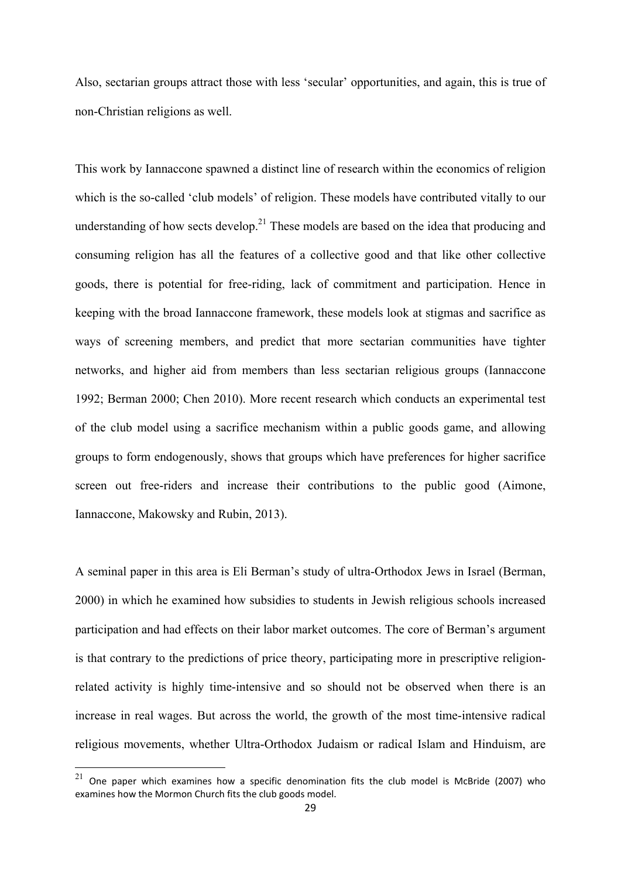Also, sectarian groups attract those with less 'secular' opportunities, and again, this is true of non-Christian religions as well.

This work by Iannaccone spawned a distinct line of research within the economics of religion which is the so-called 'club models' of religion. These models have contributed vitally to our understanding of how sects develop.<sup>21</sup> These models are based on the idea that producing and consuming religion has all the features of a collective good and that like other collective goods, there is potential for free-riding, lack of commitment and participation. Hence in keeping with the broad Iannaccone framework, these models look at stigmas and sacrifice as ways of screening members, and predict that more sectarian communities have tighter networks, and higher aid from members than less sectarian religious groups (Iannaccone 1992; Berman 2000; Chen 2010). More recent research which conducts an experimental test of the club model using a sacrifice mechanism within a public goods game, and allowing groups to form endogenously, shows that groups which have preferences for higher sacrifice screen out free-riders and increase their contributions to the public good (Aimone, Iannaccone, Makowsky and Rubin, 2013).

A seminal paper in this area is Eli Berman's study of ultra-Orthodox Jews in Israel (Berman, 2000) in which he examined how subsidies to students in Jewish religious schools increased participation and had effects on their labor market outcomes. The core of Berman's argument is that contrary to the predictions of price theory, participating more in prescriptive religionrelated activity is highly time-intensive and so should not be observed when there is an increase in real wages. But across the world, the growth of the most time-intensive radical religious movements, whether Ultra-Orthodox Judaism or radical Islam and Hinduism, are

 $21$  One paper which examines how a specific denomination fits the club model is McBride (2007) who examines how the Mormon Church fits the club goods model.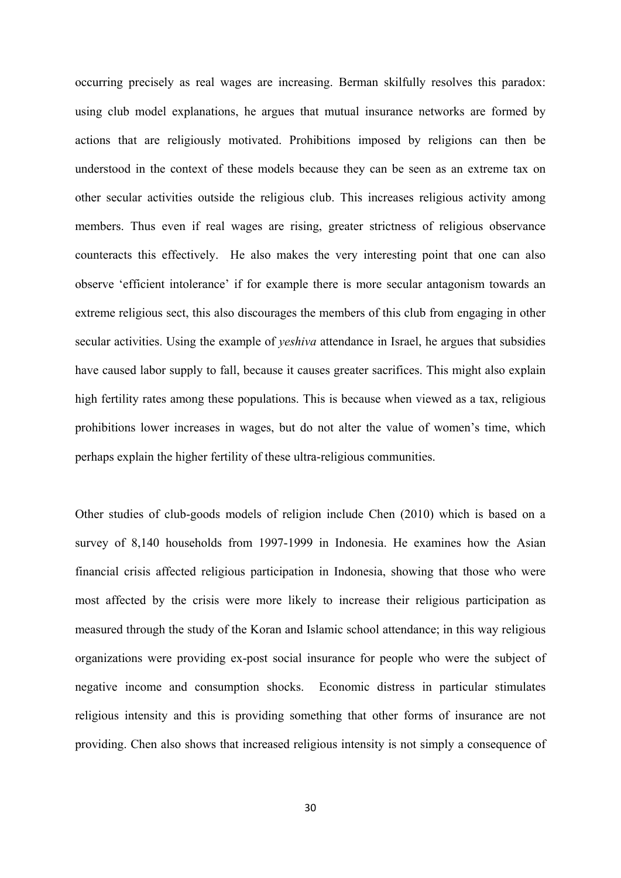occurring precisely as real wages are increasing. Berman skilfully resolves this paradox: using club model explanations, he argues that mutual insurance networks are formed by actions that are religiously motivated. Prohibitions imposed by religions can then be understood in the context of these models because they can be seen as an extreme tax on other secular activities outside the religious club. This increases religious activity among members. Thus even if real wages are rising, greater strictness of religious observance counteracts this effectively. He also makes the very interesting point that one can also observe 'efficient intolerance' if for example there is more secular antagonism towards an extreme religious sect, this also discourages the members of this club from engaging in other secular activities. Using the example of *yeshiva* attendance in Israel, he argues that subsidies have caused labor supply to fall, because it causes greater sacrifices. This might also explain high fertility rates among these populations. This is because when viewed as a tax, religious prohibitions lower increases in wages, but do not alter the value of women's time, which perhaps explain the higher fertility of these ultra-religious communities.

Other studies of club-goods models of religion include Chen (2010) which is based on a survey of 8,140 households from 1997-1999 in Indonesia. He examines how the Asian financial crisis affected religious participation in Indonesia, showing that those who were most affected by the crisis were more likely to increase their religious participation as measured through the study of the Koran and Islamic school attendance; in this way religious organizations were providing ex-post social insurance for people who were the subject of negative income and consumption shocks. Economic distress in particular stimulates religious intensity and this is providing something that other forms of insurance are not providing. Chen also shows that increased religious intensity is not simply a consequence of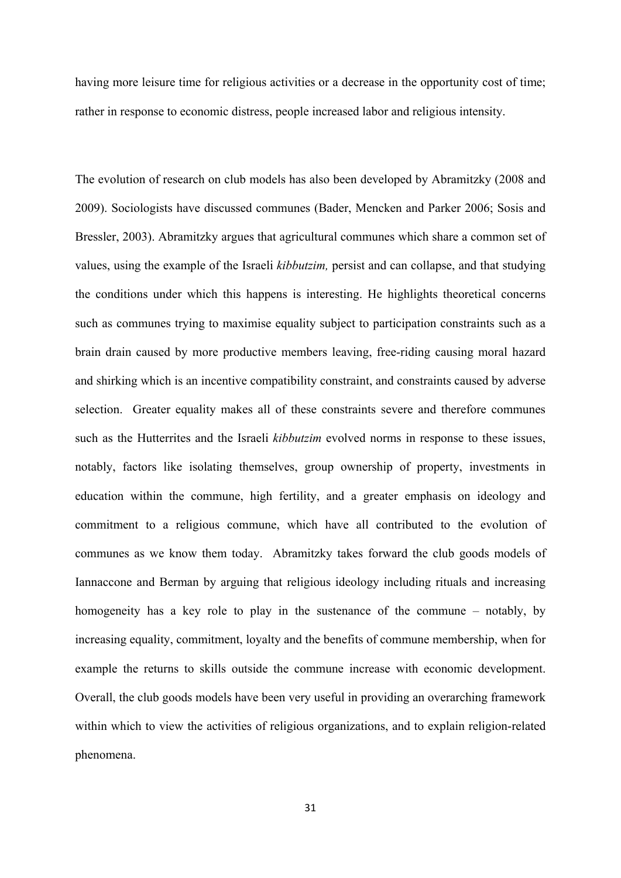having more leisure time for religious activities or a decrease in the opportunity cost of time; rather in response to economic distress, people increased labor and religious intensity.

The evolution of research on club models has also been developed by Abramitzky (2008 and 2009). Sociologists have discussed communes (Bader, Mencken and Parker 2006; Sosis and Bressler, 2003). Abramitzky argues that agricultural communes which share a common set of values, using the example of the Israeli *kibbutzim,* persist and can collapse, and that studying the conditions under which this happens is interesting. He highlights theoretical concerns such as communes trying to maximise equality subject to participation constraints such as a brain drain caused by more productive members leaving, free-riding causing moral hazard and shirking which is an incentive compatibility constraint, and constraints caused by adverse selection. Greater equality makes all of these constraints severe and therefore communes such as the Hutterrites and the Israeli *kibbutzim* evolved norms in response to these issues, notably, factors like isolating themselves, group ownership of property, investments in education within the commune, high fertility, and a greater emphasis on ideology and commitment to a religious commune, which have all contributed to the evolution of communes as we know them today. Abramitzky takes forward the club goods models of Iannaccone and Berman by arguing that religious ideology including rituals and increasing homogeneity has a key role to play in the sustenance of the commune – notably, by increasing equality, commitment, loyalty and the benefits of commune membership, when for example the returns to skills outside the commune increase with economic development. Overall, the club goods models have been very useful in providing an overarching framework within which to view the activities of religious organizations, and to explain religion-related phenomena.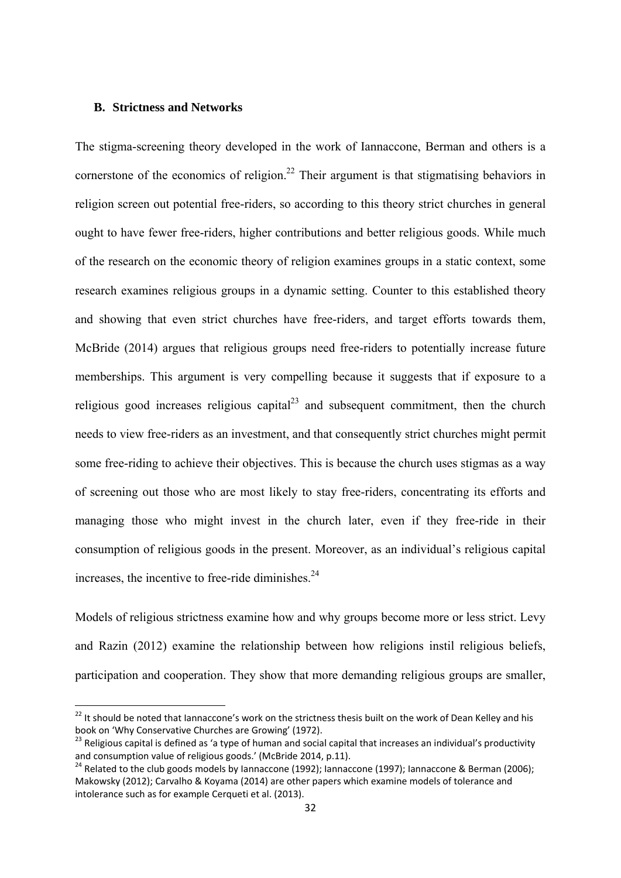#### **B. Strictness and Networks**

The stigma-screening theory developed in the work of Iannaccone, Berman and others is a cornerstone of the economics of religion.<sup>22</sup> Their argument is that stigmatising behaviors in religion screen out potential free-riders, so according to this theory strict churches in general ought to have fewer free-riders, higher contributions and better religious goods. While much of the research on the economic theory of religion examines groups in a static context, some research examines religious groups in a dynamic setting. Counter to this established theory and showing that even strict churches have free-riders, and target efforts towards them, McBride (2014) argues that religious groups need free-riders to potentially increase future memberships. This argument is very compelling because it suggests that if exposure to a religious good increases religious capital $^{23}$  and subsequent commitment, then the church needs to view free-riders as an investment, and that consequently strict churches might permit some free-riding to achieve their objectives. This is because the church uses stigmas as a way of screening out those who are most likely to stay free-riders, concentrating its efforts and managing those who might invest in the church later, even if they free-ride in their consumption of religious goods in the present. Moreover, as an individual's religious capital increases, the incentive to free-ride diminishes. $24$ 

Models of religious strictness examine how and why groups become more or less strict. Levy and Razin (2012) examine the relationship between how religions instil religious beliefs, participation and cooperation. They show that more demanding religious groups are smaller,

 $22$  It should be noted that Iannaccone's work on the strictness thesis built on the work of Dean Kelley and his

book on 'Why Conservative Churches are Growing' (1972).<br><sup>23</sup> Religious capital is defined as 'a type of human and social capital that increases an individual's productivity<br>and consumption value of religious goods.' (McBri

<sup>&</sup>lt;sup>24</sup> Related to the club goods models by Iannaccone (1992); Iannaccone (1997); Iannaccone & Berman (2006); Makowsky (2012); Carvalho & Koyama (2014) are other papers which examine models of tolerance and intolerance such as for example Cerqueti et al. (2013).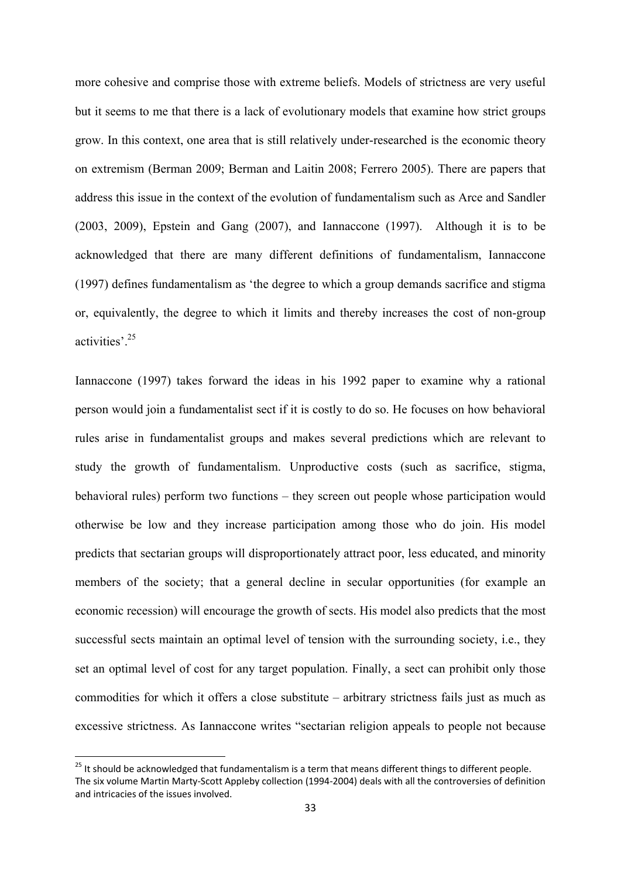more cohesive and comprise those with extreme beliefs. Models of strictness are very useful but it seems to me that there is a lack of evolutionary models that examine how strict groups grow. In this context, one area that is still relatively under-researched is the economic theory on extremism (Berman 2009; Berman and Laitin 2008; Ferrero 2005). There are papers that address this issue in the context of the evolution of fundamentalism such as Arce and Sandler (2003, 2009), Epstein and Gang (2007), and Iannaccone (1997).Although it is to be acknowledged that there are many different definitions of fundamentalism, Iannaccone (1997) defines fundamentalism as 'the degree to which a group demands sacrifice and stigma or, equivalently, the degree to which it limits and thereby increases the cost of non-group activities'.25

Iannaccone (1997) takes forward the ideas in his 1992 paper to examine why a rational person would join a fundamentalist sect if it is costly to do so. He focuses on how behavioral rules arise in fundamentalist groups and makes several predictions which are relevant to study the growth of fundamentalism. Unproductive costs (such as sacrifice, stigma, behavioral rules) perform two functions – they screen out people whose participation would otherwise be low and they increase participation among those who do join. His model predicts that sectarian groups will disproportionately attract poor, less educated, and minority members of the society; that a general decline in secular opportunities (for example an economic recession) will encourage the growth of sects. His model also predicts that the most successful sects maintain an optimal level of tension with the surrounding society, i.e., they set an optimal level of cost for any target population. Finally, a sect can prohibit only those commodities for which it offers a close substitute – arbitrary strictness fails just as much as excessive strictness. As Iannaccone writes "sectarian religion appeals to people not because

<sup>&</sup>lt;sup>25</sup> It should be acknowledged that fundamentalism is a term that means different things to different people. The six volume Martin Marty‐Scott Appleby collection (1994‐2004) deals with all the controversies of definition and intricacies of the issues involved.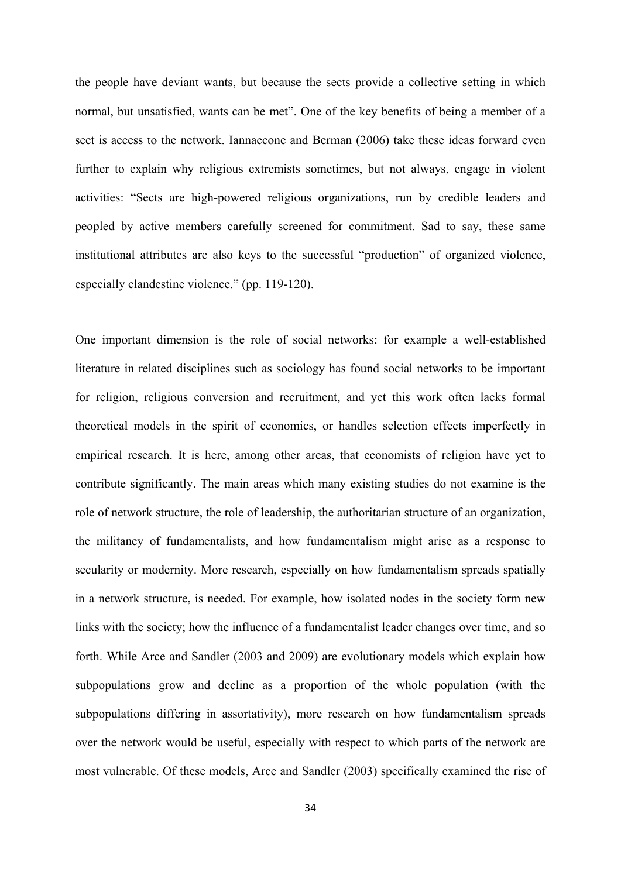the people have deviant wants, but because the sects provide a collective setting in which normal, but unsatisfied, wants can be met". One of the key benefits of being a member of a sect is access to the network. Iannaccone and Berman (2006) take these ideas forward even further to explain why religious extremists sometimes, but not always, engage in violent activities: "Sects are high-powered religious organizations, run by credible leaders and peopled by active members carefully screened for commitment. Sad to say, these same institutional attributes are also keys to the successful "production" of organized violence, especially clandestine violence." (pp. 119-120).

One important dimension is the role of social networks: for example a well-established literature in related disciplines such as sociology has found social networks to be important for religion, religious conversion and recruitment, and yet this work often lacks formal theoretical models in the spirit of economics, or handles selection effects imperfectly in empirical research. It is here, among other areas, that economists of religion have yet to contribute significantly. The main areas which many existing studies do not examine is the role of network structure, the role of leadership, the authoritarian structure of an organization, the militancy of fundamentalists, and how fundamentalism might arise as a response to secularity or modernity. More research, especially on how fundamentalism spreads spatially in a network structure, is needed. For example, how isolated nodes in the society form new links with the society; how the influence of a fundamentalist leader changes over time, and so forth. While Arce and Sandler (2003 and 2009) are evolutionary models which explain how subpopulations grow and decline as a proportion of the whole population (with the subpopulations differing in assortativity), more research on how fundamentalism spreads over the network would be useful, especially with respect to which parts of the network are most vulnerable. Of these models, Arce and Sandler (2003) specifically examined the rise of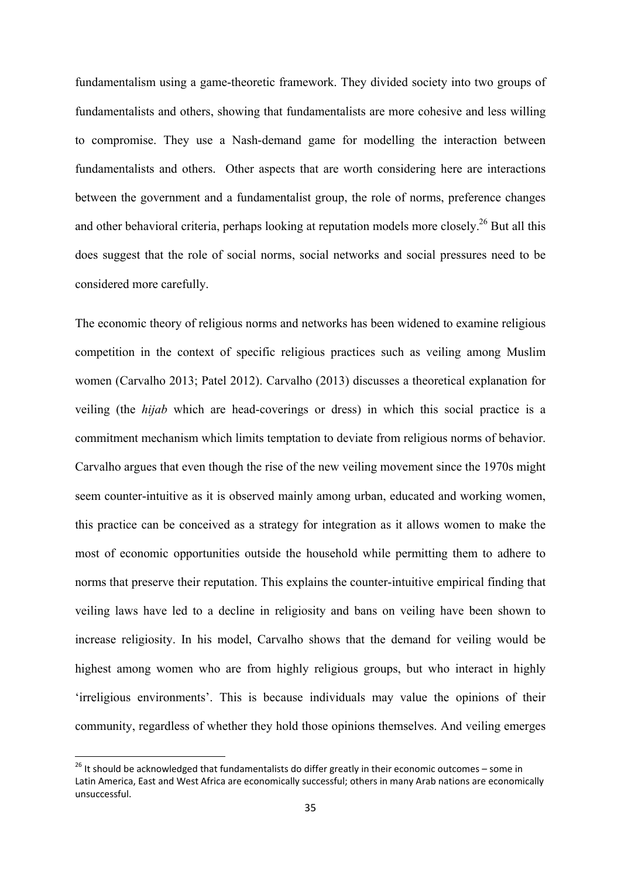fundamentalism using a game-theoretic framework. They divided society into two groups of fundamentalists and others, showing that fundamentalists are more cohesive and less willing to compromise. They use a Nash-demand game for modelling the interaction between fundamentalists and others. Other aspects that are worth considering here are interactions between the government and a fundamentalist group, the role of norms, preference changes and other behavioral criteria, perhaps looking at reputation models more closely.<sup>26</sup> But all this does suggest that the role of social norms, social networks and social pressures need to be considered more carefully.

The economic theory of religious norms and networks has been widened to examine religious competition in the context of specific religious practices such as veiling among Muslim women (Carvalho 2013; Patel 2012). Carvalho (2013) discusses a theoretical explanation for veiling (the *hijab* which are head-coverings or dress) in which this social practice is a commitment mechanism which limits temptation to deviate from religious norms of behavior. Carvalho argues that even though the rise of the new veiling movement since the 1970s might seem counter-intuitive as it is observed mainly among urban, educated and working women, this practice can be conceived as a strategy for integration as it allows women to make the most of economic opportunities outside the household while permitting them to adhere to norms that preserve their reputation. This explains the counter-intuitive empirical finding that veiling laws have led to a decline in religiosity and bans on veiling have been shown to increase religiosity. In his model, Carvalho shows that the demand for veiling would be highest among women who are from highly religious groups, but who interact in highly 'irreligious environments'. This is because individuals may value the opinions of their community, regardless of whether they hold those opinions themselves. And veiling emerges

 $^{26}$  It should be acknowledged that fundamentalists do differ greatly in their economic outcomes – some in Latin America, East and West Africa are economically successful; others in many Arab nations are economically unsuccessful.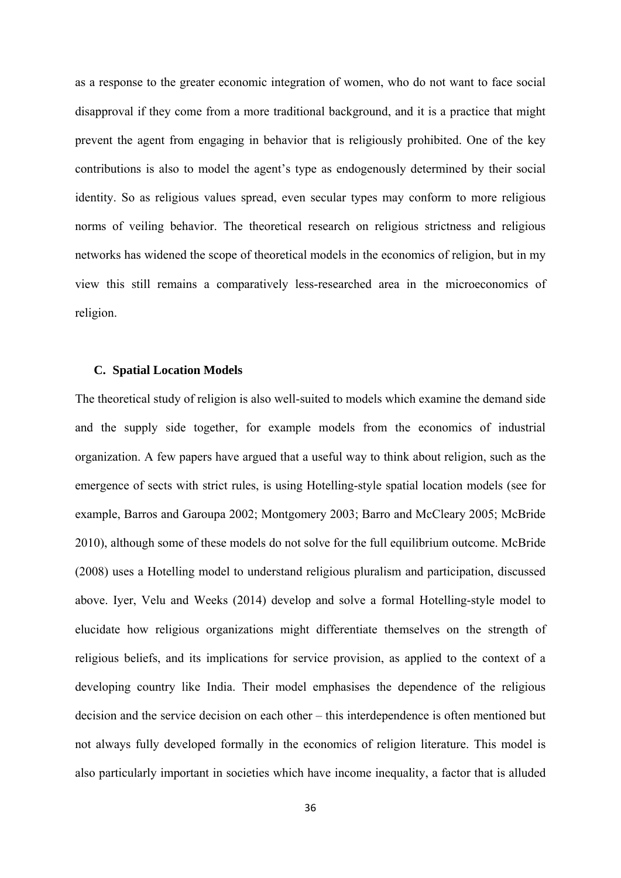as a response to the greater economic integration of women, who do not want to face social disapproval if they come from a more traditional background, and it is a practice that might prevent the agent from engaging in behavior that is religiously prohibited. One of the key contributions is also to model the agent's type as endogenously determined by their social identity. So as religious values spread, even secular types may conform to more religious norms of veiling behavior. The theoretical research on religious strictness and religious networks has widened the scope of theoretical models in the economics of religion, but in my view this still remains a comparatively less-researched area in the microeconomics of religion.

# **C. Spatial Location Models**

The theoretical study of religion is also well-suited to models which examine the demand side and the supply side together, for example models from the economics of industrial organization. A few papers have argued that a useful way to think about religion, such as the emergence of sects with strict rules, is using Hotelling-style spatial location models (see for example, Barros and Garoupa 2002; Montgomery 2003; Barro and McCleary 2005; McBride 2010), although some of these models do not solve for the full equilibrium outcome. McBride (2008) uses a Hotelling model to understand religious pluralism and participation, discussed above. Iyer, Velu and Weeks (2014) develop and solve a formal Hotelling-style model to elucidate how religious organizations might differentiate themselves on the strength of religious beliefs, and its implications for service provision, as applied to the context of a developing country like India. Their model emphasises the dependence of the religious decision and the service decision on each other – this interdependence is often mentioned but not always fully developed formally in the economics of religion literature. This model is also particularly important in societies which have income inequality, a factor that is alluded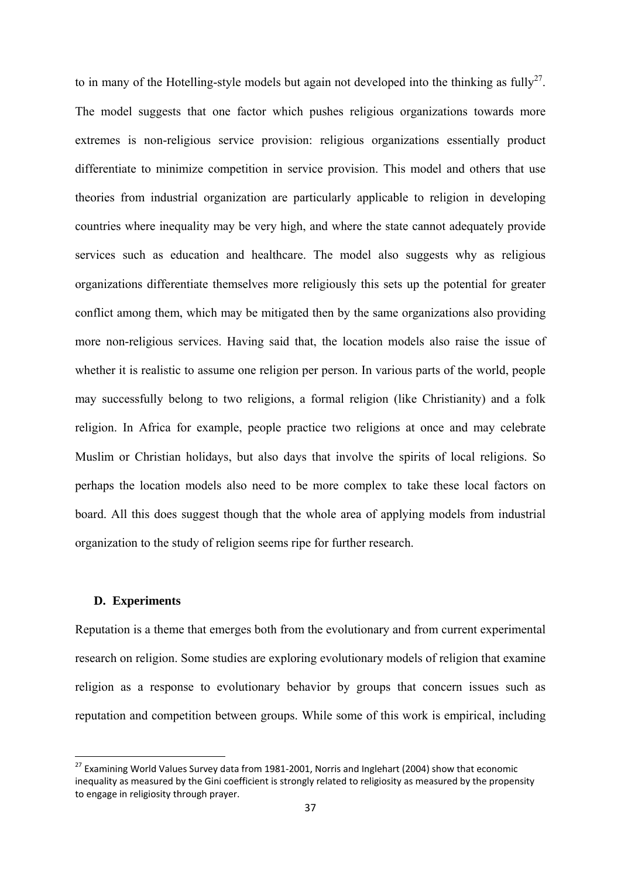to in many of the Hotelling-style models but again not developed into the thinking as fully<sup>27</sup>. The model suggests that one factor which pushes religious organizations towards more extremes is non-religious service provision: religious organizations essentially product differentiate to minimize competition in service provision. This model and others that use theories from industrial organization are particularly applicable to religion in developing countries where inequality may be very high, and where the state cannot adequately provide services such as education and healthcare. The model also suggests why as religious organizations differentiate themselves more religiously this sets up the potential for greater conflict among them, which may be mitigated then by the same organizations also providing more non-religious services. Having said that, the location models also raise the issue of whether it is realistic to assume one religion per person. In various parts of the world, people may successfully belong to two religions, a formal religion (like Christianity) and a folk religion. In Africa for example, people practice two religions at once and may celebrate Muslim or Christian holidays, but also days that involve the spirits of local religions. So perhaps the location models also need to be more complex to take these local factors on board. All this does suggest though that the whole area of applying models from industrial organization to the study of religion seems ripe for further research.

## **D. Experiments**

Reputation is a theme that emerges both from the evolutionary and from current experimental research on religion. Some studies are exploring evolutionary models of religion that examine religion as a response to evolutionary behavior by groups that concern issues such as reputation and competition between groups. While some of this work is empirical, including

 $^{27}$  Examining World Values Survey data from 1981-2001, Norris and Inglehart (2004) show that economic inequality as measured by the Gini coefficient is strongly related to religiosity as measured by the propensity to engage in religiosity through prayer.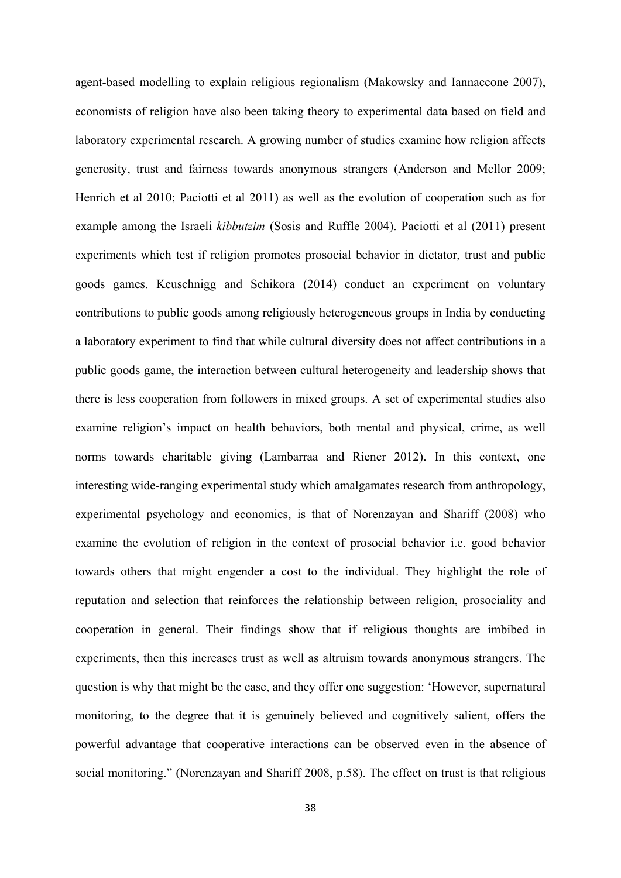agent-based modelling to explain religious regionalism (Makowsky and Iannaccone 2007), economists of religion have also been taking theory to experimental data based on field and laboratory experimental research. A growing number of studies examine how religion affects generosity, trust and fairness towards anonymous strangers (Anderson and Mellor 2009; Henrich et al 2010; Paciotti et al 2011) as well as the evolution of cooperation such as for example among the Israeli *kibbutzim* (Sosis and Ruffle 2004). Paciotti et al (2011) present experiments which test if religion promotes prosocial behavior in dictator, trust and public goods games. Keuschnigg and Schikora (2014) conduct an experiment on voluntary contributions to public goods among religiously heterogeneous groups in India by conducting a laboratory experiment to find that while cultural diversity does not affect contributions in a public goods game, the interaction between cultural heterogeneity and leadership shows that there is less cooperation from followers in mixed groups. A set of experimental studies also examine religion's impact on health behaviors, both mental and physical, crime, as well norms towards charitable giving (Lambarraa and Riener 2012). In this context, one interesting wide-ranging experimental study which amalgamates research from anthropology, experimental psychology and economics, is that of Norenzayan and Shariff (2008) who examine the evolution of religion in the context of prosocial behavior i.e. good behavior towards others that might engender a cost to the individual. They highlight the role of reputation and selection that reinforces the relationship between religion, prosociality and cooperation in general. Their findings show that if religious thoughts are imbibed in experiments, then this increases trust as well as altruism towards anonymous strangers. The question is why that might be the case, and they offer one suggestion: 'However, supernatural monitoring, to the degree that it is genuinely believed and cognitively salient, offers the powerful advantage that cooperative interactions can be observed even in the absence of social monitoring." (Norenzayan and Shariff 2008, p.58). The effect on trust is that religious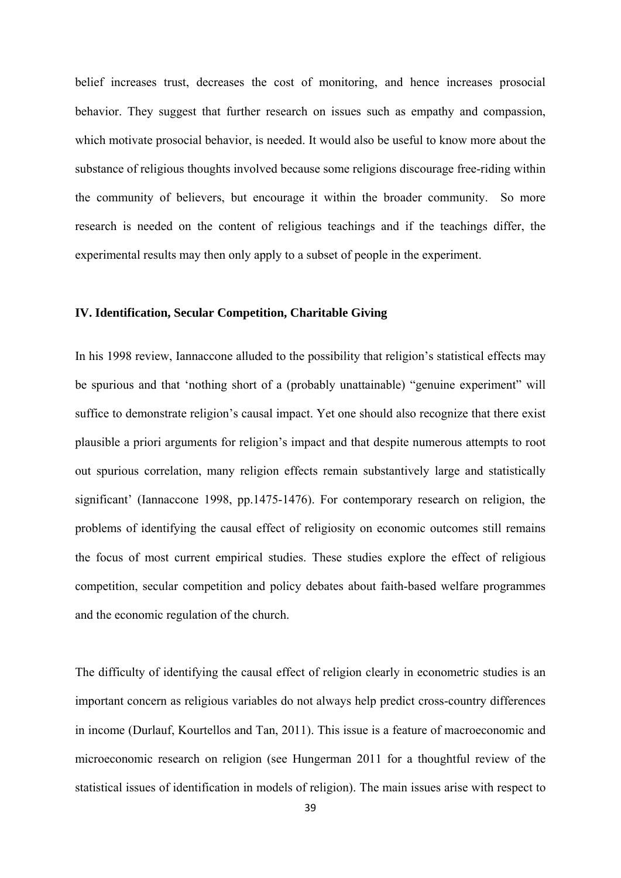belief increases trust, decreases the cost of monitoring, and hence increases prosocial behavior. They suggest that further research on issues such as empathy and compassion, which motivate prosocial behavior, is needed. It would also be useful to know more about the substance of religious thoughts involved because some religions discourage free-riding within the community of believers, but encourage it within the broader community. So more research is needed on the content of religious teachings and if the teachings differ, the experimental results may then only apply to a subset of people in the experiment.

### **IV. Identification, Secular Competition, Charitable Giving**

In his 1998 review, Iannaccone alluded to the possibility that religion's statistical effects may be spurious and that 'nothing short of a (probably unattainable) "genuine experiment" will suffice to demonstrate religion's causal impact. Yet one should also recognize that there exist plausible a priori arguments for religion's impact and that despite numerous attempts to root out spurious correlation, many religion effects remain substantively large and statistically significant' (Iannaccone 1998, pp.1475-1476). For contemporary research on religion, the problems of identifying the causal effect of religiosity on economic outcomes still remains the focus of most current empirical studies. These studies explore the effect of religious competition, secular competition and policy debates about faith-based welfare programmes and the economic regulation of the church.

The difficulty of identifying the causal effect of religion clearly in econometric studies is an important concern as religious variables do not always help predict cross-country differences in income (Durlauf, Kourtellos and Tan, 2011). This issue is a feature of macroeconomic and microeconomic research on religion (see Hungerman 2011 for a thoughtful review of the statistical issues of identification in models of religion). The main issues arise with respect to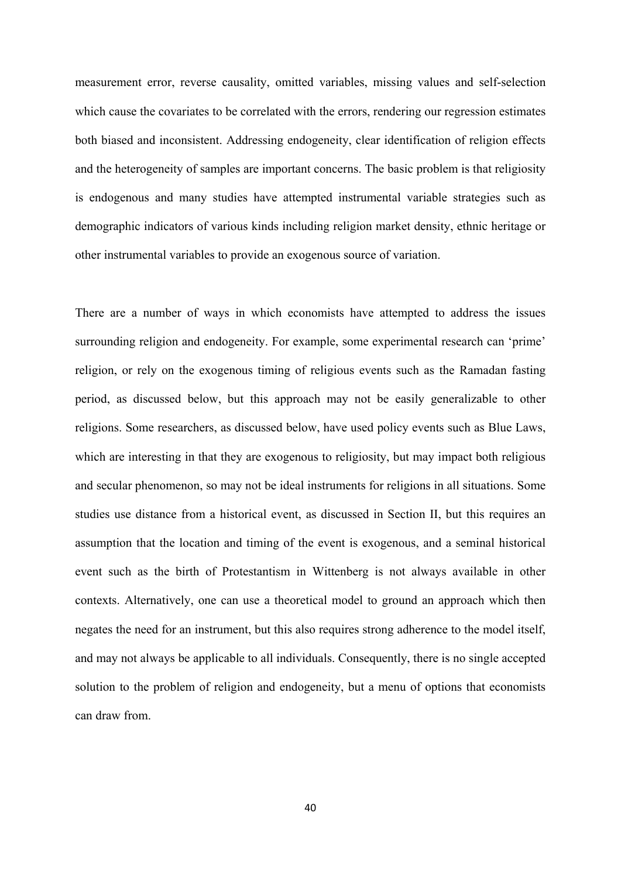measurement error, reverse causality, omitted variables, missing values and self-selection which cause the covariates to be correlated with the errors, rendering our regression estimates both biased and inconsistent. Addressing endogeneity, clear identification of religion effects and the heterogeneity of samples are important concerns. The basic problem is that religiosity is endogenous and many studies have attempted instrumental variable strategies such as demographic indicators of various kinds including religion market density, ethnic heritage or other instrumental variables to provide an exogenous source of variation.

There are a number of ways in which economists have attempted to address the issues surrounding religion and endogeneity. For example, some experimental research can 'prime' religion, or rely on the exogenous timing of religious events such as the Ramadan fasting period, as discussed below, but this approach may not be easily generalizable to other religions. Some researchers, as discussed below, have used policy events such as Blue Laws, which are interesting in that they are exogenous to religiosity, but may impact both religious and secular phenomenon, so may not be ideal instruments for religions in all situations. Some studies use distance from a historical event, as discussed in Section II, but this requires an assumption that the location and timing of the event is exogenous, and a seminal historical event such as the birth of Protestantism in Wittenberg is not always available in other contexts. Alternatively, one can use a theoretical model to ground an approach which then negates the need for an instrument, but this also requires strong adherence to the model itself, and may not always be applicable to all individuals. Consequently, there is no single accepted solution to the problem of religion and endogeneity, but a menu of options that economists can draw from.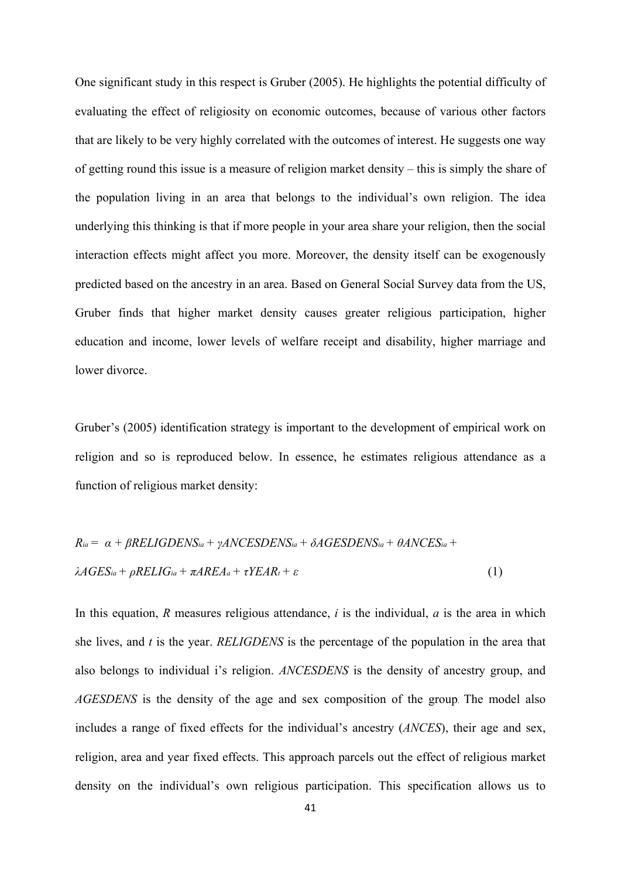One significant study in this respect is Gruber (2005). He highlights the potential difficulty of evaluating the effect of religiosity on economic outcomes, because of various other factors that are likely to be very highly correlated with the outcomes of interest. He suggests one way of getting round this issue is a measure of religion market density – this is simply the share of the population living in an area that belongs to the individual's own religion. The idea underlying this thinking is that if more people in your area share your religion, then the social interaction effects might affect you more. Moreover, the density itself can be exogenously predicted based on the ancestry in an area. Based on General Social Survey data from the US, Gruber finds that higher market density causes greater religious participation, higher education and income, lower levels of welfare receipt and disability, higher marriage and lower divorce.

Gruber's (2005) identification strategy is important to the development of empirical work on religion and so is reproduced below. In essence, he estimates religious attendance as a function of religious market density:

$$
R_{ia} = \alpha + \beta RELIGDENS_{ia} + \gamma ANCESDENS_{ia} + \delta AGESDENS_{ia} + \theta ANCES_{ia} + \lambda AGES_{ia} + \lambda AGES_{ia} + \rho RELIG_{ia} + \pi AREA_a + \tau YEAR_t + \varepsilon
$$
\n(1)

In this equation, *R* measures religious attendance, *i* is the individual, *a* is the area in which she lives, and *t* is the year. *RELIGDENS* is the percentage of the population in the area that also belongs to individual i's religion. *ANCESDENS* is the density of ancestry group, and *AGESDENS* is the density of the age and sex composition of the group. The model also includes a range of fixed effects for the individual's ancestry (*ANCES*), their age and sex, religion, area and year fixed effects. This approach parcels out the effect of religious market density on the individual's own religious participation. This specification allows us to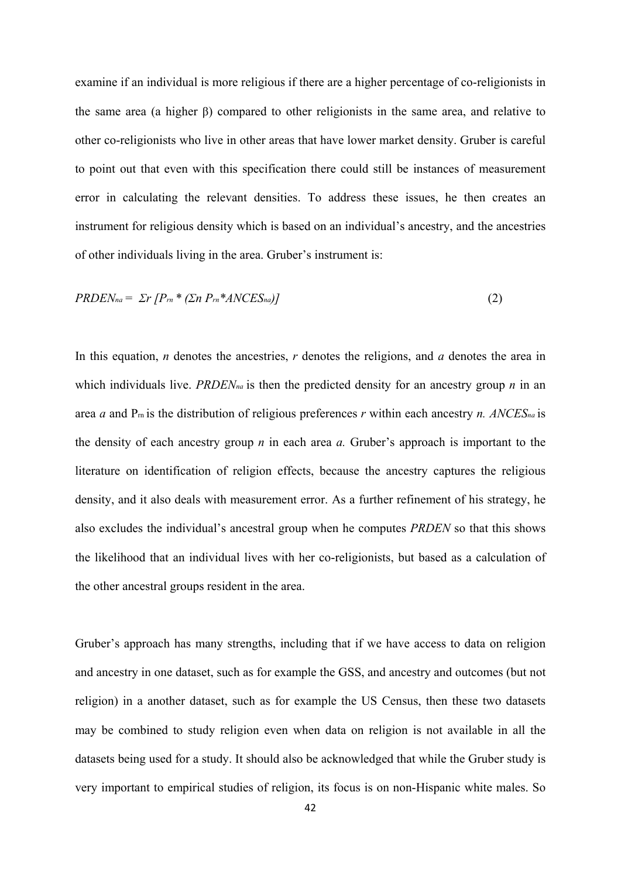examine if an individual is more religious if there are a higher percentage of co-religionists in the same area (a higher β) compared to other religionists in the same area, and relative to other co-religionists who live in other areas that have lower market density. Gruber is careful to point out that even with this specification there could still be instances of measurement error in calculating the relevant densities. To address these issues, he then creates an instrument for religious density which is based on an individual's ancestry, and the ancestries of other individuals living in the area. Gruber's instrument is:

$$
PRDENna = \sum r [Prn * ( \sum n Prn * ANCESna )]
$$
\n(2)

In this equation, *n* denotes the ancestries, *r* denotes the religions, and *a* denotes the area in which individuals live. *PRDENna* is then the predicted density for an ancestry group *n* in an area *a* and Prn is the distribution of religious preferences *r* within each ancestry *n. ANCESna* is the density of each ancestry group *n* in each area *a.* Gruber's approach is important to the literature on identification of religion effects, because the ancestry captures the religious density, and it also deals with measurement error. As a further refinement of his strategy, he also excludes the individual's ancestral group when he computes *PRDEN* so that this shows the likelihood that an individual lives with her co-religionists, but based as a calculation of the other ancestral groups resident in the area.

Gruber's approach has many strengths, including that if we have access to data on religion and ancestry in one dataset, such as for example the GSS, and ancestry and outcomes (but not religion) in a another dataset, such as for example the US Census, then these two datasets may be combined to study religion even when data on religion is not available in all the datasets being used for a study. It should also be acknowledged that while the Gruber study is very important to empirical studies of religion, its focus is on non-Hispanic white males. So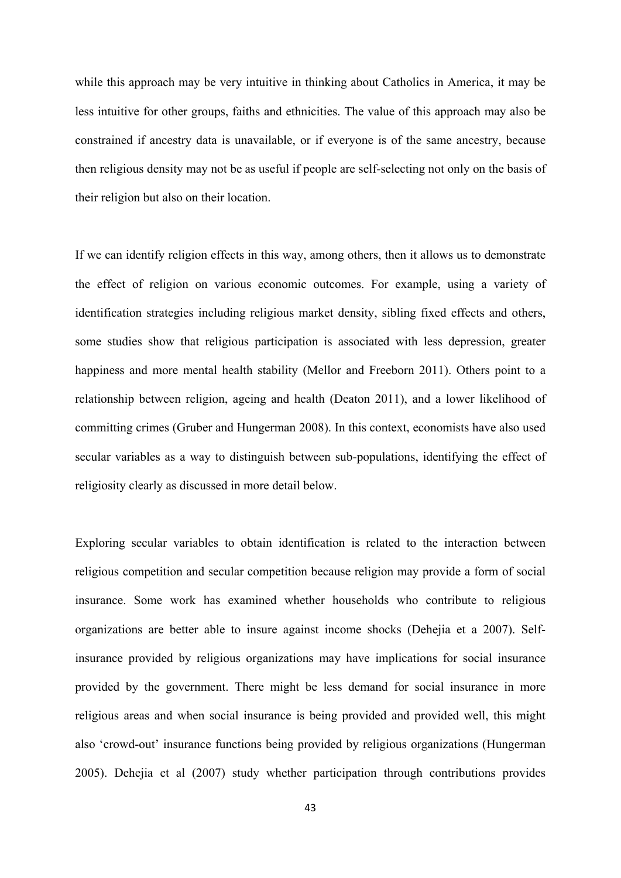while this approach may be very intuitive in thinking about Catholics in America, it may be less intuitive for other groups, faiths and ethnicities. The value of this approach may also be constrained if ancestry data is unavailable, or if everyone is of the same ancestry, because then religious density may not be as useful if people are self-selecting not only on the basis of their religion but also on their location.

If we can identify religion effects in this way, among others, then it allows us to demonstrate the effect of religion on various economic outcomes. For example, using a variety of identification strategies including religious market density, sibling fixed effects and others, some studies show that religious participation is associated with less depression, greater happiness and more mental health stability (Mellor and Freeborn 2011). Others point to a relationship between religion, ageing and health (Deaton 2011), and a lower likelihood of committing crimes (Gruber and Hungerman 2008). In this context, economists have also used secular variables as a way to distinguish between sub-populations, identifying the effect of religiosity clearly as discussed in more detail below.

Exploring secular variables to obtain identification is related to the interaction between religious competition and secular competition because religion may provide a form of social insurance. Some work has examined whether households who contribute to religious organizations are better able to insure against income shocks (Dehejia et a 2007). Selfinsurance provided by religious organizations may have implications for social insurance provided by the government. There might be less demand for social insurance in more religious areas and when social insurance is being provided and provided well, this might also 'crowd-out' insurance functions being provided by religious organizations (Hungerman 2005). Dehejia et al (2007) study whether participation through contributions provides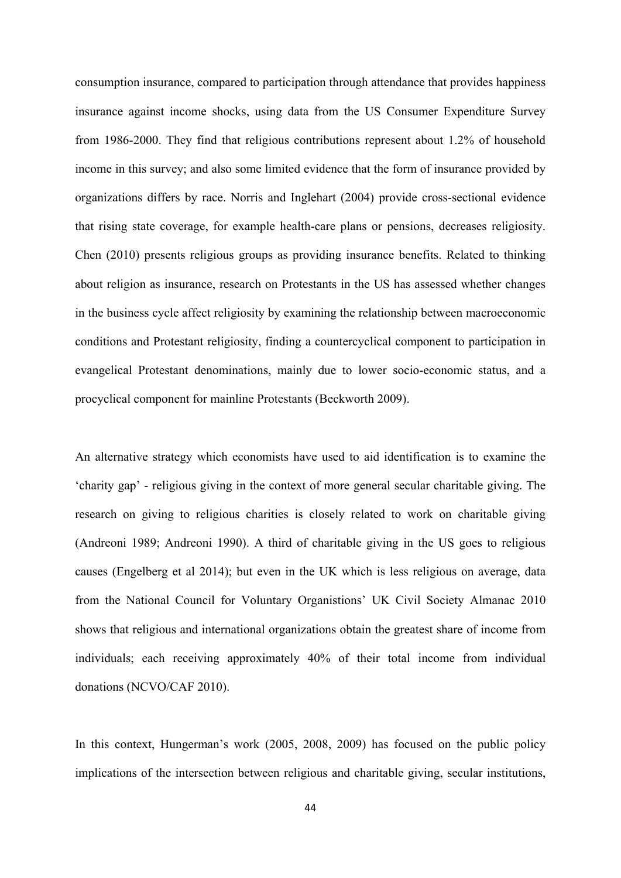consumption insurance, compared to participation through attendance that provides happiness insurance against income shocks, using data from the US Consumer Expenditure Survey from 1986-2000. They find that religious contributions represent about 1.2% of household income in this survey; and also some limited evidence that the form of insurance provided by organizations differs by race. Norris and Inglehart (2004) provide cross-sectional evidence that rising state coverage, for example health-care plans or pensions, decreases religiosity. Chen (2010) presents religious groups as providing insurance benefits. Related to thinking about religion as insurance, research on Protestants in the US has assessed whether changes in the business cycle affect religiosity by examining the relationship between macroeconomic conditions and Protestant religiosity, finding a countercyclical component to participation in evangelical Protestant denominations, mainly due to lower socio-economic status, and a procyclical component for mainline Protestants (Beckworth 2009).

An alternative strategy which economists have used to aid identification is to examine the 'charity gap' - religious giving in the context of more general secular charitable giving. The research on giving to religious charities is closely related to work on charitable giving (Andreoni 1989; Andreoni 1990). A third of charitable giving in the US goes to religious causes (Engelberg et al 2014); but even in the UK which is less religious on average, data from the National Council for Voluntary Organistions' UK Civil Society Almanac 2010 shows that religious and international organizations obtain the greatest share of income from individuals; each receiving approximately 40% of their total income from individual donations (NCVO/CAF 2010).

In this context, Hungerman's work (2005, 2008, 2009) has focused on the public policy implications of the intersection between religious and charitable giving, secular institutions,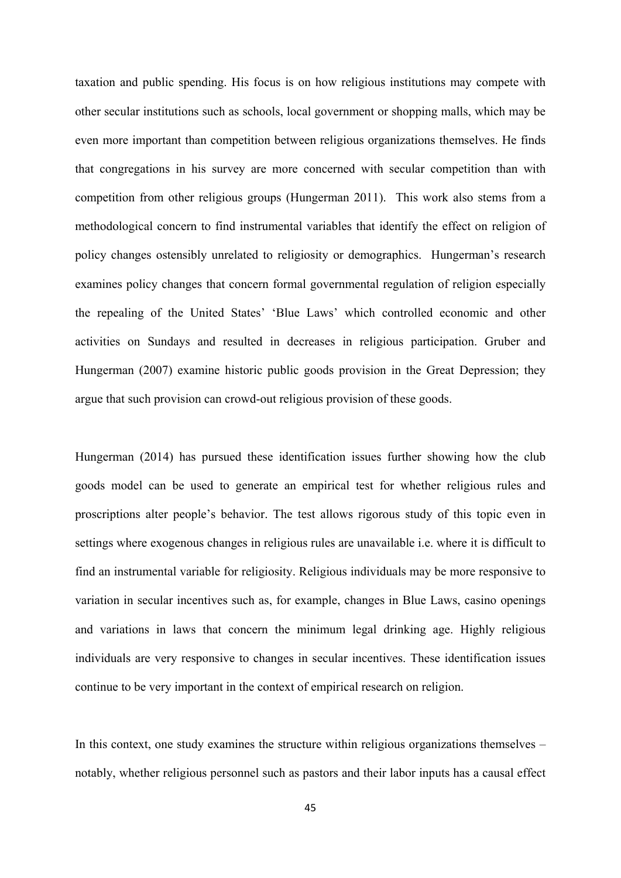taxation and public spending. His focus is on how religious institutions may compete with other secular institutions such as schools, local government or shopping malls, which may be even more important than competition between religious organizations themselves. He finds that congregations in his survey are more concerned with secular competition than with competition from other religious groups (Hungerman 2011). This work also stems from a methodological concern to find instrumental variables that identify the effect on religion of policy changes ostensibly unrelated to religiosity or demographics. Hungerman's research examines policy changes that concern formal governmental regulation of religion especially the repealing of the United States' 'Blue Laws' which controlled economic and other activities on Sundays and resulted in decreases in religious participation. Gruber and Hungerman (2007) examine historic public goods provision in the Great Depression; they argue that such provision can crowd-out religious provision of these goods.

Hungerman (2014) has pursued these identification issues further showing how the club goods model can be used to generate an empirical test for whether religious rules and proscriptions alter people's behavior. The test allows rigorous study of this topic even in settings where exogenous changes in religious rules are unavailable i.e. where it is difficult to find an instrumental variable for religiosity. Religious individuals may be more responsive to variation in secular incentives such as, for example, changes in Blue Laws, casino openings and variations in laws that concern the minimum legal drinking age. Highly religious individuals are very responsive to changes in secular incentives. These identification issues continue to be very important in the context of empirical research on religion.

In this context, one study examines the structure within religious organizations themselves – notably, whether religious personnel such as pastors and their labor inputs has a causal effect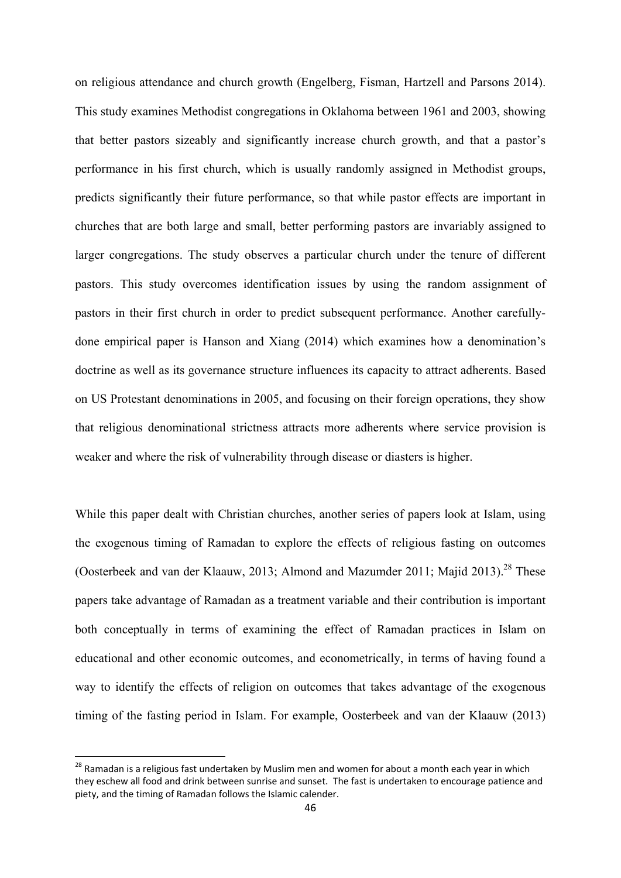on religious attendance and church growth (Engelberg, Fisman, Hartzell and Parsons 2014). This study examines Methodist congregations in Oklahoma between 1961 and 2003, showing that better pastors sizeably and significantly increase church growth, and that a pastor's performance in his first church, which is usually randomly assigned in Methodist groups, predicts significantly their future performance, so that while pastor effects are important in churches that are both large and small, better performing pastors are invariably assigned to larger congregations. The study observes a particular church under the tenure of different pastors. This study overcomes identification issues by using the random assignment of pastors in their first church in order to predict subsequent performance. Another carefullydone empirical paper is Hanson and Xiang (2014) which examines how a denomination's doctrine as well as its governance structure influences its capacity to attract adherents. Based on US Protestant denominations in 2005, and focusing on their foreign operations, they show that religious denominational strictness attracts more adherents where service provision is weaker and where the risk of vulnerability through disease or diasters is higher.

While this paper dealt with Christian churches, another series of papers look at Islam, using the exogenous timing of Ramadan to explore the effects of religious fasting on outcomes (Oosterbeek and van der Klaauw, 2013; Almond and Mazumder 2011; Majid 2013).<sup>28</sup> These papers take advantage of Ramadan as a treatment variable and their contribution is important both conceptually in terms of examining the effect of Ramadan practices in Islam on educational and other economic outcomes, and econometrically, in terms of having found a way to identify the effects of religion on outcomes that takes advantage of the exogenous timing of the fasting period in Islam. For example, Oosterbeek and van der Klaauw (2013)

<sup>&</sup>lt;sup>28</sup> Ramadan is a religious fast undertaken by Muslim men and women for about a month each year in which they eschew all food and drink between sunrise and sunset. The fast is undertaken to encourage patience and piety, and the timing of Ramadan follows the Islamic calender.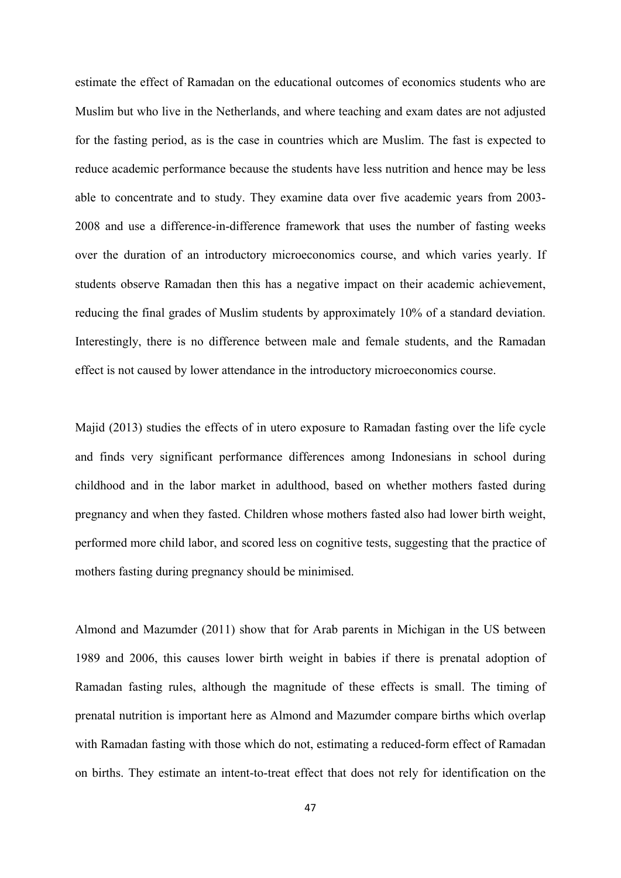estimate the effect of Ramadan on the educational outcomes of economics students who are Muslim but who live in the Netherlands, and where teaching and exam dates are not adjusted for the fasting period, as is the case in countries which are Muslim. The fast is expected to reduce academic performance because the students have less nutrition and hence may be less able to concentrate and to study. They examine data over five academic years from 2003- 2008 and use a difference-in-difference framework that uses the number of fasting weeks over the duration of an introductory microeconomics course, and which varies yearly. If students observe Ramadan then this has a negative impact on their academic achievement, reducing the final grades of Muslim students by approximately 10% of a standard deviation. Interestingly, there is no difference between male and female students, and the Ramadan effect is not caused by lower attendance in the introductory microeconomics course.

Majid (2013) studies the effects of in utero exposure to Ramadan fasting over the life cycle and finds very significant performance differences among Indonesians in school during childhood and in the labor market in adulthood, based on whether mothers fasted during pregnancy and when they fasted. Children whose mothers fasted also had lower birth weight, performed more child labor, and scored less on cognitive tests, suggesting that the practice of mothers fasting during pregnancy should be minimised.

Almond and Mazumder (2011) show that for Arab parents in Michigan in the US between 1989 and 2006, this causes lower birth weight in babies if there is prenatal adoption of Ramadan fasting rules, although the magnitude of these effects is small. The timing of prenatal nutrition is important here as Almond and Mazumder compare births which overlap with Ramadan fasting with those which do not, estimating a reduced-form effect of Ramadan on births. They estimate an intent-to-treat effect that does not rely for identification on the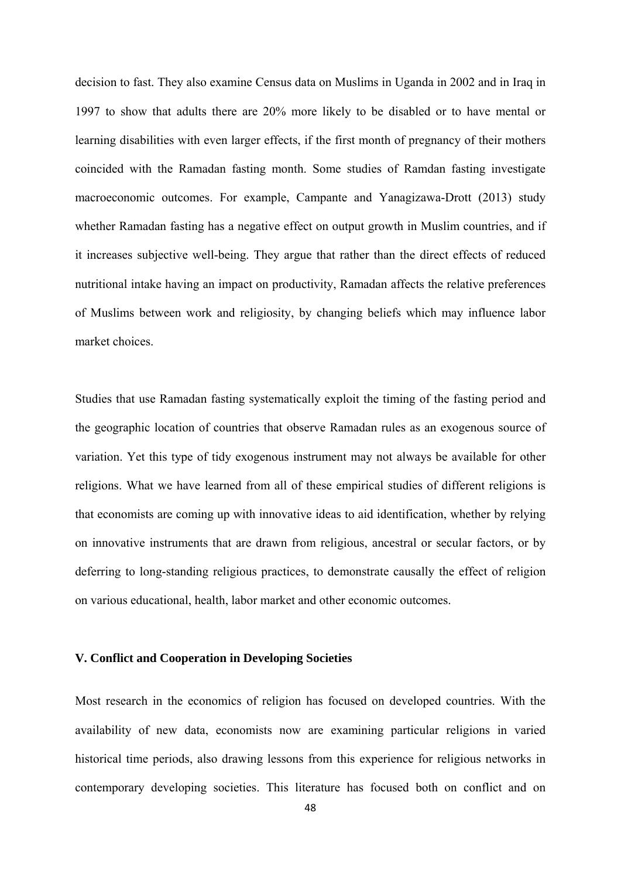decision to fast. They also examine Census data on Muslims in Uganda in 2002 and in Iraq in 1997 to show that adults there are 20% more likely to be disabled or to have mental or learning disabilities with even larger effects, if the first month of pregnancy of their mothers coincided with the Ramadan fasting month. Some studies of Ramdan fasting investigate macroeconomic outcomes. For example, Campante and Yanagizawa-Drott (2013) study whether Ramadan fasting has a negative effect on output growth in Muslim countries, and if it increases subjective well-being. They argue that rather than the direct effects of reduced nutritional intake having an impact on productivity, Ramadan affects the relative preferences of Muslims between work and religiosity, by changing beliefs which may influence labor market choices.

Studies that use Ramadan fasting systematically exploit the timing of the fasting period and the geographic location of countries that observe Ramadan rules as an exogenous source of variation. Yet this type of tidy exogenous instrument may not always be available for other religions. What we have learned from all of these empirical studies of different religions is that economists are coming up with innovative ideas to aid identification, whether by relying on innovative instruments that are drawn from religious, ancestral or secular factors, or by deferring to long-standing religious practices, to demonstrate causally the effect of religion on various educational, health, labor market and other economic outcomes.

# **V. Conflict and Cooperation in Developing Societies**

Most research in the economics of religion has focused on developed countries. With the availability of new data, economists now are examining particular religions in varied historical time periods, also drawing lessons from this experience for religious networks in contemporary developing societies. This literature has focused both on conflict and on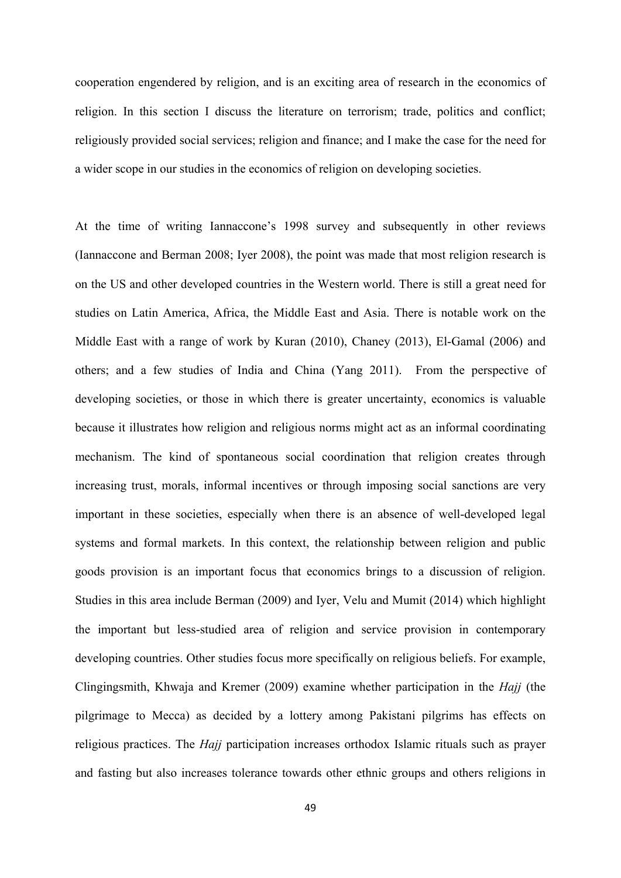cooperation engendered by religion, and is an exciting area of research in the economics of religion. In this section I discuss the literature on terrorism; trade, politics and conflict; religiously provided social services; religion and finance; and I make the case for the need for a wider scope in our studies in the economics of religion on developing societies.

At the time of writing Iannaccone's 1998 survey and subsequently in other reviews (Iannaccone and Berman 2008; Iyer 2008), the point was made that most religion research is on the US and other developed countries in the Western world. There is still a great need for studies on Latin America, Africa, the Middle East and Asia. There is notable work on the Middle East with a range of work by Kuran (2010), Chaney (2013), El-Gamal (2006) and others; and a few studies of India and China (Yang 2011). From the perspective of developing societies, or those in which there is greater uncertainty, economics is valuable because it illustrates how religion and religious norms might act as an informal coordinating mechanism. The kind of spontaneous social coordination that religion creates through increasing trust, morals, informal incentives or through imposing social sanctions are very important in these societies, especially when there is an absence of well-developed legal systems and formal markets. In this context, the relationship between religion and public goods provision is an important focus that economics brings to a discussion of religion. Studies in this area include Berman (2009) and Iyer, Velu and Mumit (2014) which highlight the important but less-studied area of religion and service provision in contemporary developing countries. Other studies focus more specifically on religious beliefs. For example, Clingingsmith, Khwaja and Kremer (2009) examine whether participation in the *Hajj* (the pilgrimage to Mecca) as decided by a lottery among Pakistani pilgrims has effects on religious practices. The *Hajj* participation increases orthodox Islamic rituals such as prayer and fasting but also increases tolerance towards other ethnic groups and others religions in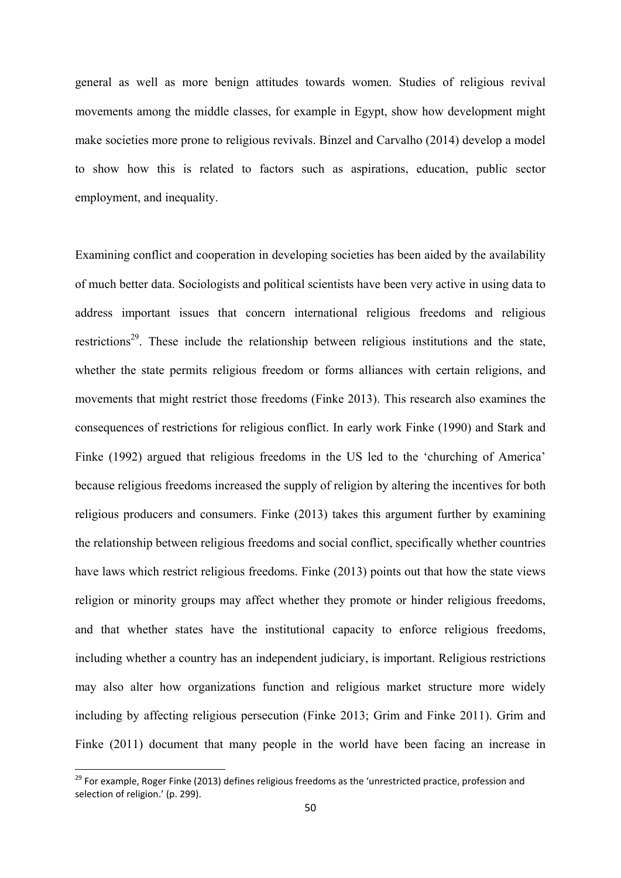general as well as more benign attitudes towards women. Studies of religious revival movements among the middle classes, for example in Egypt, show how development might make societies more prone to religious revivals. Binzel and Carvalho (2014) develop a model to show how this is related to factors such as aspirations, education, public sector employment, and inequality.

Examining conflict and cooperation in developing societies has been aided by the availability of much better data. Sociologists and political scientists have been very active in using data to address important issues that concern international religious freedoms and religious restrictions<sup>29</sup>. These include the relationship between religious institutions and the state, whether the state permits religious freedom or forms alliances with certain religions, and movements that might restrict those freedoms (Finke 2013). This research also examines the consequences of restrictions for religious conflict. In early work Finke (1990) and Stark and Finke (1992) argued that religious freedoms in the US led to the 'churching of America' because religious freedoms increased the supply of religion by altering the incentives for both religious producers and consumers. Finke (2013) takes this argument further by examining the relationship between religious freedoms and social conflict, specifically whether countries have laws which restrict religious freedoms. Finke (2013) points out that how the state views religion or minority groups may affect whether they promote or hinder religious freedoms, and that whether states have the institutional capacity to enforce religious freedoms, including whether a country has an independent judiciary, is important. Religious restrictions may also alter how organizations function and religious market structure more widely including by affecting religious persecution (Finke 2013; Grim and Finke 2011). Grim and Finke (2011) document that many people in the world have been facing an increase in

<sup>&</sup>lt;sup>29</sup> For example, Roger Finke (2013) defines religious freedoms as the 'unrestricted practice, profession and selection of religion.' (p. 299).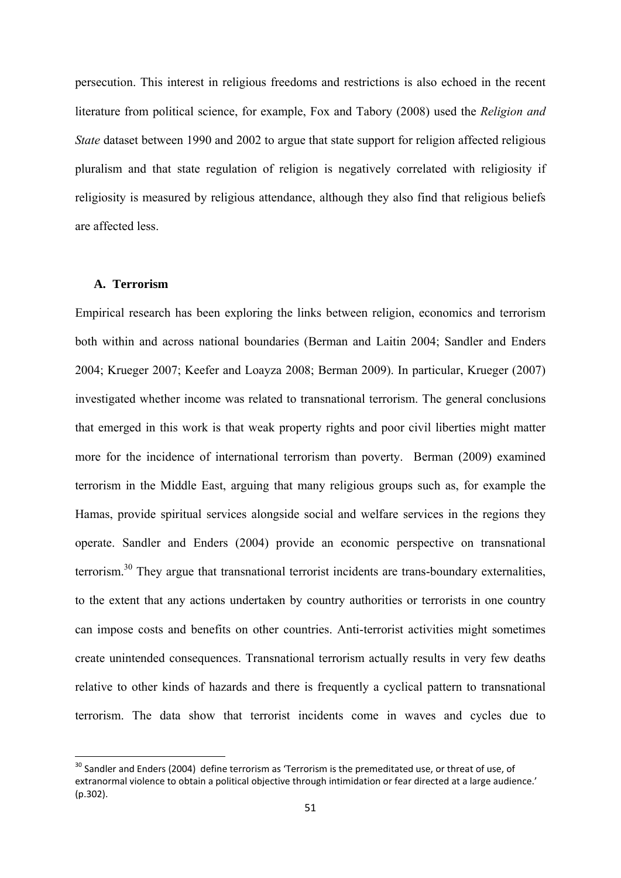persecution. This interest in religious freedoms and restrictions is also echoed in the recent literature from political science, for example, Fox and Tabory (2008) used the *Religion and State* dataset between 1990 and 2002 to argue that state support for religion affected religious pluralism and that state regulation of religion is negatively correlated with religiosity if religiosity is measured by religious attendance, although they also find that religious beliefs are affected less.

## **A. Terrorism**

Empirical research has been exploring the links between religion, economics and terrorism both within and across national boundaries (Berman and Laitin 2004; Sandler and Enders 2004; Krueger 2007; Keefer and Loayza 2008; Berman 2009). In particular, Krueger (2007) investigated whether income was related to transnational terrorism. The general conclusions that emerged in this work is that weak property rights and poor civil liberties might matter more for the incidence of international terrorism than poverty. Berman (2009) examined terrorism in the Middle East, arguing that many religious groups such as, for example the Hamas, provide spiritual services alongside social and welfare services in the regions they operate. Sandler and Enders (2004) provide an economic perspective on transnational terrorism.30 They argue that transnational terrorist incidents are trans-boundary externalities, to the extent that any actions undertaken by country authorities or terrorists in one country can impose costs and benefits on other countries. Anti-terrorist activities might sometimes create unintended consequences. Transnational terrorism actually results in very few deaths relative to other kinds of hazards and there is frequently a cyclical pattern to transnational terrorism. The data show that terrorist incidents come in waves and cycles due to

<sup>&</sup>lt;sup>30</sup> Sandler and Enders (2004) define terrorism as 'Terrorism is the premeditated use, or threat of use, of extranormal violence to obtain a political objective through intimidation or fear directed at a large audience.' (p.302).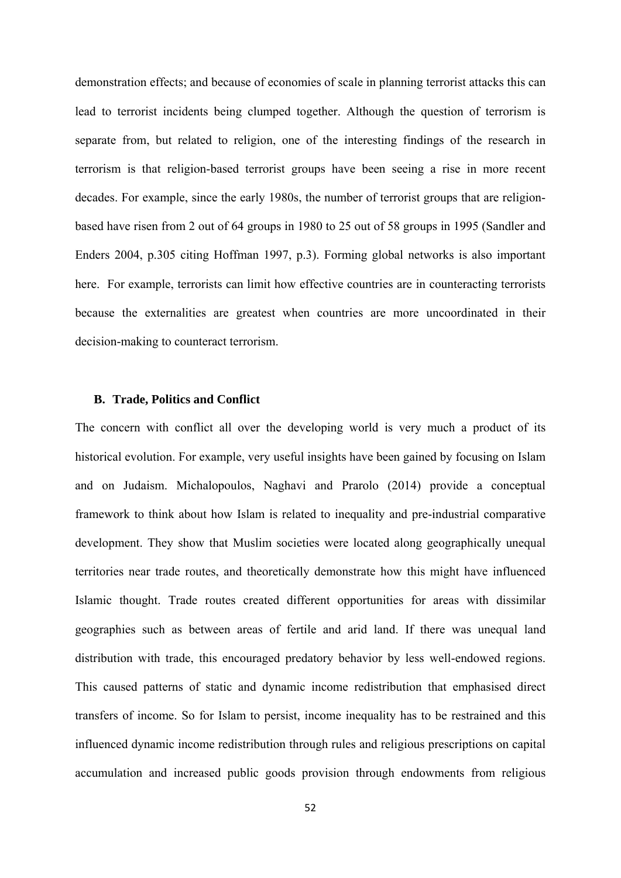demonstration effects; and because of economies of scale in planning terrorist attacks this can lead to terrorist incidents being clumped together. Although the question of terrorism is separate from, but related to religion, one of the interesting findings of the research in terrorism is that religion-based terrorist groups have been seeing a rise in more recent decades. For example, since the early 1980s, the number of terrorist groups that are religionbased have risen from 2 out of 64 groups in 1980 to 25 out of 58 groups in 1995 (Sandler and Enders 2004, p.305 citing Hoffman 1997, p.3). Forming global networks is also important here. For example, terrorists can limit how effective countries are in counteracting terrorists because the externalities are greatest when countries are more uncoordinated in their decision-making to counteract terrorism.

#### **B. Trade, Politics and Conflict**

The concern with conflict all over the developing world is very much a product of its historical evolution. For example, very useful insights have been gained by focusing on Islam and on Judaism. Michalopoulos, Naghavi and Prarolo (2014) provide a conceptual framework to think about how Islam is related to inequality and pre-industrial comparative development. They show that Muslim societies were located along geographically unequal territories near trade routes, and theoretically demonstrate how this might have influenced Islamic thought. Trade routes created different opportunities for areas with dissimilar geographies such as between areas of fertile and arid land. If there was unequal land distribution with trade, this encouraged predatory behavior by less well-endowed regions. This caused patterns of static and dynamic income redistribution that emphasised direct transfers of income. So for Islam to persist, income inequality has to be restrained and this influenced dynamic income redistribution through rules and religious prescriptions on capital accumulation and increased public goods provision through endowments from religious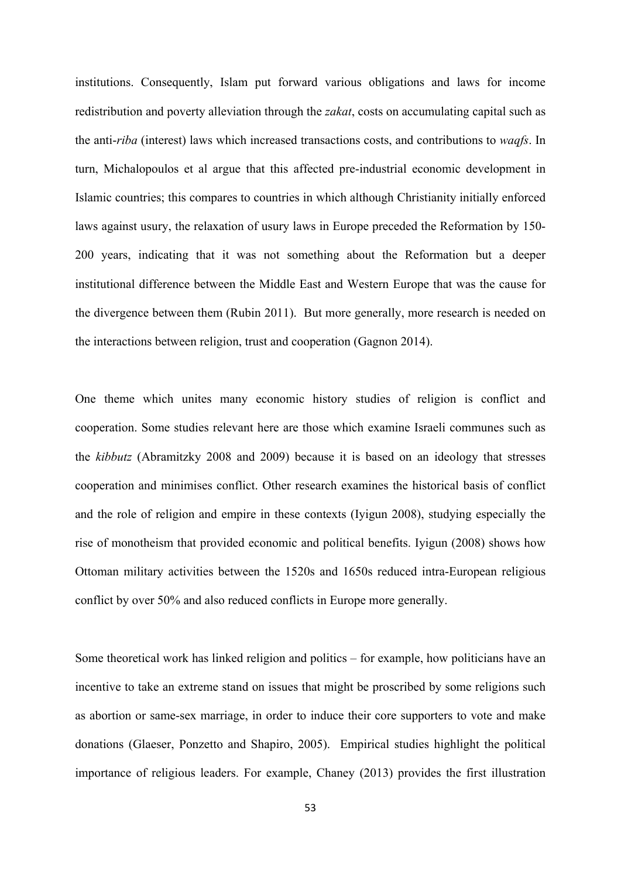institutions. Consequently, Islam put forward various obligations and laws for income redistribution and poverty alleviation through the *zakat*, costs on accumulating capital such as the anti-*riba* (interest) laws which increased transactions costs, and contributions to *waqfs*. In turn, Michalopoulos et al argue that this affected pre-industrial economic development in Islamic countries; this compares to countries in which although Christianity initially enforced laws against usury, the relaxation of usury laws in Europe preceded the Reformation by 150- 200 years, indicating that it was not something about the Reformation but a deeper institutional difference between the Middle East and Western Europe that was the cause for the divergence between them (Rubin 2011). But more generally, more research is needed on the interactions between religion, trust and cooperation (Gagnon 2014).

One theme which unites many economic history studies of religion is conflict and cooperation. Some studies relevant here are those which examine Israeli communes such as the *kibbutz* (Abramitzky 2008 and 2009) because it is based on an ideology that stresses cooperation and minimises conflict. Other research examines the historical basis of conflict and the role of religion and empire in these contexts (Iyigun 2008), studying especially the rise of monotheism that provided economic and political benefits. Iyigun (2008) shows how Ottoman military activities between the 1520s and 1650s reduced intra-European religious conflict by over 50% and also reduced conflicts in Europe more generally.

Some theoretical work has linked religion and politics – for example, how politicians have an incentive to take an extreme stand on issues that might be proscribed by some religions such as abortion or same-sex marriage, in order to induce their core supporters to vote and make donations (Glaeser, Ponzetto and Shapiro, 2005). Empirical studies highlight the political importance of religious leaders. For example, Chaney (2013) provides the first illustration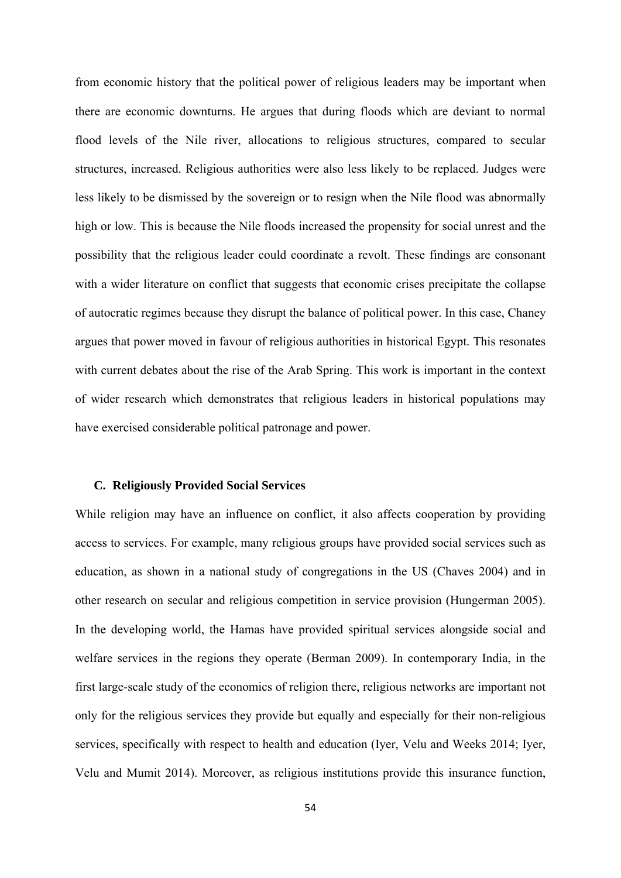from economic history that the political power of religious leaders may be important when there are economic downturns. He argues that during floods which are deviant to normal flood levels of the Nile river, allocations to religious structures, compared to secular structures, increased. Religious authorities were also less likely to be replaced. Judges were less likely to be dismissed by the sovereign or to resign when the Nile flood was abnormally high or low. This is because the Nile floods increased the propensity for social unrest and the possibility that the religious leader could coordinate a revolt. These findings are consonant with a wider literature on conflict that suggests that economic crises precipitate the collapse of autocratic regimes because they disrupt the balance of political power. In this case, Chaney argues that power moved in favour of religious authorities in historical Egypt. This resonates with current debates about the rise of the Arab Spring. This work is important in the context of wider research which demonstrates that religious leaders in historical populations may have exercised considerable political patronage and power.

### **C. Religiously Provided Social Services**

While religion may have an influence on conflict, it also affects cooperation by providing access to services. For example, many religious groups have provided social services such as education, as shown in a national study of congregations in the US (Chaves 2004) and in other research on secular and religious competition in service provision (Hungerman 2005). In the developing world, the Hamas have provided spiritual services alongside social and welfare services in the regions they operate (Berman 2009). In contemporary India, in the first large-scale study of the economics of religion there, religious networks are important not only for the religious services they provide but equally and especially for their non-religious services, specifically with respect to health and education (Iyer, Velu and Weeks 2014; Iyer, Velu and Mumit 2014). Moreover, as religious institutions provide this insurance function,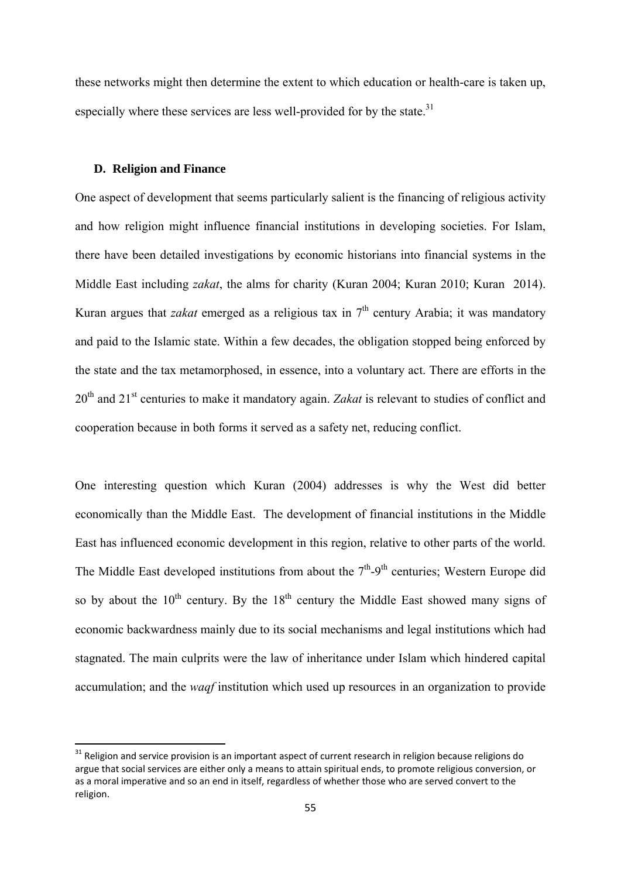these networks might then determine the extent to which education or health-care is taken up, especially where these services are less well-provided for by the state. $31$ 

# **D. Religion and Finance**

One aspect of development that seems particularly salient is the financing of religious activity and how religion might influence financial institutions in developing societies. For Islam, there have been detailed investigations by economic historians into financial systems in the Middle East including *zakat*, the alms for charity (Kuran 2004; Kuran 2010; Kuran 2014). Kuran argues that *zakat* emerged as a religious tax in  $7<sup>th</sup>$  century Arabia; it was mandatory and paid to the Islamic state. Within a few decades, the obligation stopped being enforced by the state and the tax metamorphosed, in essence, into a voluntary act. There are efforts in the 20th and 21st centuries to make it mandatory again. *Zakat* is relevant to studies of conflict and cooperation because in both forms it served as a safety net, reducing conflict.

One interesting question which Kuran (2004) addresses is why the West did better economically than the Middle East. The development of financial institutions in the Middle East has influenced economic development in this region, relative to other parts of the world. The Middle East developed institutions from about the  $7<sup>th</sup>$ -9<sup>th</sup> centuries; Western Europe did so by about the  $10^{th}$  century. By the  $18^{th}$  century the Middle East showed many signs of economic backwardness mainly due to its social mechanisms and legal institutions which had stagnated. The main culprits were the law of inheritance under Islam which hindered capital accumulation; and the *waqf* institution which used up resources in an organization to provide

 $31$  Religion and service provision is an important aspect of current research in religion because religions do argue that social services are either only a means to attain spiritual ends, to promote religious conversion, or as a moral imperative and so an end in itself, regardless of whether those who are served convert to the religion.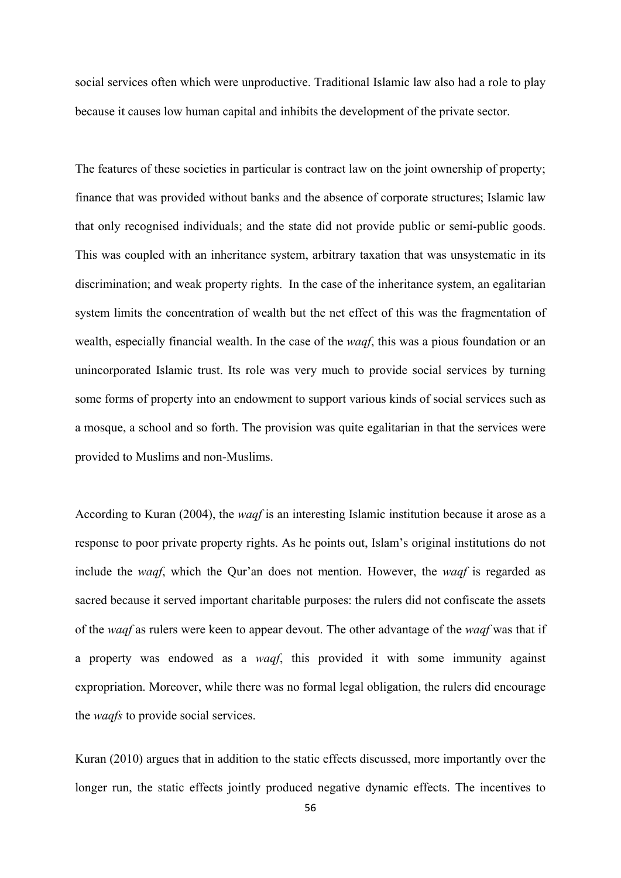social services often which were unproductive. Traditional Islamic law also had a role to play because it causes low human capital and inhibits the development of the private sector.

The features of these societies in particular is contract law on the joint ownership of property; finance that was provided without banks and the absence of corporate structures; Islamic law that only recognised individuals; and the state did not provide public or semi-public goods. This was coupled with an inheritance system, arbitrary taxation that was unsystematic in its discrimination; and weak property rights. In the case of the inheritance system, an egalitarian system limits the concentration of wealth but the net effect of this was the fragmentation of wealth, especially financial wealth. In the case of the *waqf*, this was a pious foundation or an unincorporated Islamic trust. Its role was very much to provide social services by turning some forms of property into an endowment to support various kinds of social services such as a mosque, a school and so forth. The provision was quite egalitarian in that the services were provided to Muslims and non-Muslims.

According to Kuran (2004), the *waqf* is an interesting Islamic institution because it arose as a response to poor private property rights. As he points out, Islam's original institutions do not include the *waqf*, which the Qur'an does not mention. However, the *waqf* is regarded as sacred because it served important charitable purposes: the rulers did not confiscate the assets of the *waqf* as rulers were keen to appear devout. The other advantage of the *waqf* was that if a property was endowed as a *waqf*, this provided it with some immunity against expropriation. Moreover, while there was no formal legal obligation, the rulers did encourage the *waqfs* to provide social services.

Kuran (2010) argues that in addition to the static effects discussed, more importantly over the longer run, the static effects jointly produced negative dynamic effects. The incentives to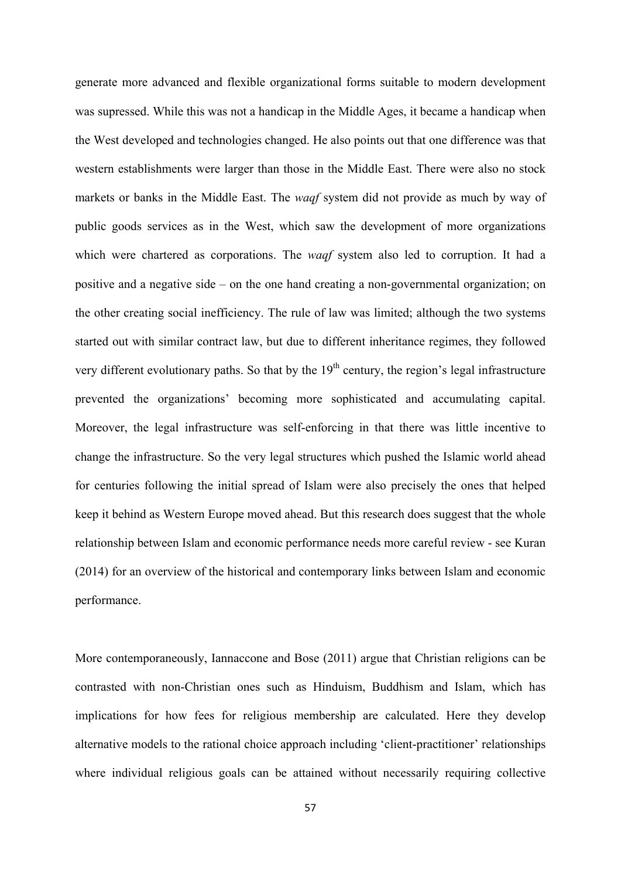generate more advanced and flexible organizational forms suitable to modern development was supressed. While this was not a handicap in the Middle Ages, it became a handicap when the West developed and technologies changed. He also points out that one difference was that western establishments were larger than those in the Middle East. There were also no stock markets or banks in the Middle East. The *waqf* system did not provide as much by way of public goods services as in the West, which saw the development of more organizations which were chartered as corporations. The *waqf* system also led to corruption. It had a positive and a negative side – on the one hand creating a non-governmental organization; on the other creating social inefficiency. The rule of law was limited; although the two systems started out with similar contract law, but due to different inheritance regimes, they followed very different evolutionary paths. So that by the  $19<sup>th</sup>$  century, the region's legal infrastructure prevented the organizations' becoming more sophisticated and accumulating capital. Moreover, the legal infrastructure was self-enforcing in that there was little incentive to change the infrastructure. So the very legal structures which pushed the Islamic world ahead for centuries following the initial spread of Islam were also precisely the ones that helped keep it behind as Western Europe moved ahead. But this research does suggest that the whole relationship between Islam and economic performance needs more careful review - see Kuran (2014) for an overview of the historical and contemporary links between Islam and economic performance.

More contemporaneously, Iannaccone and Bose (2011) argue that Christian religions can be contrasted with non-Christian ones such as Hinduism, Buddhism and Islam, which has implications for how fees for religious membership are calculated. Here they develop alternative models to the rational choice approach including 'client-practitioner' relationships where individual religious goals can be attained without necessarily requiring collective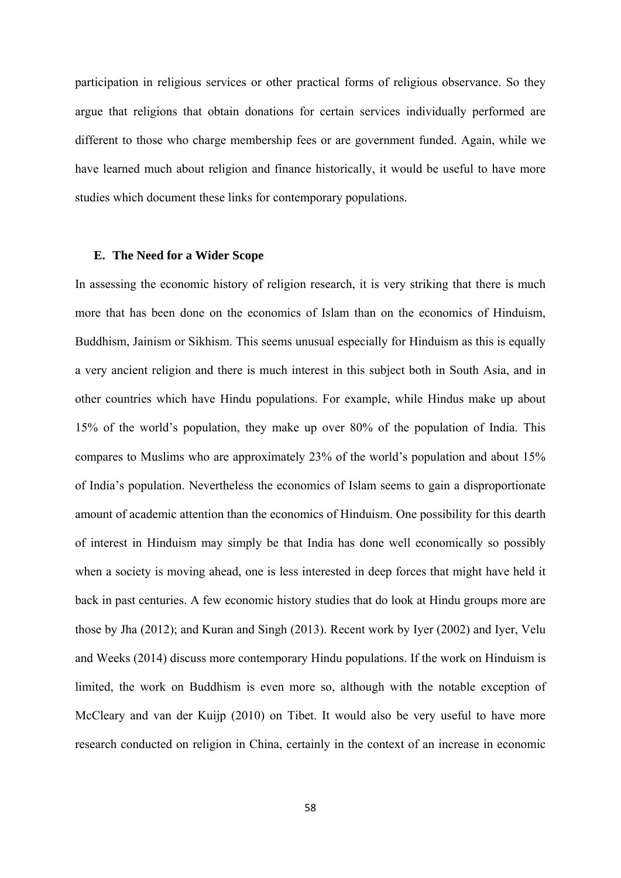participation in religious services or other practical forms of religious observance. So they argue that religions that obtain donations for certain services individually performed are different to those who charge membership fees or are government funded. Again, while we have learned much about religion and finance historically, it would be useful to have more studies which document these links for contemporary populations.

### **E. The Need for a Wider Scope**

In assessing the economic history of religion research, it is very striking that there is much more that has been done on the economics of Islam than on the economics of Hinduism, Buddhism, Jainism or Sikhism. This seems unusual especially for Hinduism as this is equally a very ancient religion and there is much interest in this subject both in South Asia, and in other countries which have Hindu populations. For example, while Hindus make up about 15% of the world's population, they make up over 80% of the population of India. This compares to Muslims who are approximately 23% of the world's population and about 15% of India's population. Nevertheless the economics of Islam seems to gain a disproportionate amount of academic attention than the economics of Hinduism. One possibility for this dearth of interest in Hinduism may simply be that India has done well economically so possibly when a society is moving ahead, one is less interested in deep forces that might have held it back in past centuries. A few economic history studies that do look at Hindu groups more are those by Jha (2012); and Kuran and Singh (2013). Recent work by Iyer (2002) and Iyer, Velu and Weeks (2014) discuss more contemporary Hindu populations. If the work on Hinduism is limited, the work on Buddhism is even more so, although with the notable exception of McCleary and van der Kuijp (2010) on Tibet. It would also be very useful to have more research conducted on religion in China, certainly in the context of an increase in economic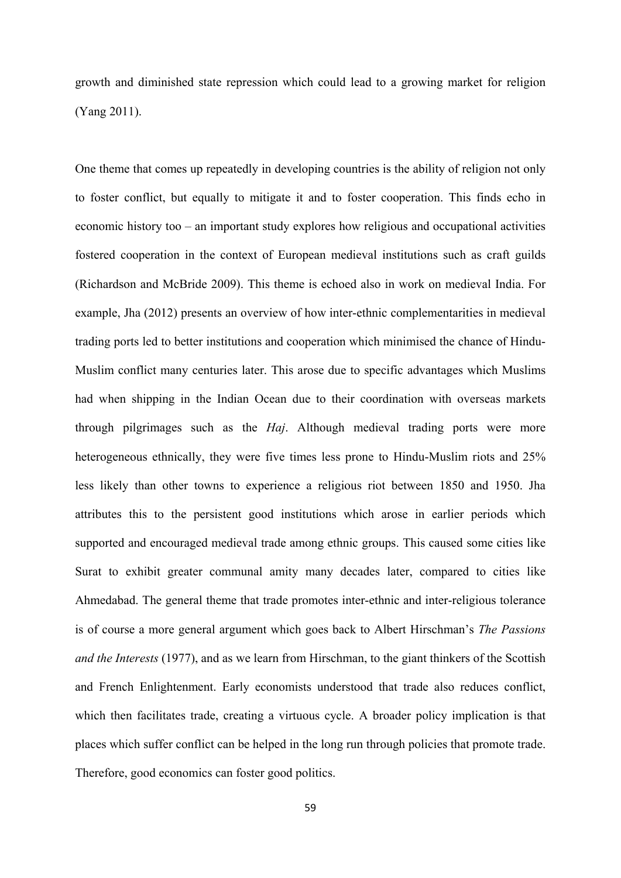growth and diminished state repression which could lead to a growing market for religion (Yang 2011).

One theme that comes up repeatedly in developing countries is the ability of religion not only to foster conflict, but equally to mitigate it and to foster cooperation. This finds echo in economic history too – an important study explores how religious and occupational activities fostered cooperation in the context of European medieval institutions such as craft guilds (Richardson and McBride 2009). This theme is echoed also in work on medieval India. For example, Jha (2012) presents an overview of how inter-ethnic complementarities in medieval trading ports led to better institutions and cooperation which minimised the chance of Hindu-Muslim conflict many centuries later. This arose due to specific advantages which Muslims had when shipping in the Indian Ocean due to their coordination with overseas markets through pilgrimages such as the *Haj*. Although medieval trading ports were more heterogeneous ethnically, they were five times less prone to Hindu-Muslim riots and 25% less likely than other towns to experience a religious riot between 1850 and 1950. Jha attributes this to the persistent good institutions which arose in earlier periods which supported and encouraged medieval trade among ethnic groups. This caused some cities like Surat to exhibit greater communal amity many decades later, compared to cities like Ahmedabad. The general theme that trade promotes inter-ethnic and inter-religious tolerance is of course a more general argument which goes back to Albert Hirschman's *The Passions and the Interests* (1977), and as we learn from Hirschman, to the giant thinkers of the Scottish and French Enlightenment. Early economists understood that trade also reduces conflict, which then facilitates trade, creating a virtuous cycle. A broader policy implication is that places which suffer conflict can be helped in the long run through policies that promote trade. Therefore, good economics can foster good politics.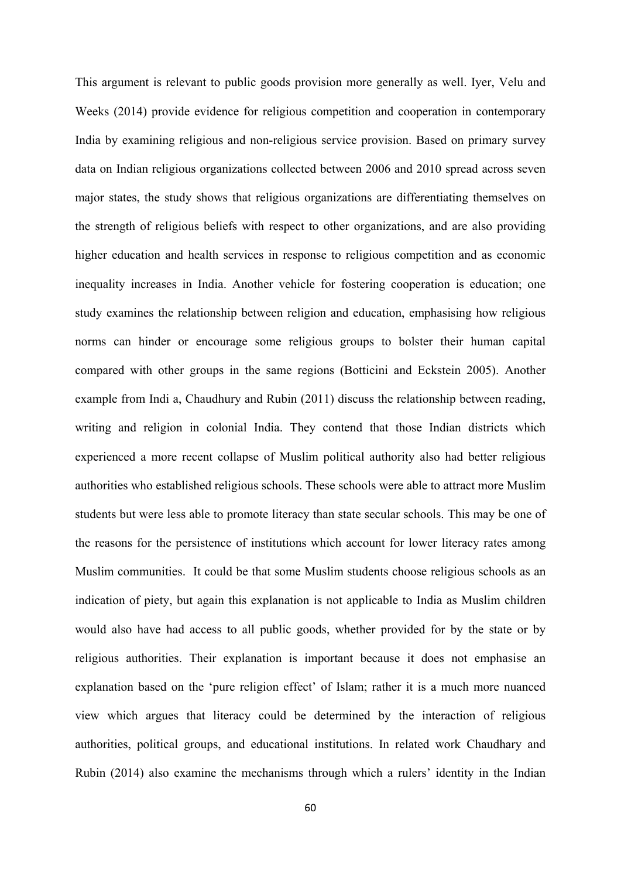This argument is relevant to public goods provision more generally as well. Iyer, Velu and Weeks (2014) provide evidence for religious competition and cooperation in contemporary India by examining religious and non-religious service provision. Based on primary survey data on Indian religious organizations collected between 2006 and 2010 spread across seven major states, the study shows that religious organizations are differentiating themselves on the strength of religious beliefs with respect to other organizations, and are also providing higher education and health services in response to religious competition and as economic inequality increases in India. Another vehicle for fostering cooperation is education; one study examines the relationship between religion and education, emphasising how religious norms can hinder or encourage some religious groups to bolster their human capital compared with other groups in the same regions (Botticini and Eckstein 2005). Another example from Indi a, Chaudhury and Rubin (2011) discuss the relationship between reading, writing and religion in colonial India. They contend that those Indian districts which experienced a more recent collapse of Muslim political authority also had better religious authorities who established religious schools. These schools were able to attract more Muslim students but were less able to promote literacy than state secular schools. This may be one of the reasons for the persistence of institutions which account for lower literacy rates among Muslim communities. It could be that some Muslim students choose religious schools as an indication of piety, but again this explanation is not applicable to India as Muslim children would also have had access to all public goods, whether provided for by the state or by religious authorities. Their explanation is important because it does not emphasise an explanation based on the 'pure religion effect' of Islam; rather it is a much more nuanced view which argues that literacy could be determined by the interaction of religious authorities, political groups, and educational institutions. In related work Chaudhary and Rubin (2014) also examine the mechanisms through which a rulers' identity in the Indian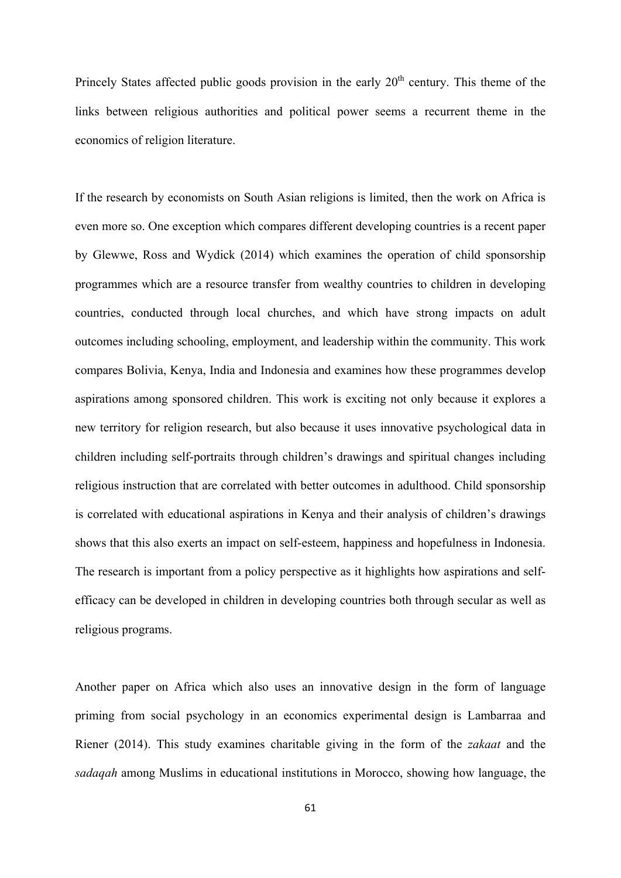Princely States affected public goods provision in the early  $20<sup>th</sup>$  century. This theme of the links between religious authorities and political power seems a recurrent theme in the economics of religion literature.

If the research by economists on South Asian religions is limited, then the work on Africa is even more so. One exception which compares different developing countries is a recent paper by Glewwe, Ross and Wydick (2014) which examines the operation of child sponsorship programmes which are a resource transfer from wealthy countries to children in developing countries, conducted through local churches, and which have strong impacts on adult outcomes including schooling, employment, and leadership within the community. This work compares Bolivia, Kenya, India and Indonesia and examines how these programmes develop aspirations among sponsored children. This work is exciting not only because it explores a new territory for religion research, but also because it uses innovative psychological data in children including self-portraits through children's drawings and spiritual changes including religious instruction that are correlated with better outcomes in adulthood. Child sponsorship is correlated with educational aspirations in Kenya and their analysis of children's drawings shows that this also exerts an impact on self-esteem, happiness and hopefulness in Indonesia. The research is important from a policy perspective as it highlights how aspirations and selfefficacy can be developed in children in developing countries both through secular as well as religious programs.

Another paper on Africa which also uses an innovative design in the form of language priming from social psychology in an economics experimental design is Lambarraa and Riener (2014). This study examines charitable giving in the form of the *zakaat* and the *sadaqah* among Muslims in educational institutions in Morocco, showing how language, the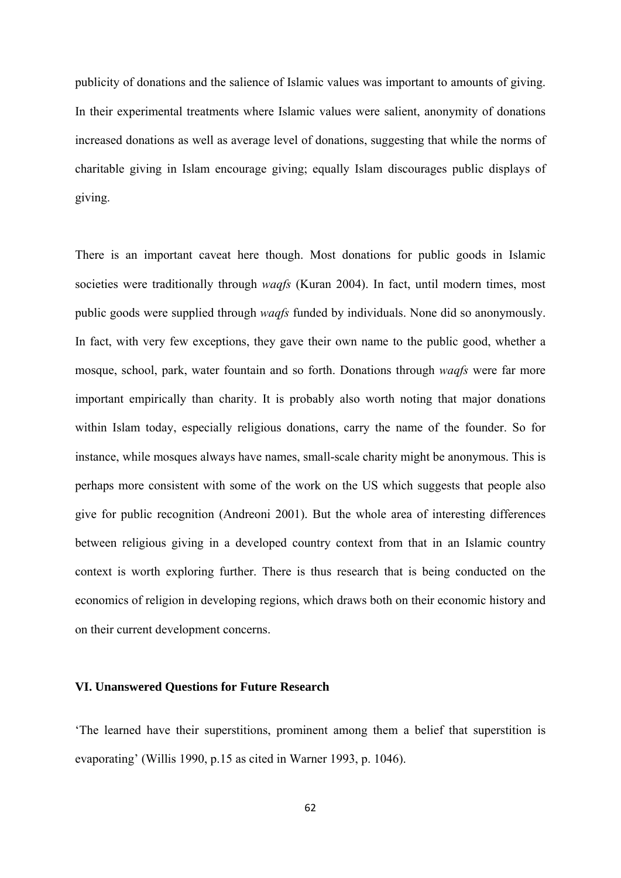publicity of donations and the salience of Islamic values was important to amounts of giving. In their experimental treatments where Islamic values were salient, anonymity of donations increased donations as well as average level of donations, suggesting that while the norms of charitable giving in Islam encourage giving; equally Islam discourages public displays of giving.

There is an important caveat here though. Most donations for public goods in Islamic societies were traditionally through *waqfs* (Kuran 2004). In fact, until modern times, most public goods were supplied through *waqfs* funded by individuals. None did so anonymously. In fact, with very few exceptions, they gave their own name to the public good, whether a mosque, school, park, water fountain and so forth. Donations through *waqfs* were far more important empirically than charity. It is probably also worth noting that major donations within Islam today, especially religious donations, carry the name of the founder. So for instance, while mosques always have names, small-scale charity might be anonymous. This is perhaps more consistent with some of the work on the US which suggests that people also give for public recognition (Andreoni 2001). But the whole area of interesting differences between religious giving in a developed country context from that in an Islamic country context is worth exploring further. There is thus research that is being conducted on the economics of religion in developing regions, which draws both on their economic history and on their current development concerns.

### **VI. Unanswered Questions for Future Research**

'The learned have their superstitions, prominent among them a belief that superstition is evaporating' (Willis 1990, p.15 as cited in Warner 1993, p. 1046).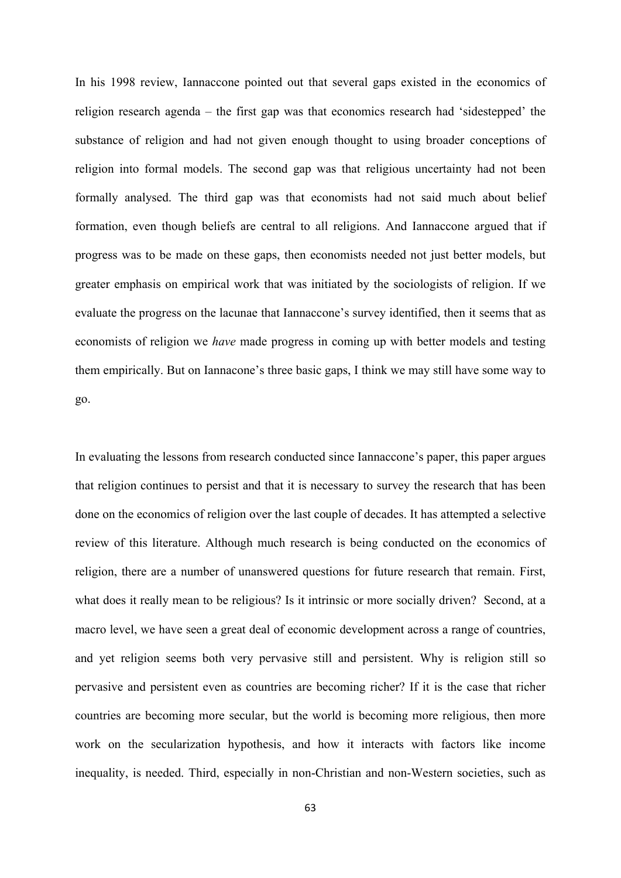In his 1998 review, Iannaccone pointed out that several gaps existed in the economics of religion research agenda – the first gap was that economics research had 'sidestepped' the substance of religion and had not given enough thought to using broader conceptions of religion into formal models. The second gap was that religious uncertainty had not been formally analysed. The third gap was that economists had not said much about belief formation, even though beliefs are central to all religions. And Iannaccone argued that if progress was to be made on these gaps, then economists needed not just better models, but greater emphasis on empirical work that was initiated by the sociologists of religion. If we evaluate the progress on the lacunae that Iannaccone's survey identified, then it seems that as economists of religion we *have* made progress in coming up with better models and testing them empirically. But on Iannacone's three basic gaps, I think we may still have some way to go.

In evaluating the lessons from research conducted since Iannaccone's paper, this paper argues that religion continues to persist and that it is necessary to survey the research that has been done on the economics of religion over the last couple of decades. It has attempted a selective review of this literature. Although much research is being conducted on the economics of religion, there are a number of unanswered questions for future research that remain. First, what does it really mean to be religious? Is it intrinsic or more socially driven? Second, at a macro level, we have seen a great deal of economic development across a range of countries, and yet religion seems both very pervasive still and persistent. Why is religion still so pervasive and persistent even as countries are becoming richer? If it is the case that richer countries are becoming more secular, but the world is becoming more religious, then more work on the secularization hypothesis, and how it interacts with factors like income inequality, is needed. Third, especially in non-Christian and non-Western societies, such as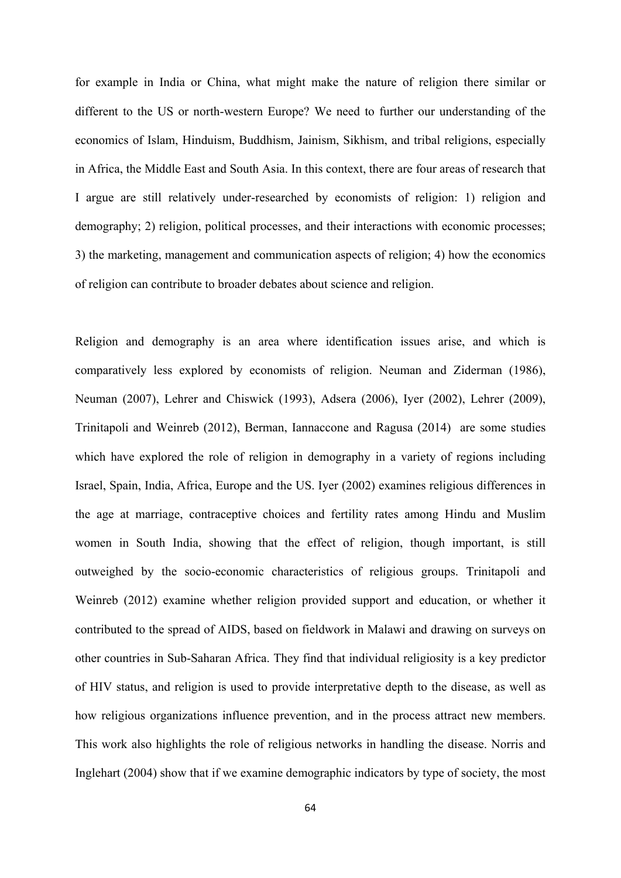for example in India or China, what might make the nature of religion there similar or different to the US or north-western Europe? We need to further our understanding of the economics of Islam, Hinduism, Buddhism, Jainism, Sikhism, and tribal religions, especially in Africa, the Middle East and South Asia. In this context, there are four areas of research that I argue are still relatively under-researched by economists of religion: 1) religion and demography; 2) religion, political processes, and their interactions with economic processes; 3) the marketing, management and communication aspects of religion; 4) how the economics of religion can contribute to broader debates about science and religion.

Religion and demography is an area where identification issues arise, and which is comparatively less explored by economists of religion. Neuman and Ziderman (1986), Neuman (2007), Lehrer and Chiswick (1993), Adsera (2006), Iyer (2002), Lehrer (2009), Trinitapoli and Weinreb (2012), Berman, Iannaccone and Ragusa (2014) are some studies which have explored the role of religion in demography in a variety of regions including Israel, Spain, India, Africa, Europe and the US. Iyer (2002) examines religious differences in the age at marriage, contraceptive choices and fertility rates among Hindu and Muslim women in South India, showing that the effect of religion, though important, is still outweighed by the socio-economic characteristics of religious groups. Trinitapoli and Weinreb (2012) examine whether religion provided support and education, or whether it contributed to the spread of AIDS, based on fieldwork in Malawi and drawing on surveys on other countries in Sub-Saharan Africa. They find that individual religiosity is a key predictor of HIV status, and religion is used to provide interpretative depth to the disease, as well as how religious organizations influence prevention, and in the process attract new members. This work also highlights the role of religious networks in handling the disease. Norris and Inglehart (2004) show that if we examine demographic indicators by type of society, the most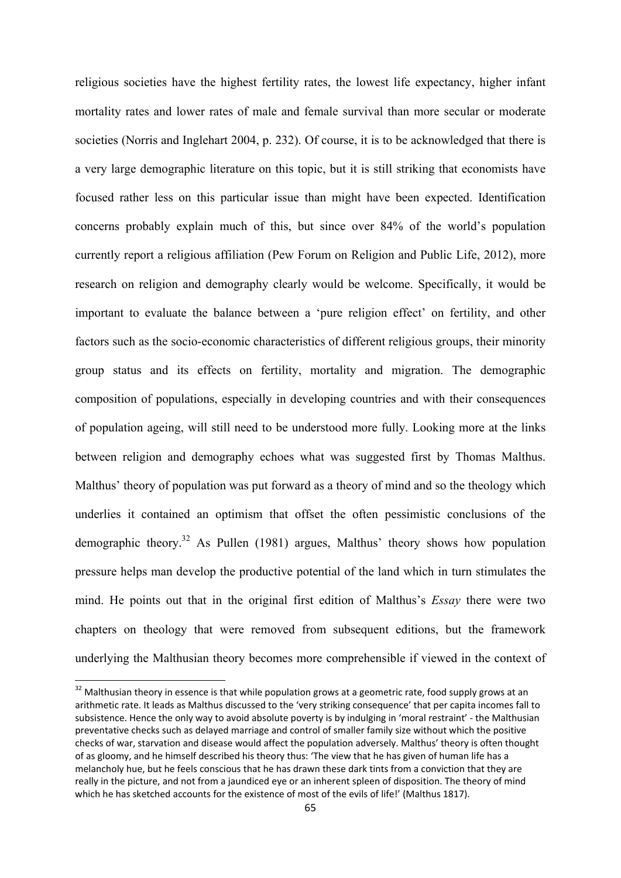religious societies have the highest fertility rates, the lowest life expectancy, higher infant mortality rates and lower rates of male and female survival than more secular or moderate societies (Norris and Inglehart 2004, p. 232). Of course, it is to be acknowledged that there is a very large demographic literature on this topic, but it is still striking that economists have focused rather less on this particular issue than might have been expected. Identification concerns probably explain much of this, but since over 84% of the world's population currently report a religious affiliation (Pew Forum on Religion and Public Life, 2012), more research on religion and demography clearly would be welcome. Specifically, it would be important to evaluate the balance between a 'pure religion effect' on fertility, and other factors such as the socio-economic characteristics of different religious groups, their minority group status and its effects on fertility, mortality and migration. The demographic composition of populations, especially in developing countries and with their consequences of population ageing, will still need to be understood more fully. Looking more at the links between religion and demography echoes what was suggested first by Thomas Malthus. Malthus' theory of population was put forward as a theory of mind and so the theology which underlies it contained an optimism that offset the often pessimistic conclusions of the demographic theory.<sup>32</sup> As Pullen (1981) argues, Malthus' theory shows how population pressure helps man develop the productive potential of the land which in turn stimulates the mind. He points out that in the original first edition of Malthus's *Essay* there were two chapters on theology that were removed from subsequent editions, but the framework underlying the Malthusian theory becomes more comprehensible if viewed in the context of

 $32$  Malthusian theory in essence is that while population grows at a geometric rate, food supply grows at an arithmetic rate. It leads as Malthus discussed to the 'very striking consequence' that per capita incomes fall to subsistence. Hence the only way to avoid absolute poverty is by indulging in 'moral restraint' ‐ the Malthusian preventative checks such as delayed marriage and control of smaller family size without which the positive checks of war, starvation and disease would affect the population adversely. Malthus' theory is often thought of as gloomy, and he himself described his theory thus: 'The view that he has given of human life has a melancholy hue, but he feels conscious that he has drawn these dark tints from a conviction that they are really in the picture, and not from a jaundiced eye or an inherent spleen of disposition. The theory of mind which he has sketched accounts for the existence of most of the evils of life!' (Malthus 1817).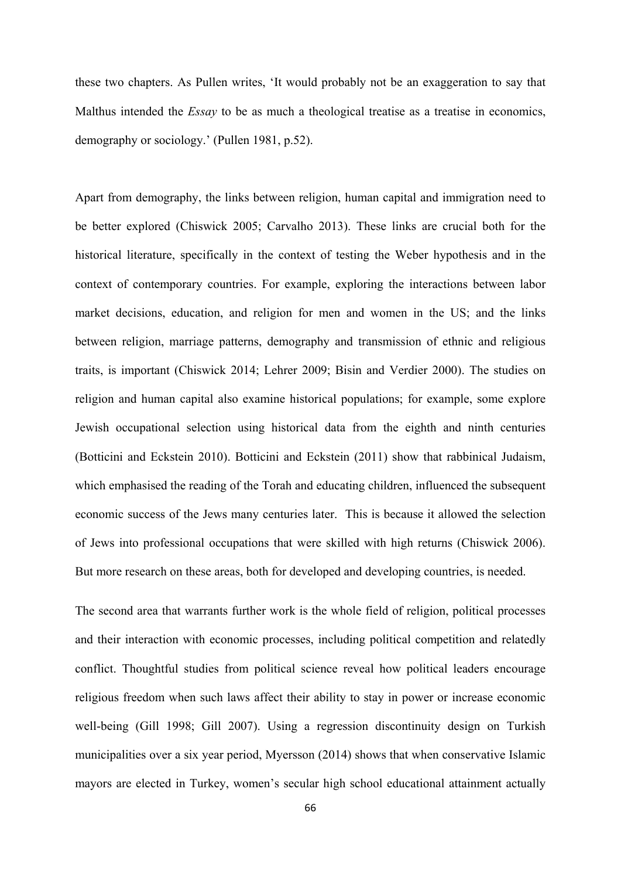these two chapters. As Pullen writes, 'It would probably not be an exaggeration to say that Malthus intended the *Essay* to be as much a theological treatise as a treatise in economics, demography or sociology.' (Pullen 1981, p.52).

Apart from demography, the links between religion, human capital and immigration need to be better explored (Chiswick 2005; Carvalho 2013). These links are crucial both for the historical literature, specifically in the context of testing the Weber hypothesis and in the context of contemporary countries. For example, exploring the interactions between labor market decisions, education, and religion for men and women in the US; and the links between religion, marriage patterns, demography and transmission of ethnic and religious traits, is important (Chiswick 2014; Lehrer 2009; Bisin and Verdier 2000). The studies on religion and human capital also examine historical populations; for example, some explore Jewish occupational selection using historical data from the eighth and ninth centuries (Botticini and Eckstein 2010). Botticini and Eckstein (2011) show that rabbinical Judaism, which emphasised the reading of the Torah and educating children, influenced the subsequent economic success of the Jews many centuries later. This is because it allowed the selection of Jews into professional occupations that were skilled with high returns (Chiswick 2006). But more research on these areas, both for developed and developing countries, is needed.

The second area that warrants further work is the whole field of religion, political processes and their interaction with economic processes, including political competition and relatedly conflict. Thoughtful studies from political science reveal how political leaders encourage religious freedom when such laws affect their ability to stay in power or increase economic well-being (Gill 1998; Gill 2007). Using a regression discontinuity design on Turkish municipalities over a six year period, Myersson (2014) shows that when conservative Islamic mayors are elected in Turkey, women's secular high school educational attainment actually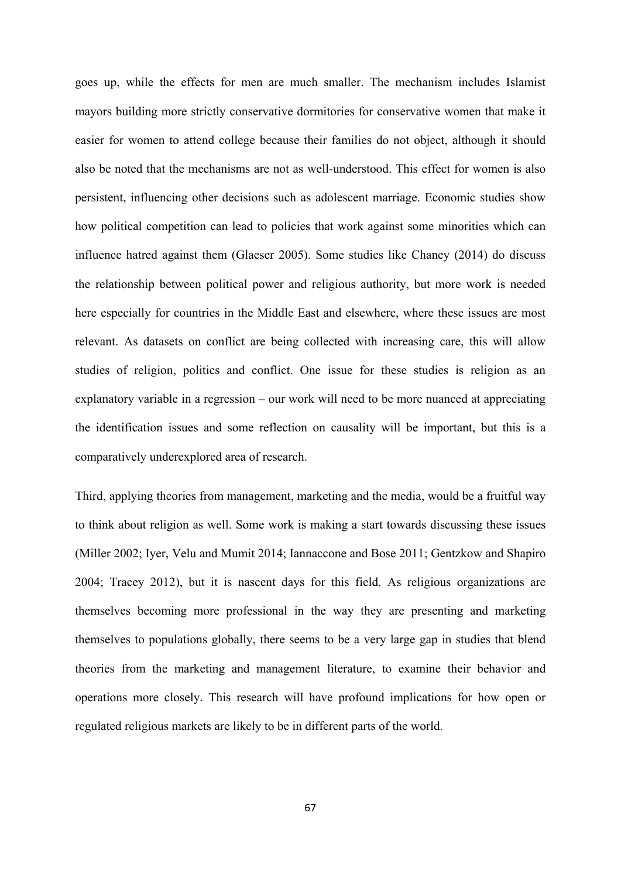goes up, while the effects for men are much smaller. The mechanism includes Islamist mayors building more strictly conservative dormitories for conservative women that make it easier for women to attend college because their families do not object, although it should also be noted that the mechanisms are not as well-understood. This effect for women is also persistent, influencing other decisions such as adolescent marriage. Economic studies show how political competition can lead to policies that work against some minorities which can influence hatred against them (Glaeser 2005). Some studies like Chaney (2014) do discuss the relationship between political power and religious authority, but more work is needed here especially for countries in the Middle East and elsewhere, where these issues are most relevant. As datasets on conflict are being collected with increasing care, this will allow studies of religion, politics and conflict. One issue for these studies is religion as an explanatory variable in a regression – our work will need to be more nuanced at appreciating the identification issues and some reflection on causality will be important, but this is a comparatively underexplored area of research.

Third, applying theories from management, marketing and the media, would be a fruitful way to think about religion as well. Some work is making a start towards discussing these issues (Miller 2002; Iyer, Velu and Mumit 2014; Iannaccone and Bose 2011; Gentzkow and Shapiro 2004; Tracey 2012), but it is nascent days for this field. As religious organizations are themselves becoming more professional in the way they are presenting and marketing themselves to populations globally, there seems to be a very large gap in studies that blend theories from the marketing and management literature, to examine their behavior and operations more closely. This research will have profound implications for how open or regulated religious markets are likely to be in different parts of the world.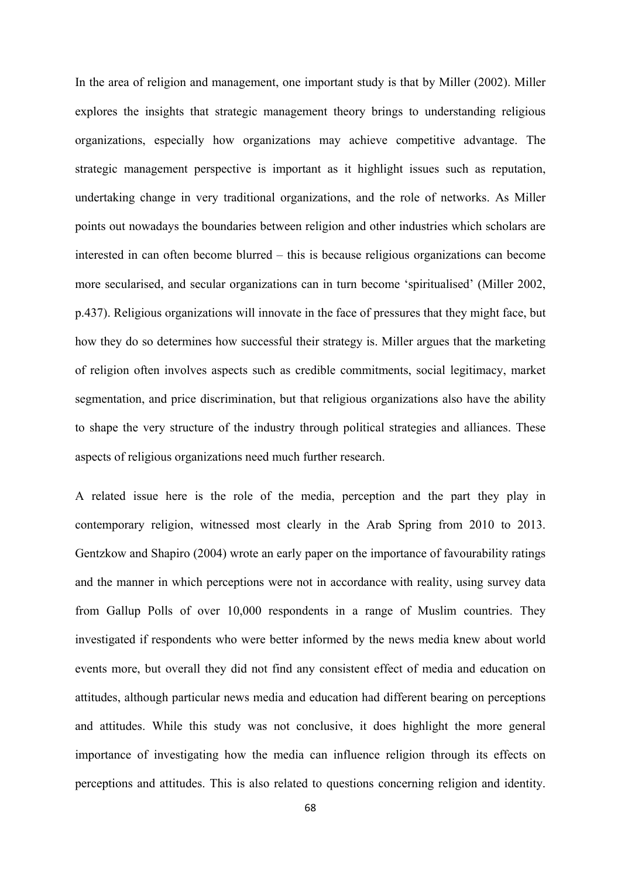In the area of religion and management, one important study is that by Miller (2002). Miller explores the insights that strategic management theory brings to understanding religious organizations, especially how organizations may achieve competitive advantage. The strategic management perspective is important as it highlight issues such as reputation, undertaking change in very traditional organizations, and the role of networks. As Miller points out nowadays the boundaries between religion and other industries which scholars are interested in can often become blurred – this is because religious organizations can become more secularised, and secular organizations can in turn become 'spiritualised' (Miller 2002, p.437). Religious organizations will innovate in the face of pressures that they might face, but how they do so determines how successful their strategy is. Miller argues that the marketing of religion often involves aspects such as credible commitments, social legitimacy, market segmentation, and price discrimination, but that religious organizations also have the ability to shape the very structure of the industry through political strategies and alliances. These aspects of religious organizations need much further research.

A related issue here is the role of the media, perception and the part they play in contemporary religion, witnessed most clearly in the Arab Spring from 2010 to 2013. Gentzkow and Shapiro (2004) wrote an early paper on the importance of favourability ratings and the manner in which perceptions were not in accordance with reality, using survey data from Gallup Polls of over 10,000 respondents in a range of Muslim countries. They investigated if respondents who were better informed by the news media knew about world events more, but overall they did not find any consistent effect of media and education on attitudes, although particular news media and education had different bearing on perceptions and attitudes. While this study was not conclusive, it does highlight the more general importance of investigating how the media can influence religion through its effects on perceptions and attitudes. This is also related to questions concerning religion and identity.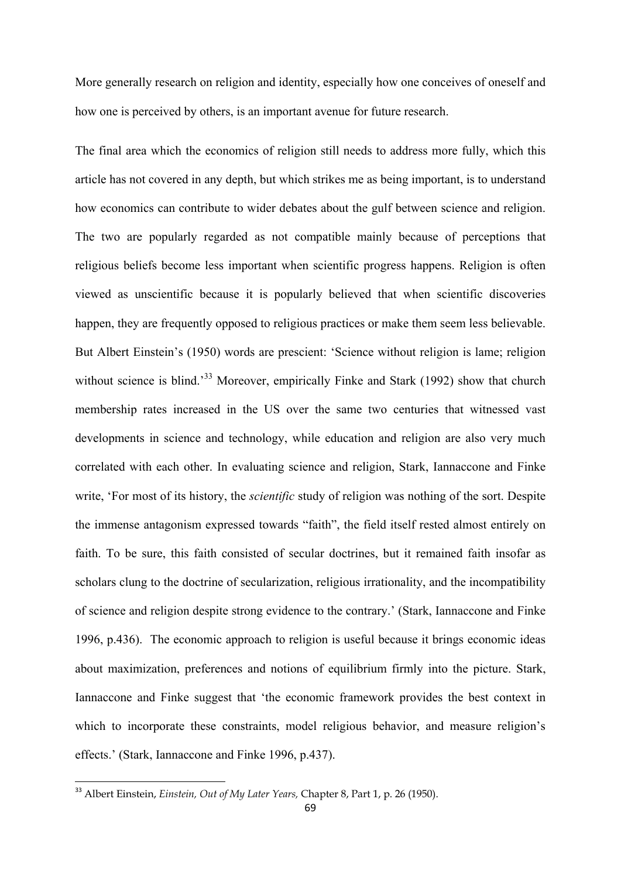More generally research on religion and identity, especially how one conceives of oneself and how one is perceived by others, is an important avenue for future research.

The final area which the economics of religion still needs to address more fully, which this article has not covered in any depth, but which strikes me as being important, is to understand how economics can contribute to wider debates about the gulf between science and religion. The two are popularly regarded as not compatible mainly because of perceptions that religious beliefs become less important when scientific progress happens. Religion is often viewed as unscientific because it is popularly believed that when scientific discoveries happen, they are frequently opposed to religious practices or make them seem less believable. But Albert Einstein's (1950) words are prescient: 'Science without religion is lame; religion without science is blind.<sup>33</sup> Moreover, empirically Finke and Stark (1992) show that church membership rates increased in the US over the same two centuries that witnessed vast developments in science and technology, while education and religion are also very much correlated with each other. In evaluating science and religion, Stark, Iannaccone and Finke write, 'For most of its history, the *scientific* study of religion was nothing of the sort. Despite the immense antagonism expressed towards "faith", the field itself rested almost entirely on faith. To be sure, this faith consisted of secular doctrines, but it remained faith insofar as scholars clung to the doctrine of secularization, religious irrationality, and the incompatibility of science and religion despite strong evidence to the contrary.' (Stark, Iannaccone and Finke 1996, p.436). The economic approach to religion is useful because it brings economic ideas about maximization, preferences and notions of equilibrium firmly into the picture. Stark, Iannaccone and Finke suggest that 'the economic framework provides the best context in which to incorporate these constraints, model religious behavior, and measure religion's effects.' (Stark, Iannaccone and Finke 1996, p.437).

<sup>33</sup> Albert Einstein, *Einstein, Out of My Later Years,* Chapter 8, Part 1, p. 26 (1950).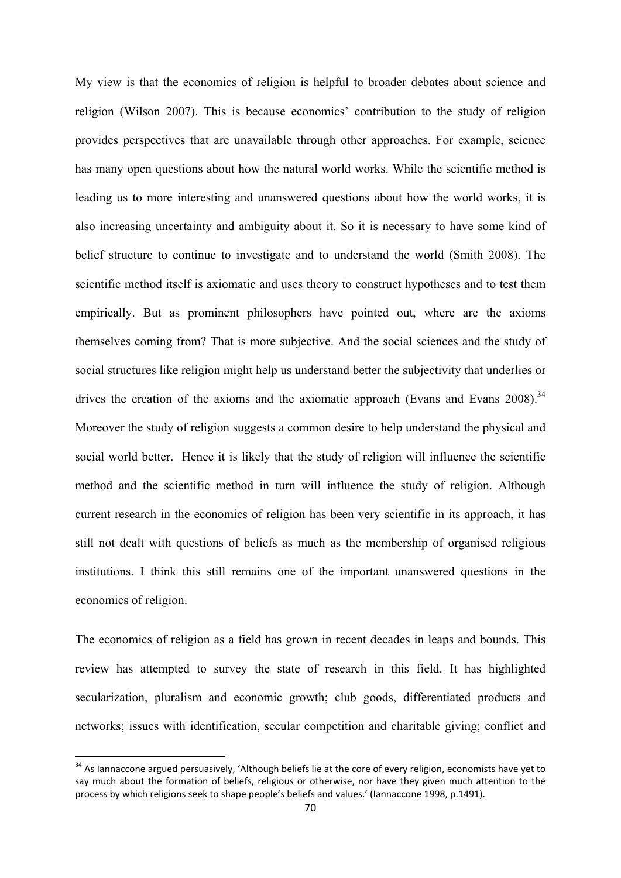My view is that the economics of religion is helpful to broader debates about science and religion (Wilson 2007). This is because economics' contribution to the study of religion provides perspectives that are unavailable through other approaches. For example, science has many open questions about how the natural world works. While the scientific method is leading us to more interesting and unanswered questions about how the world works, it is also increasing uncertainty and ambiguity about it. So it is necessary to have some kind of belief structure to continue to investigate and to understand the world (Smith 2008). The scientific method itself is axiomatic and uses theory to construct hypotheses and to test them empirically. But as prominent philosophers have pointed out, where are the axioms themselves coming from? That is more subjective. And the social sciences and the study of social structures like religion might help us understand better the subjectivity that underlies or drives the creation of the axioms and the axiomatic approach (Evans and Evans  $2008$ ).<sup>34</sup> Moreover the study of religion suggests a common desire to help understand the physical and social world better. Hence it is likely that the study of religion will influence the scientific method and the scientific method in turn will influence the study of religion. Although current research in the economics of religion has been very scientific in its approach, it has still not dealt with questions of beliefs as much as the membership of organised religious institutions. I think this still remains one of the important unanswered questions in the economics of religion.

The economics of religion as a field has grown in recent decades in leaps and bounds. This review has attempted to survey the state of research in this field. It has highlighted secularization, pluralism and economic growth; club goods, differentiated products and networks; issues with identification, secular competition and charitable giving; conflict and

<sup>&</sup>lt;sup>34</sup> As Iannaccone argued persuasively, 'Although beliefs lie at the core of every religion, economists have yet to say much about the formation of beliefs, religious or otherwise, nor have they given much attention to the process by which religions seek to shape people's beliefs and values.' (Iannaccone 1998, p.1491).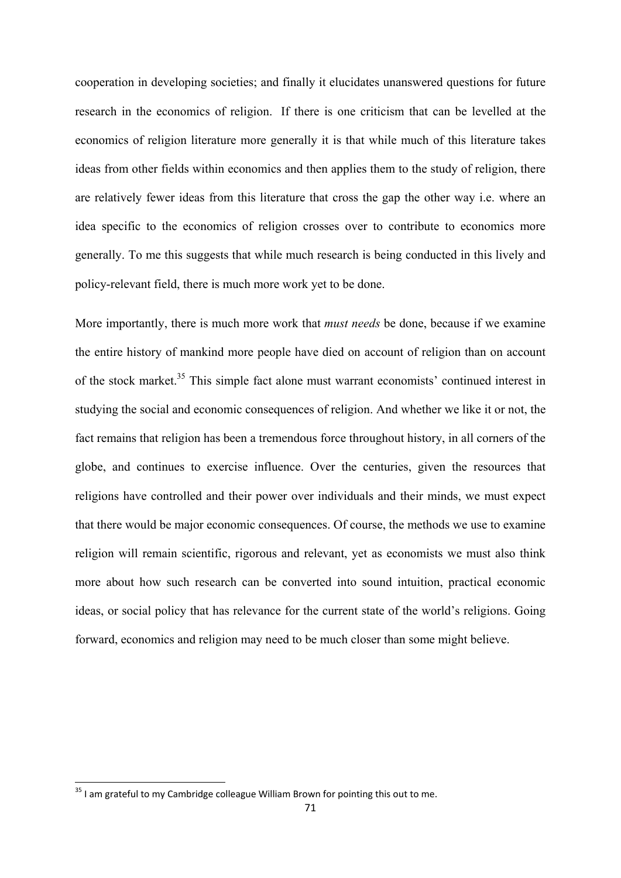cooperation in developing societies; and finally it elucidates unanswered questions for future research in the economics of religion. If there is one criticism that can be levelled at the economics of religion literature more generally it is that while much of this literature takes ideas from other fields within economics and then applies them to the study of religion, there are relatively fewer ideas from this literature that cross the gap the other way i.e. where an idea specific to the economics of religion crosses over to contribute to economics more generally. To me this suggests that while much research is being conducted in this lively and policy-relevant field, there is much more work yet to be done.

More importantly, there is much more work that *must needs* be done, because if we examine the entire history of mankind more people have died on account of religion than on account of the stock market.<sup>35</sup> This simple fact alone must warrant economists' continued interest in studying the social and economic consequences of religion. And whether we like it or not, the fact remains that religion has been a tremendous force throughout history, in all corners of the globe, and continues to exercise influence. Over the centuries, given the resources that religions have controlled and their power over individuals and their minds, we must expect that there would be major economic consequences. Of course, the methods we use to examine religion will remain scientific, rigorous and relevant, yet as economists we must also think more about how such research can be converted into sound intuition, practical economic ideas, or social policy that has relevance for the current state of the world's religions. Going forward, economics and religion may need to be much closer than some might believe.

 $35$  I am grateful to my Cambridge colleague William Brown for pointing this out to me.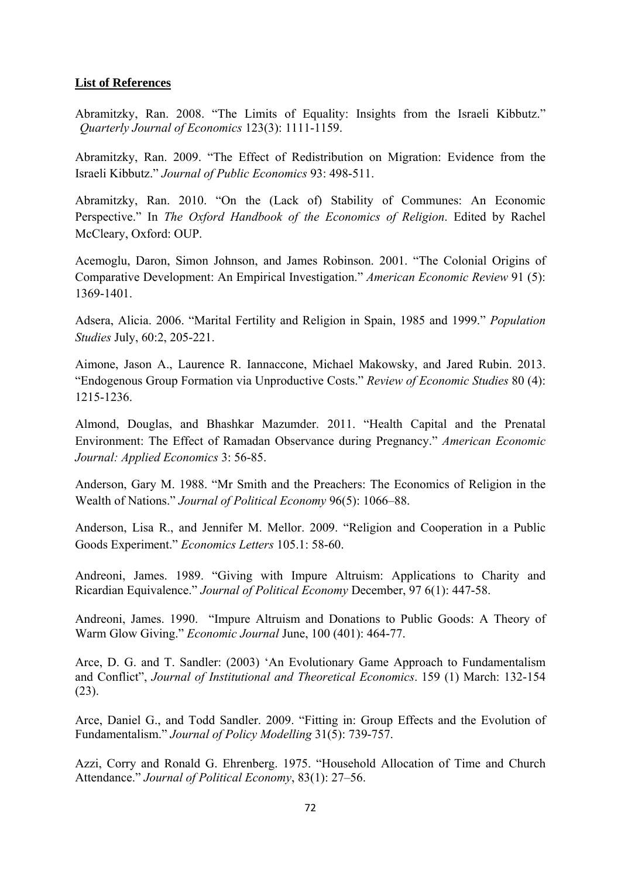## **List of References**

Abramitzky, Ran. 2008. "The Limits of Equality: Insights from the Israeli Kibbutz." *Quarterly Journal of Economics* 123(3): 1111-1159.

Abramitzky, Ran. 2009. "The Effect of Redistribution on Migration: Evidence from the Israeli Kibbutz." *Journal of Public Economics* 93: 498-511.

Abramitzky, Ran. 2010. "On the (Lack of) Stability of Communes: An Economic Perspective." In *The Oxford Handbook of the Economics of Religion*. Edited by Rachel McCleary, Oxford: OUP.

Acemoglu, Daron, Simon Johnson, and James Robinson. 2001. "The Colonial Origins of Comparative Development: An Empirical Investigation." *American Economic Review* 91 (5): 1369-1401.

Adsera, Alicia. 2006. "Marital Fertility and Religion in Spain, 1985 and 1999." *Population Studies* July, 60:2, 205-221.

Aimone, Jason A., Laurence R. Iannaccone, Michael Makowsky, and Jared Rubin. 2013. "Endogenous Group Formation via Unproductive Costs." *Review of Economic Studies* 80 (4): 1215-1236.

Almond, Douglas, and Bhashkar Mazumder. 2011. "Health Capital and the Prenatal Environment: The Effect of Ramadan Observance during Pregnancy." *American Economic Journal: Applied Economics* 3: 56-85.

Anderson, Gary M. 1988. "Mr Smith and the Preachers: The Economics of Religion in the Wealth of Nations." *Journal of Political Economy* 96(5): 1066–88.

Anderson, Lisa R., and Jennifer M. Mellor. 2009. "Religion and Cooperation in a Public Goods Experiment." *Economics Letters* 105.1: 58-60.

Andreoni, James. 1989. "Giving with Impure Altruism: Applications to Charity and Ricardian Equivalence." *Journal of Political Economy* December, 97 6(1): 447-58.

Andreoni, James. 1990. "Impure Altruism and Donations to Public Goods: A Theory of Warm Glow Giving." *Economic Journal* June, 100 (401): 464-77.

Arce, D. G. and T. Sandler: (2003) 'An Evolutionary Game Approach to Fundamentalism and Conflict", *Journal of Institutional and Theoretical Economics*. 159 (1) March: 132-154 (23).

Arce, Daniel G., and Todd Sandler. 2009. "Fitting in: Group Effects and the Evolution of Fundamentalism." *Journal of Policy Modelling* 31(5): 739-757.

Azzi, Corry and Ronald G. Ehrenberg. 1975. "Household Allocation of Time and Church Attendance." *Journal of Political Economy*, 83(1): 27–56.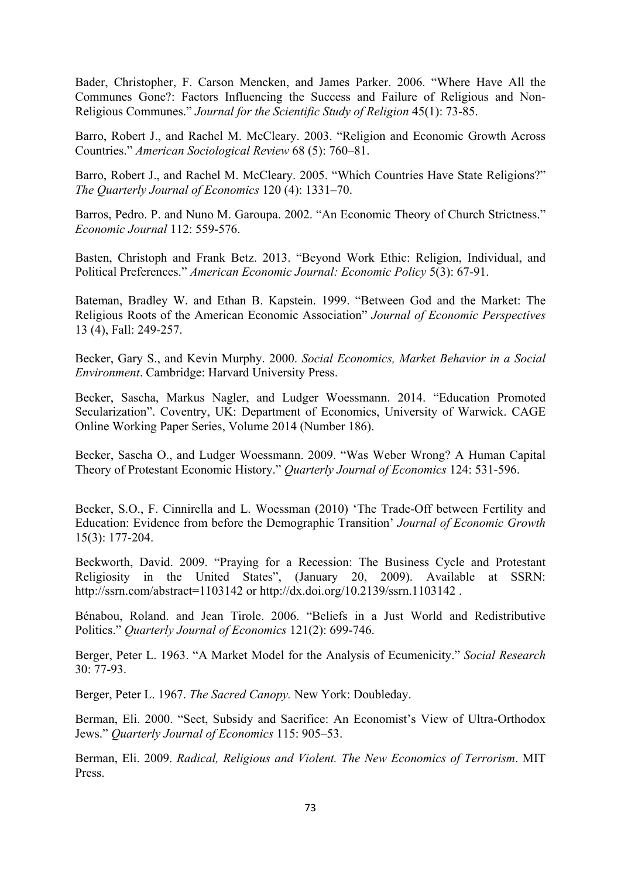Bader, Christopher, F. Carson Mencken, and James Parker. 2006. "Where Have All the Communes Gone?: Factors Influencing the Success and Failure of Religious and Non-Religious Communes." *Journal for the Scientific Study of Religion* 45(1): 73-85.

Barro, Robert J., and Rachel M. McCleary. 2003. "Religion and Economic Growth Across Countries." *American Sociological Review* 68 (5): 760–81.

Barro, Robert J., and Rachel M. McCleary. 2005. "Which Countries Have State Religions?" *The Quarterly Journal of Economics* 120 (4): 1331–70.

Barros, Pedro. P. and Nuno M. Garoupa. 2002. "An Economic Theory of Church Strictness." *Economic Journal* 112: 559-576.

Basten, Christoph and Frank Betz. 2013. "Beyond Work Ethic: Religion, Individual, and Political Preferences." *American Economic Journal: Economic Policy* 5(3): 67-91.

Bateman, Bradley W. and Ethan B. Kapstein. 1999. "Between God and the Market: The Religious Roots of the American Economic Association" *Journal of Economic Perspectives* 13 (4), Fall: 249-257.

Becker, Gary S., and Kevin Murphy. 2000. *Social Economics, Market Behavior in a Social Environment*. Cambridge: Harvard University Press.

Becker, Sascha, Markus Nagler, and Ludger Woessmann. 2014. "Education Promoted Secularization". Coventry, UK: Department of Economics, University of Warwick. CAGE Online Working Paper Series, Volume 2014 (Number 186).

Becker, Sascha O., and Ludger Woessmann. 2009. "Was Weber Wrong? A Human Capital Theory of Protestant Economic History." *Quarterly Journal of Economics* 124: 531-596.

Becker, S.O., F. Cinnirella and L. Woessman (2010) 'The Trade-Off between Fertility and Education: Evidence from before the Demographic Transition' *Journal of Economic Growth* 15(3): 177-204.

Beckworth, David. 2009. "Praying for a Recession: The Business Cycle and Protestant Religiosity in the United States", (January 20, 2009). Available at SSRN: http://ssrn.com/abstract=1103142 or http://dx.doi.org/10.2139/ssrn.1103142 .

Bénabou, Roland. and Jean Tirole. 2006. "Beliefs in a Just World and Redistributive Politics." *Quarterly Journal of Economics* 121(2): 699-746.

Berger, Peter L. 1963. "A Market Model for the Analysis of Ecumenicity." *Social Research* 30: 77-93.

Berger, Peter L. 1967. *The Sacred Canopy.* New York: Doubleday.

Berman, Eli. 2000. "Sect, Subsidy and Sacrifice: An Economist's View of Ultra-Orthodox Jews." *Quarterly Journal of Economics* 115: 905–53.

Berman, Eli. 2009. *Radical, Religious and Violent. The New Economics of Terrorism*. MIT Press.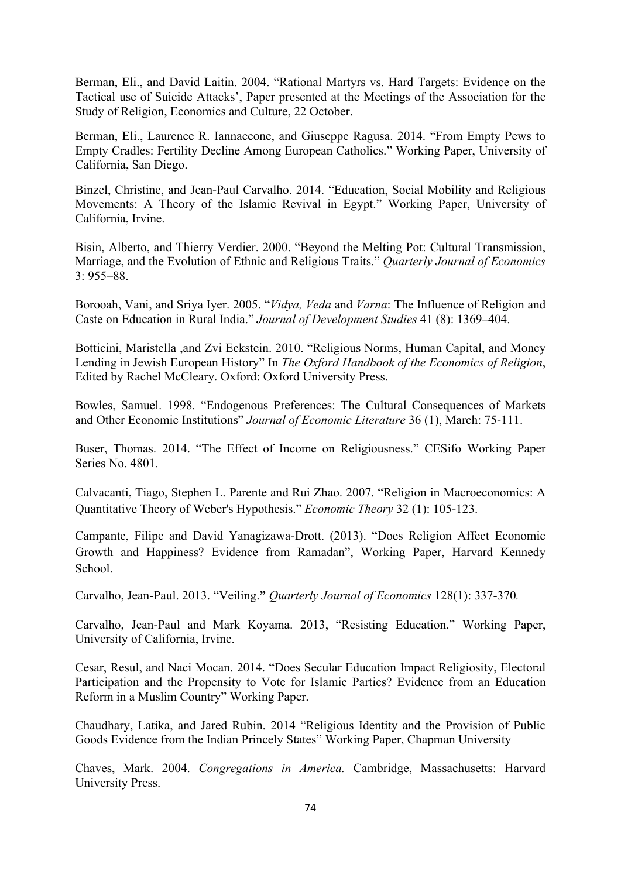Berman, Eli., and David Laitin. 2004. "Rational Martyrs vs. Hard Targets: Evidence on the Tactical use of Suicide Attacks', Paper presented at the Meetings of the Association for the Study of Religion, Economics and Culture, 22 October.

Berman, Eli., Laurence R. Iannaccone, and Giuseppe Ragusa. 2014. "From Empty Pews to Empty Cradles: Fertility Decline Among European Catholics." Working Paper, University of California, San Diego.

Binzel, Christine, and Jean-Paul Carvalho. 2014. "Education, Social Mobility and Religious Movements: A Theory of the Islamic Revival in Egypt." Working Paper, University of California, Irvine.

Bisin, Alberto, and Thierry Verdier. 2000. "Beyond the Melting Pot: Cultural Transmission, Marriage, and the Evolution of Ethnic and Religious Traits." *Quarterly Journal of Economics*  $3.955 - 88$ 

Borooah, Vani, and Sriya Iyer. 2005. "*Vidya, Veda* and *Varna*: The Influence of Religion and Caste on Education in Rural India." *Journal of Development Studies* 41 (8): 1369–404.

Botticini, Maristella ,and Zvi Eckstein. 2010. "Religious Norms, Human Capital, and Money Lending in Jewish European History" In *The Oxford Handbook of the Economics of Religion*, Edited by Rachel McCleary. Oxford: Oxford University Press.

Bowles, Samuel. 1998. "Endogenous Preferences: The Cultural Consequences of Markets and Other Economic Institutions" *Journal of Economic Literature* 36 (1), March: 75-111.

Buser, Thomas. 2014. "The Effect of Income on Religiousness." CESifo Working Paper Series No. 4801.

Calvacanti, Tiago, Stephen L. Parente and Rui Zhao. 2007. "Religion in Macroeconomics: A Quantitative Theory of Weber's Hypothesis." *Economic Theory* 32 (1): 105-123.

Campante, Filipe and David Yanagizawa-Drott. (2013). "Does Religion Affect Economic Growth and Happiness? Evidence from Ramadan", Working Paper, Harvard Kennedy School.

Carvalho, Jean-Paul. 2013. "Veiling.**"** *Quarterly Journal of Economics* 128(1): 337-370*.* 

Carvalho, Jean-Paul and Mark Koyama. 2013, "Resisting Education." Working Paper, University of California, Irvine.

Cesar, Resul, and Naci Mocan. 2014. "Does Secular Education Impact Religiosity, Electoral Participation and the Propensity to Vote for Islamic Parties? Evidence from an Education Reform in a Muslim Country" Working Paper.

Chaudhary, Latika, and Jared Rubin. 2014 "Religious Identity and the Provision of Public Goods Evidence from the Indian Princely States" Working Paper, Chapman University

Chaves, Mark. 2004. *Congregations in America.* Cambridge, Massachusetts: Harvard University Press.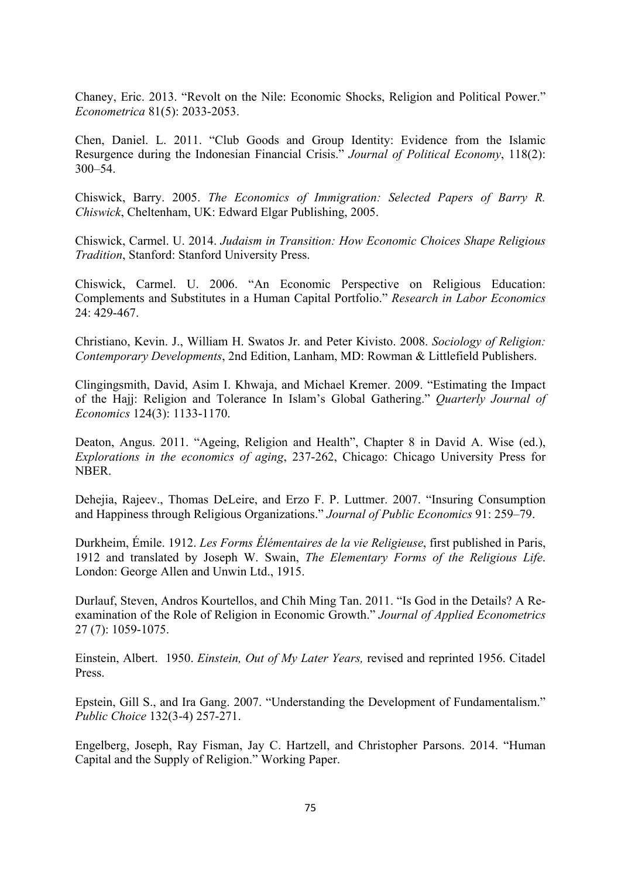Chaney, Eric. 2013. "Revolt on the Nile: Economic Shocks, Religion and Political Power." *Econometrica* 81(5): 2033-2053.

Chen, Daniel. L. 2011. "Club Goods and Group Identity: Evidence from the Islamic Resurgence during the Indonesian Financial Crisis." *Journal of Political Economy*, 118(2): 300–54.

Chiswick, Barry. 2005. *The Economics of Immigration: Selected Papers of Barry R. Chiswick*, Cheltenham, UK: Edward Elgar Publishing, 2005.

Chiswick, Carmel. U. 2014. *Judaism in Transition: How Economic Choices Shape Religious Tradition*, Stanford: Stanford University Press.

Chiswick, Carmel. U. 2006. "An Economic Perspective on Religious Education: Complements and Substitutes in a Human Capital Portfolio." *Research in Labor Economics* 24: 429-467.

Christiano, Kevin. J., William H. Swatos Jr. and Peter Kivisto. 2008. *Sociology of Religion: Contemporary Developments*, 2nd Edition, Lanham, MD: Rowman & Littlefield Publishers.

Clingingsmith, David, Asim I. Khwaja, and Michael Kremer. 2009. "Estimating the Impact of the Hajj: Religion and Tolerance In Islam's Global Gathering." *Quarterly Journal of Economics* 124(3): 1133-1170.

Deaton, Angus. 2011. "Ageing, Religion and Health", Chapter 8 in David A. Wise (ed.), *Explorations in the economics of aging*, 237-262, Chicago: Chicago University Press for NBER.

Dehejia, Rajeev., Thomas DeLeire, and Erzo F. P. Luttmer. 2007. "Insuring Consumption and Happiness through Religious Organizations." *Journal of Public Economics* 91: 259–79.

Durkheim, Émile. 1912. *Les Forms Élémentaires de la vie Religieuse*, first published in Paris, 1912 and translated by Joseph W. Swain, *The Elementary Forms of the Religious Life*. London: George Allen and Unwin Ltd., 1915.

Durlauf, Steven, Andros Kourtellos, and Chih Ming Tan. 2011. "Is God in the Details? A Reexamination of the Role of Religion in Economic Growth." *Journal of Applied Econometrics* 27 (7): 1059-1075.

Einstein, Albert. 1950. *Einstein, Out of My Later Years,* revised and reprinted 1956. Citadel Press.

Epstein, Gill S., and Ira Gang. 2007. "Understanding the Development of Fundamentalism." *Public Choice* 132(3-4) 257-271.

Engelberg, Joseph, Ray Fisman, Jay C. Hartzell, and Christopher Parsons. 2014. "Human Capital and the Supply of Religion." Working Paper.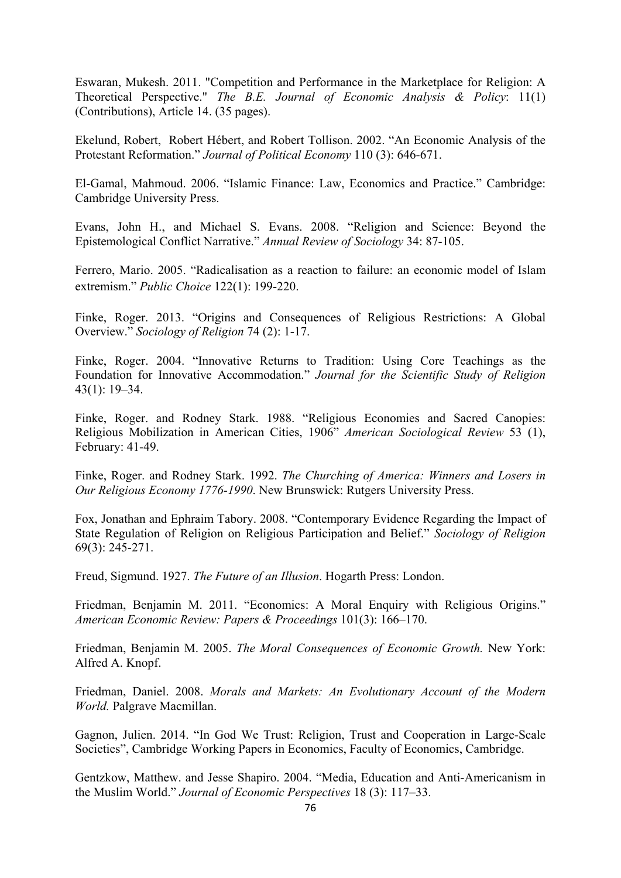Eswaran, Mukesh. 2011. "Competition and Performance in the Marketplace for Religion: A Theoretical Perspective." *The B.E. Journal of Economic Analysis & Policy*: 11(1) (Contributions), Article 14. (35 pages).

Ekelund, Robert, Robert Hébert, and Robert Tollison. 2002. "An Economic Analysis of the Protestant Reformation." *Journal of Political Economy* 110 (3): 646-671.

El-Gamal, Mahmoud. 2006. "Islamic Finance: Law, Economics and Practice." Cambridge: Cambridge University Press.

Evans, John H., and Michael S. Evans. 2008. "Religion and Science: Beyond the Epistemological Conflict Narrative." *Annual Review of Sociology* 34: 87-105.

Ferrero, Mario. 2005. "Radicalisation as a reaction to failure: an economic model of Islam extremism." *Public Choice* 122(1): 199-220.

Finke, Roger. 2013. "Origins and Consequences of Religious Restrictions: A Global Overview." *Sociology of Religion* 74 (2): 1-17.

Finke, Roger. 2004. "Innovative Returns to Tradition: Using Core Teachings as the Foundation for Innovative Accommodation." *Journal for the Scientific Study of Religion*  43(1): 19–34.

Finke, Roger. and Rodney Stark. 1988. "Religious Economies and Sacred Canopies: Religious Mobilization in American Cities, 1906" *American Sociological Review* 53 (1), February: 41-49.

Finke, Roger. and Rodney Stark. 1992. *The Churching of America: Winners and Losers in Our Religious Economy 1776-1990*. New Brunswick: Rutgers University Press.

Fox, Jonathan and Ephraim Tabory. 2008. "Contemporary Evidence Regarding the Impact of State Regulation of Religion on Religious Participation and Belief." *Sociology of Religion* 69(3): 245-271.

Freud, Sigmund. 1927. *The Future of an Illusion*. Hogarth Press: London.

Friedman, Benjamin M. 2011. "Economics: A Moral Enquiry with Religious Origins." *American Economic Review: Papers & Proceedings* 101(3): 166–170.

Friedman, Benjamin M. 2005. *The Moral Consequences of Economic Growth.* New York: Alfred A. Knopf.

Friedman, Daniel. 2008. *Morals and Markets: An Evolutionary Account of the Modern World.* Palgrave Macmillan.

Gagnon, Julien. 2014. "In God We Trust: Religion, Trust and Cooperation in Large-Scale Societies", Cambridge Working Papers in Economics, Faculty of Economics, Cambridge.

Gentzkow, Matthew. and Jesse Shapiro. 2004. "Media, Education and Anti-Americanism in the Muslim World." *Journal of Economic Perspectives* 18 (3): 117–33.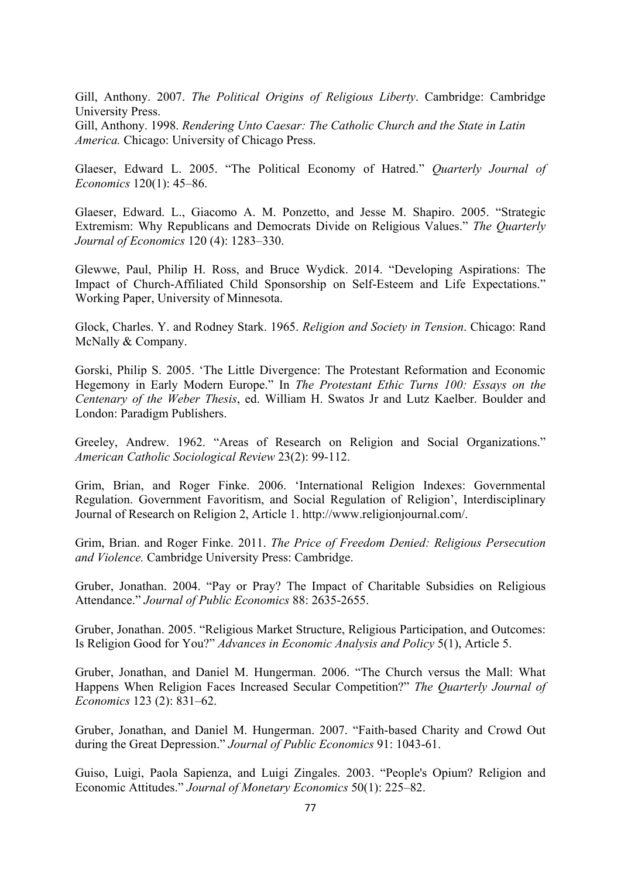Gill, Anthony. 2007. *The Political Origins of Religious Liberty*. Cambridge: Cambridge University Press.

Gill, Anthony. 1998. *Rendering Unto Caesar: The Catholic Church and the State in Latin America.* Chicago: University of Chicago Press.

Glaeser, Edward L. 2005. "The Political Economy of Hatred." *Quarterly Journal of Economics* 120(1): 45–86.

Glaeser, Edward. L., Giacomo A. M. Ponzetto, and Jesse M. Shapiro. 2005. "Strategic Extremism: Why Republicans and Democrats Divide on Religious Values." *The Quarterly Journal of Economics* 120 (4): 1283–330.

Glewwe, Paul, Philip H. Ross, and Bruce Wydick. 2014. "Developing Aspirations: The Impact of Church-Affiliated Child Sponsorship on Self-Esteem and Life Expectations." Working Paper, University of Minnesota.

Glock, Charles. Y. and Rodney Stark. 1965. *Religion and Society in Tension*. Chicago: Rand McNally & Company.

Gorski, Philip S. 2005. 'The Little Divergence: The Protestant Reformation and Economic Hegemony in Early Modern Europe." In *The Protestant Ethic Turns 100: Essays on the Centenary of the Weber Thesis*, ed. William H. Swatos Jr and Lutz Kaelber. Boulder and London: Paradigm Publishers.

Greeley, Andrew. 1962. "Areas of Research on Religion and Social Organizations." *American Catholic Sociological Review* 23(2): 99-112.

Grim, Brian, and Roger Finke. 2006. 'International Religion Indexes: Governmental Regulation. Government Favoritism, and Social Regulation of Religion', Interdisciplinary Journal of Research on Religion 2, Article 1. http://www.religionjournal.com/.

Grim, Brian. and Roger Finke. 2011. *The Price of Freedom Denied: Religious Persecution and Violence.* Cambridge University Press: Cambridge.

Gruber, Jonathan. 2004. "Pay or Pray? The Impact of Charitable Subsidies on Religious Attendance." *Journal of Public Economics* 88: 2635-2655.

Gruber, Jonathan. 2005. "Religious Market Structure, Religious Participation, and Outcomes: Is Religion Good for You?" *Advances in Economic Analysis and Policy* 5(1), Article 5.

Gruber, Jonathan, and Daniel M. Hungerman. 2006. "The Church versus the Mall: What Happens When Religion Faces Increased Secular Competition?" *The Quarterly Journal of Economics* 123 (2): 831–62.

Gruber, Jonathan, and Daniel M. Hungerman. 2007. "Faith-based Charity and Crowd Out during the Great Depression." *Journal of Public Economics* 91: 1043-61.

Guiso, Luigi, Paola Sapienza, and Luigi Zingales. 2003. "People's Opium? Religion and Economic Attitudes." *Journal of Monetary Economics* 50(1): 225–82.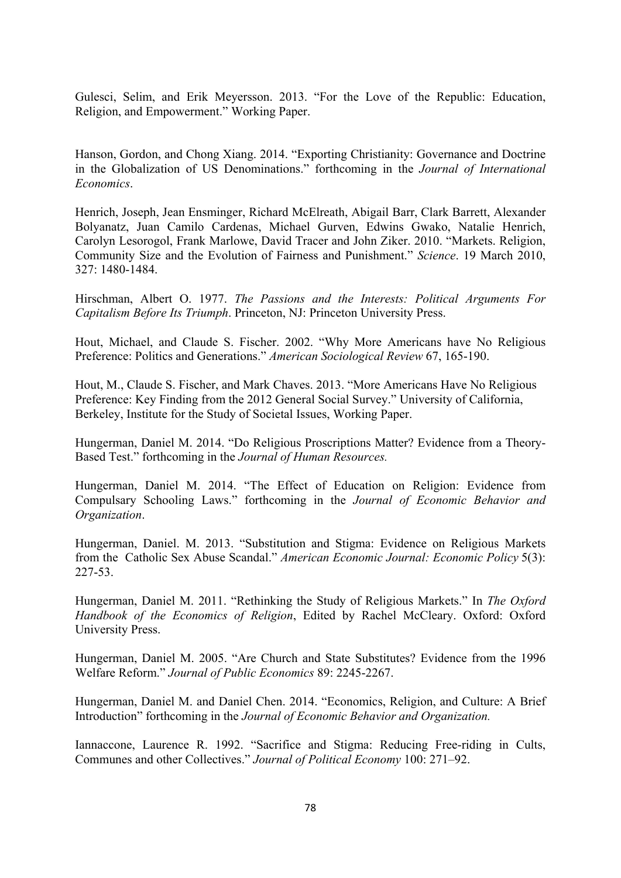Gulesci, Selim, and Erik Meyersson. 2013. "For the Love of the Republic: Education, Religion, and Empowerment." Working Paper.

Hanson, Gordon, and Chong Xiang. 2014. "Exporting Christianity: Governance and Doctrine in the Globalization of US Denominations." forthcoming in the *Journal of International Economics*.

Henrich, Joseph, Jean Ensminger, Richard McElreath, Abigail Barr, Clark Barrett, Alexander Bolyanatz, Juan Camilo Cardenas, Michael Gurven, Edwins Gwako, Natalie Henrich, Carolyn Lesorogol, Frank Marlowe, David Tracer and John Ziker. 2010. "Markets. Religion, Community Size and the Evolution of Fairness and Punishment." *Science*. 19 March 2010, 327: 1480-1484.

Hirschman, Albert O. 1977. *The Passions and the Interests: Political Arguments For Capitalism Before Its Triumph*. Princeton, NJ: Princeton University Press.

Hout, Michael, and Claude S. Fischer. 2002. "Why More Americans have No Religious Preference: Politics and Generations." *American Sociological Review* 67, 165-190.

Hout, M., Claude S. Fischer, and Mark Chaves. 2013. "More Americans Have No Religious Preference: Key Finding from the 2012 General Social Survey." University of California, Berkeley, Institute for the Study of Societal Issues, Working Paper.

Hungerman, Daniel M. 2014. "Do Religious Proscriptions Matter? Evidence from a Theory-Based Test." forthcoming in the *Journal of Human Resources.* 

Hungerman, Daniel M. 2014. "The Effect of Education on Religion: Evidence from Compulsary Schooling Laws." forthcoming in the *Journal of Economic Behavior and Organization*.

Hungerman, Daniel. M. 2013. "Substitution and Stigma: Evidence on Religious Markets from the Catholic Sex Abuse Scandal." *American Economic Journal: Economic Policy* 5(3): 227-53.

Hungerman, Daniel M. 2011. "Rethinking the Study of Religious Markets." In *The Oxford Handbook of the Economics of Religion*, Edited by Rachel McCleary. Oxford: Oxford University Press.

Hungerman, Daniel M. 2005. "Are Church and State Substitutes? Evidence from the 1996 Welfare Reform." *Journal of Public Economics* 89: 2245-2267.

Hungerman, Daniel M. and Daniel Chen. 2014. "Economics, Religion, and Culture: A Brief Introduction" forthcoming in the *Journal of Economic Behavior and Organization.*

Iannaccone, Laurence R. 1992. "Sacrifice and Stigma: Reducing Free-riding in Cults, Communes and other Collectives." *Journal of Political Economy* 100: 271–92.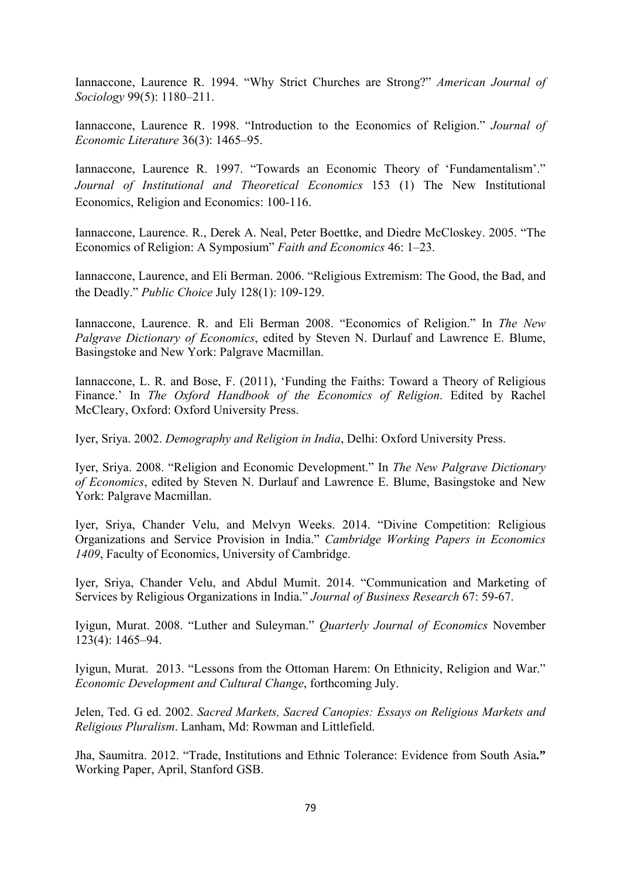Iannaccone, Laurence R. 1994. "Why Strict Churches are Strong?" *American Journal of Sociology* 99(5): 1180–211.

Iannaccone, Laurence R. 1998. "Introduction to the Economics of Religion." *Journal of Economic Literature* 36(3): 1465–95.

Iannaccone, Laurence R. 1997. "Towards an Economic Theory of 'Fundamentalism'." *Journal of Institutional and Theoretical Economics* 153 (1) The New Institutional Economics, Religion and Economics: 100-116.

Iannaccone, Laurence. R., Derek A. Neal, Peter Boettke, and Diedre McCloskey. 2005. "The Economics of Religion: A Symposium" *Faith and Economics* 46: 1–23.

Iannaccone, Laurence, and Eli Berman. 2006. "Religious Extremism: The Good, the Bad, and the Deadly." *Public Choice* July 128(1): 109-129.

Iannaccone, Laurence. R. and Eli Berman 2008. "Economics of Religion." In *The New Palgrave Dictionary of Economics*, edited by Steven N. Durlauf and Lawrence E. Blume, Basingstoke and New York: Palgrave Macmillan.

Iannaccone, L. R. and Bose, F. (2011), 'Funding the Faiths: Toward a Theory of Religious Finance.' In *The Oxford Handbook of the Economics of Religion*. Edited by Rachel McCleary, Oxford: Oxford University Press.

Iyer, Sriya. 2002. *Demography and Religion in India*, Delhi: Oxford University Press.

Iyer, Sriya. 2008. "Religion and Economic Development." In *The New Palgrave Dictionary of Economics*, edited by Steven N. Durlauf and Lawrence E. Blume, Basingstoke and New York: Palgrave Macmillan.

Iyer, Sriya, Chander Velu, and Melvyn Weeks. 2014. "Divine Competition: Religious Organizations and Service Provision in India." *Cambridge Working Papers in Economics 1409*, Faculty of Economics, University of Cambridge.

Iyer, Sriya, Chander Velu, and Abdul Mumit. 2014. "Communication and Marketing of Services by Religious Organizations in India." *Journal of Business Research* 67: 59-67.

Iyigun, Murat. 2008. "Luther and Suleyman." *Quarterly Journal of Economics* November 123(4): 1465–94.

Iyigun, Murat. 2013. "Lessons from the Ottoman Harem: On Ethnicity, Religion and War." *Economic Development and Cultural Change*, forthcoming July.

Jelen, Ted. G ed. 2002. *Sacred Markets, Sacred Canopies: Essays on Religious Markets and Religious Pluralism*. Lanham, Md: Rowman and Littlefield.

Jha, Saumitra. 2012. "Trade, Institutions and Ethnic Tolerance: Evidence from South Asia**."** Working Paper, April, Stanford GSB.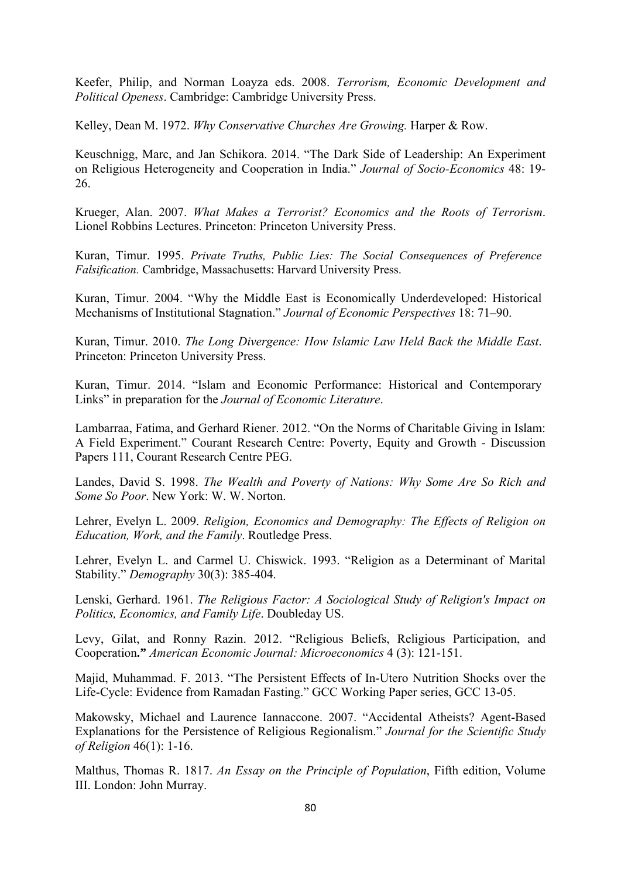Keefer, Philip, and Norman Loayza eds. 2008. *Terrorism, Economic Development and Political Openess*. Cambridge: Cambridge University Press.

Kelley, Dean M. 1972. *Why Conservative Churches Are Growing.* Harper & Row.

Keuschnigg, Marc, and Jan Schikora. 2014. "The Dark Side of Leadership: An Experiment on Religious Heterogeneity and Cooperation in India." *Journal of Socio-Economics* 48: 19- 26.

Krueger, Alan. 2007. *What Makes a Terrorist? Economics and the Roots of Terrorism*. Lionel Robbins Lectures. Princeton: Princeton University Press.

Kuran, Timur. 1995. *Private Truths, Public Lies: The Social Consequences of Preference Falsification.* Cambridge, Massachusetts: Harvard University Press.

Kuran, Timur. 2004. "Why the Middle East is Economically Underdeveloped: Historical Mechanisms of Institutional Stagnation." *Journal of Economic Perspectives* 18: 71–90.

Kuran, Timur. 2010. *The Long Divergence: How Islamic Law Held Back the Middle East*. Princeton: Princeton University Press.

Kuran, Timur. 2014. "Islam and Economic Performance: Historical and Contemporary Links" in preparation for the *Journal of Economic Literature*.

Lambarraa, Fatima, and Gerhard Riener. 2012. "On the Norms of Charitable Giving in Islam: A Field Experiment." Courant Research Centre: Poverty, Equity and Growth - Discussion Papers 111, Courant Research Centre PEG.

Landes, David S. 1998. *The Wealth and Poverty of Nations: Why Some Are So Rich and Some So Poor*. New York: W. W. Norton.

Lehrer, Evelyn L. 2009. *Religion, Economics and Demography: The Effects of Religion on Education, Work, and the Family*. Routledge Press.

Lehrer, Evelyn L. and Carmel U. Chiswick. 1993. "Religion as a Determinant of Marital Stability." *Demography* 30(3): 385-404.

Lenski, Gerhard. 1961. *The Religious Factor: A Sociological Study of Religion's Impact on Politics, Economics, and Family Life*. Doubleday US.

Levy, Gilat, and Ronny Razin. 2012. "Religious Beliefs, Religious Participation, and Cooperation**."** *American Economic Journal: Microeconomics* 4 (3): 121-151.

Majid, Muhammad. F. 2013. "The Persistent Effects of In-Utero Nutrition Shocks over the Life-Cycle: Evidence from Ramadan Fasting." GCC Working Paper series, GCC 13-05.

Makowsky, Michael and Laurence Iannaccone. 2007. "Accidental Atheists? Agent-Based Explanations for the Persistence of Religious Regionalism." *Journal for the Scientific Study of Religion* 46(1): 1-16.

Malthus, Thomas R. 1817. *An Essay on the Principle of Population*, Fifth edition, Volume III. London: John Murray.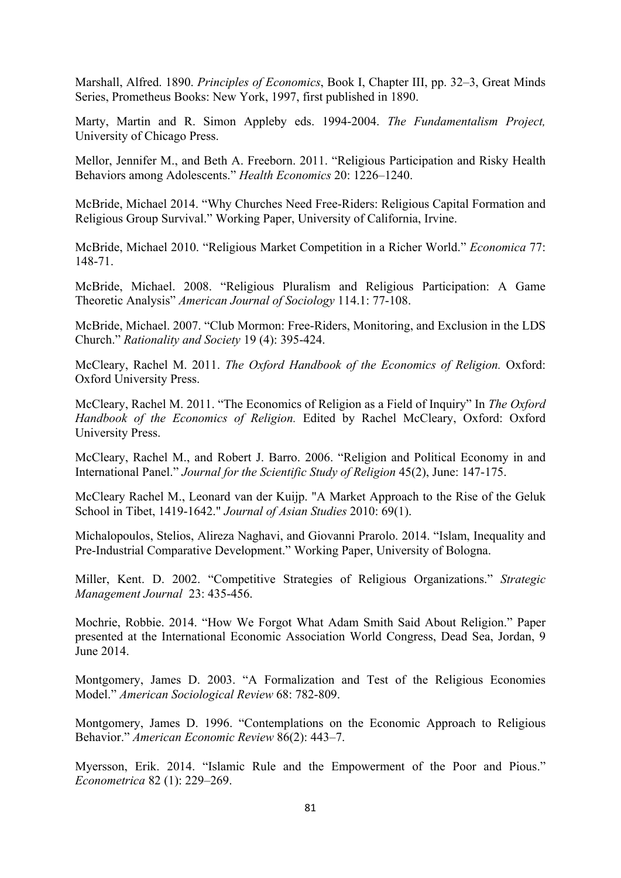Marshall, Alfred. 1890. *Principles of Economics*, Book I, Chapter III, pp. 32–3, Great Minds Series, Prometheus Books: New York, 1997, first published in 1890.

Marty, Martin and R. Simon Appleby eds. 1994-2004. *The Fundamentalism Project,*  University of Chicago Press.

Mellor, Jennifer M., and Beth A. Freeborn. 2011. "Religious Participation and Risky Health Behaviors among Adolescents." *Health Economics* 20: 1226–1240.

McBride, Michael 2014. "Why Churches Need Free-Riders: Religious Capital Formation and Religious Group Survival." Working Paper, University of California, Irvine.

McBride, Michael 2010. "Religious Market Competition in a Richer World." *Economica* 77: 148-71.

McBride, Michael. 2008. "Religious Pluralism and Religious Participation: A Game Theoretic Analysis" *American Journal of Sociology* 114.1: 77-108.

McBride, Michael. 2007. "Club Mormon: Free-Riders, Monitoring, and Exclusion in the LDS Church." *Rationality and Society* 19 (4): 395-424.

McCleary, Rachel M. 2011. *The Oxford Handbook of the Economics of Religion.* Oxford: Oxford University Press.

McCleary, Rachel M. 2011. "The Economics of Religion as a Field of Inquiry" In *The Oxford Handbook of the Economics of Religion.* Edited by Rachel McCleary, Oxford: Oxford University Press.

McCleary, Rachel M., and Robert J. Barro. 2006. "Religion and Political Economy in and International Panel." *Journal for the Scientific Study of Religion* 45(2), June: 147-175.

McCleary Rachel M., Leonard van der Kuijp. "A Market Approach to the Rise of the Geluk School in Tibet, 1419-1642." *Journal of Asian Studies* 2010: 69(1).

Michalopoulos, Stelios, Alireza Naghavi, and Giovanni Prarolo. 2014. "Islam, Inequality and Pre-Industrial Comparative Development." Working Paper, University of Bologna.

Miller, Kent. D. 2002. "Competitive Strategies of Religious Organizations." *Strategic Management Journal* 23: 435-456.

Mochrie, Robbie. 2014. "How We Forgot What Adam Smith Said About Religion." Paper presented at the International Economic Association World Congress, Dead Sea, Jordan, 9 June 2014.

Montgomery, James D. 2003. "A Formalization and Test of the Religious Economies Model." *American Sociological Review* 68: 782-809.

Montgomery, James D. 1996. "Contemplations on the Economic Approach to Religious Behavior." *American Economic Review* 86(2): 443–7.

Myersson, Erik. 2014. "Islamic Rule and the Empowerment of the Poor and Pious." *Econometrica* 82 (1): 229–269.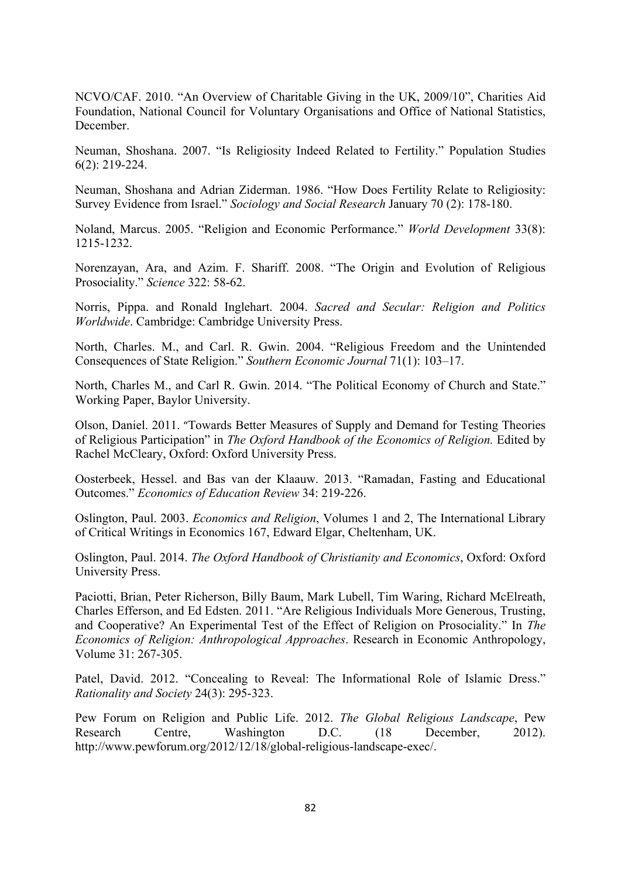NCVO/CAF. 2010. "An Overview of Charitable Giving in the UK, 2009/10", Charities Aid Foundation, National Council for Voluntary Organisations and Office of National Statistics, December.

Neuman, Shoshana. 2007. "Is Religiosity Indeed Related to Fertility." Population Studies 6(2): 219-224.

Neuman, Shoshana and Adrian Ziderman. 1986. "How Does Fertility Relate to Religiosity: Survey Evidence from Israel." *Sociology and Social Research* January 70 (2): 178-180.

Noland, Marcus. 2005. "Religion and Economic Performance." *World Development* 33(8): 1215-1232.

Norenzayan, Ara, and Azim. F. Shariff. 2008. "The Origin and Evolution of Religious Prosociality." *Science* 322: 58-62.

Norris, Pippa. and Ronald Inglehart. 2004. *Sacred and Secular: Religion and Politics Worldwide*. Cambridge: Cambridge University Press.

North, Charles. M., and Carl. R. Gwin. 2004. "Religious Freedom and the Unintended Consequences of State Religion." *Southern Economic Journal* 71(1): 103–17.

North, Charles M., and Carl R. Gwin. 2014. "The Political Economy of Church and State." Working Paper, Baylor University.

Olson, Daniel. 2011. "Towards Better Measures of Supply and Demand for Testing Theories of Religious Participation" in *The Oxford Handbook of the Economics of Religion.* Edited by Rachel McCleary, Oxford: Oxford University Press.

Oosterbeek, Hessel. and Bas van der Klaauw. 2013. "Ramadan, Fasting and Educational Outcomes." *Economics of Education Review* 34: 219-226.

Oslington, Paul. 2003. *Economics and Religion*, Volumes 1 and 2, The International Library of Critical Writings in Economics 167, Edward Elgar, Cheltenham, UK.

Oslington, Paul. 2014. *The Oxford Handbook of Christianity and Economics*, Oxford: Oxford University Press.

Paciotti, Brian, Peter Richerson, Billy Baum, Mark Lubell, Tim Waring, Richard McElreath, Charles Efferson, and Ed Edsten. 2011. "Are Religious Individuals More Generous, Trusting, and Cooperative? An Experimental Test of the Effect of Religion on Prosociality." In *The Economics of Religion: Anthropological Approaches*. Research in Economic Anthropology, Volume 31: 267-305.

Patel, David. 2012. "Concealing to Reveal: The Informational Role of Islamic Dress." *Rationality and Society* 24(3): 295-323.

Pew Forum on Religion and Public Life. 2012. *The Global Religious Landscape*, Pew Research Centre, Washington D.C. (18 December, 2012). http://www.pewforum.org/2012/12/18/global-religious-landscape-exec/.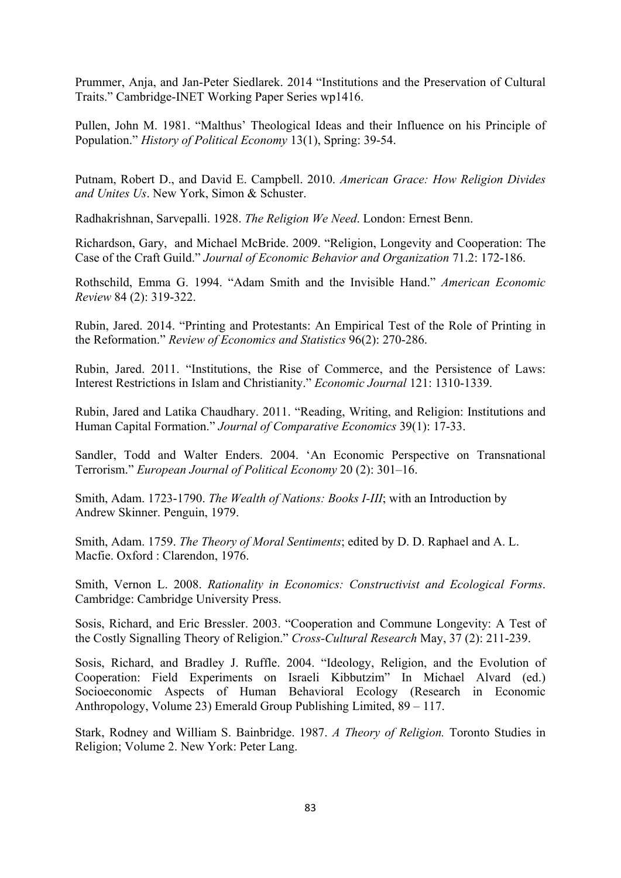Prummer, Anja, and Jan-Peter Siedlarek. 2014 "Institutions and the Preservation of Cultural Traits." Cambridge-INET Working Paper Series wp1416.

Pullen, John M. 1981. "Malthus' Theological Ideas and their Influence on his Principle of Population." *History of Political Economy* 13(1), Spring: 39-54.

Putnam, Robert D., and David E. Campbell. 2010. *American Grace: How Religion Divides and Unites Us*. New York, Simon & Schuster.

Radhakrishnan, Sarvepalli. 1928. *The Religion We Need*. London: Ernest Benn.

Richardson, Gary, and Michael McBride. 2009. "Religion, Longevity and Cooperation: The Case of the Craft Guild." *Journal of Economic Behavior and Organization* 71.2: 172-186.

Rothschild, Emma G. 1994. "Adam Smith and the Invisible Hand." *American Economic Review* 84 (2): 319-322.

Rubin, Jared. 2014. "Printing and Protestants: An Empirical Test of the Role of Printing in the Reformation." *Review of Economics and Statistics* 96(2): 270-286.

Rubin, Jared. 2011. "Institutions, the Rise of Commerce, and the Persistence of Laws: Interest Restrictions in Islam and Christianity." *Economic Journal* 121: 1310-1339.

Rubin, Jared and Latika Chaudhary. 2011. "Reading, Writing, and Religion: Institutions and Human Capital Formation." *Journal of Comparative Economics* 39(1): 17-33.

Sandler, Todd and Walter Enders. 2004. 'An Economic Perspective on Transnational Terrorism." *European Journal of Political Economy* 20 (2): 301–16.

Smith, Adam. 1723-1790. *The Wealth of Nations: Books I-III*; with an Introduction by Andrew Skinner. Penguin, 1979.

Smith, Adam. 1759. *The Theory of Moral Sentiments*; edited by D. D. Raphael and A. L. Macfie. Oxford : Clarendon, 1976.

Smith, Vernon L. 2008. *Rationality in Economics: Constructivist and Ecological Forms*. Cambridge: Cambridge University Press.

Sosis, Richard, and Eric Bressler. 2003. "Cooperation and Commune Longevity: A Test of the Costly Signalling Theory of Religion." *Cross-Cultural Research* May, 37 (2): 211-239.

Sosis, Richard, and Bradley J. Ruffle. 2004. "Ideology, Religion, and the Evolution of Cooperation: Field Experiments on Israeli Kibbutzim" In Michael Alvard (ed.) Socioeconomic Aspects of Human Behavioral Ecology (Research in Economic Anthropology, Volume 23) Emerald Group Publishing Limited, 89 – 117.

Stark, Rodney and William S. Bainbridge. 1987. *A Theory of Religion.* Toronto Studies in Religion; Volume 2. New York: Peter Lang.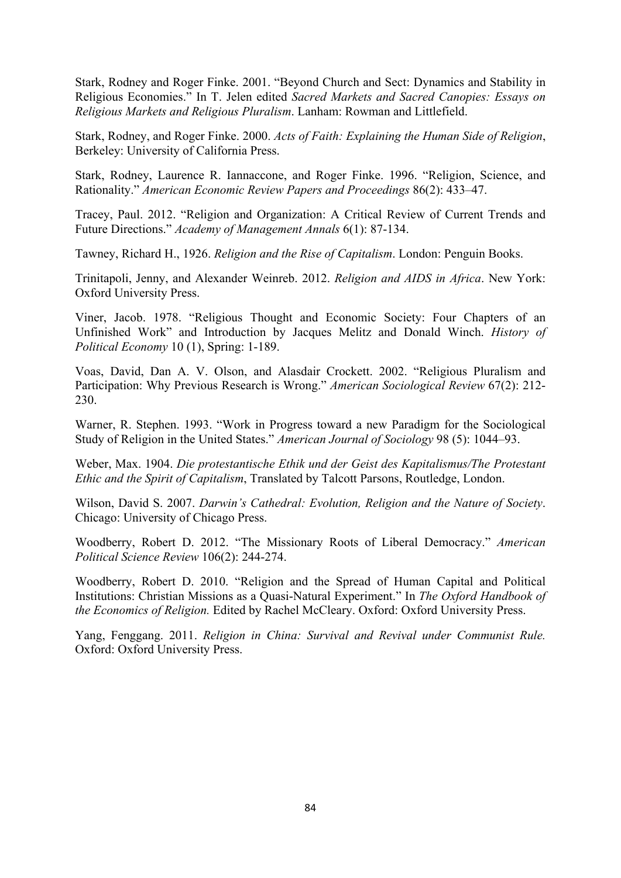Stark, Rodney and Roger Finke. 2001. "Beyond Church and Sect: Dynamics and Stability in Religious Economies." In T. Jelen edited *Sacred Markets and Sacred Canopies: Essays on Religious Markets and Religious Pluralism*. Lanham: Rowman and Littlefield.

Stark, Rodney, and Roger Finke. 2000. *Acts of Faith: Explaining the Human Side of Religion*, Berkeley: University of California Press.

Stark, Rodney, Laurence R. Iannaccone, and Roger Finke. 1996. "Religion, Science, and Rationality." *American Economic Review Papers and Proceedings* 86(2): 433–47.

Tracey, Paul. 2012. "Religion and Organization: A Critical Review of Current Trends and Future Directions." *Academy of Management Annals* 6(1): 87-134.

Tawney, Richard H., 1926. *Religion and the Rise of Capitalism*. London: Penguin Books.

Trinitapoli, Jenny, and Alexander Weinreb. 2012. *Religion and AIDS in Africa*. New York: Oxford University Press.

Viner, Jacob. 1978. "Religious Thought and Economic Society: Four Chapters of an Unfinished Work" and Introduction by Jacques Melitz and Donald Winch. *History of Political Economy* 10 (1), Spring: 1-189.

Voas, David, Dan A. V. Olson, and Alasdair Crockett. 2002. "Religious Pluralism and Participation: Why Previous Research is Wrong." *American Sociological Review* 67(2): 212- 230.

Warner, R. Stephen. 1993. "Work in Progress toward a new Paradigm for the Sociological Study of Religion in the United States." *American Journal of Sociology* 98 (5): 1044–93.

Weber, Max. 1904. *Die protestantische Ethik und der Geist des Kapitalismus/The Protestant Ethic and the Spirit of Capitalism*, Translated by Talcott Parsons, Routledge, London.

Wilson, David S. 2007. *Darwin's Cathedral: Evolution, Religion and the Nature of Society*. Chicago: University of Chicago Press.

Woodberry, Robert D. 2012. "The Missionary Roots of Liberal Democracy." *American Political Science Review* 106(2): 244-274.

Woodberry, Robert D. 2010. "Religion and the Spread of Human Capital and Political Institutions: Christian Missions as a Quasi-Natural Experiment." In *The Oxford Handbook of the Economics of Religion.* Edited by Rachel McCleary. Oxford: Oxford University Press.

Yang, Fenggang. 2011. *Religion in China: Survival and Revival under Communist Rule.* Oxford: Oxford University Press.